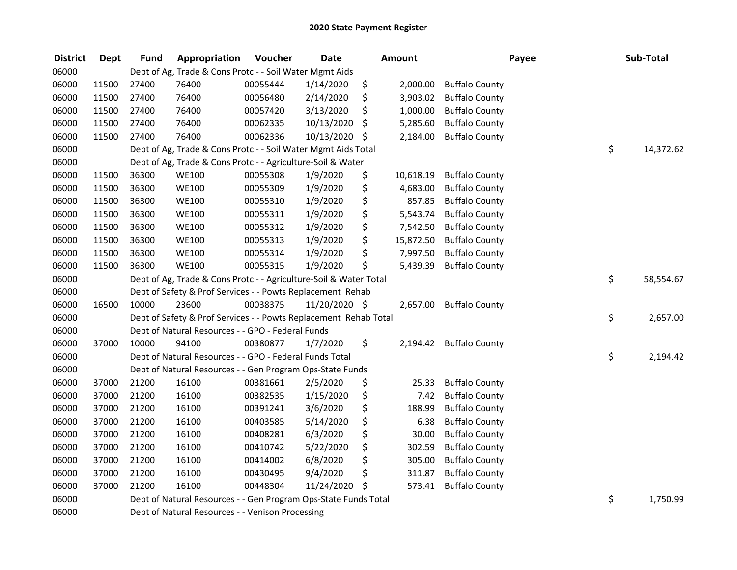| <b>District</b> | <b>Dept</b> | <b>Fund</b> | Appropriation                                                     | Voucher  | <b>Date</b>   | <b>Amount</b>   |                       | Payee | Sub-Total |
|-----------------|-------------|-------------|-------------------------------------------------------------------|----------|---------------|-----------------|-----------------------|-------|-----------|
| 06000           |             |             | Dept of Ag, Trade & Cons Protc - - Soil Water Mgmt Aids           |          |               |                 |                       |       |           |
| 06000           | 11500       | 27400       | 76400                                                             | 00055444 | 1/14/2020     | \$<br>2,000.00  | <b>Buffalo County</b> |       |           |
| 06000           | 11500       | 27400       | 76400                                                             | 00056480 | 2/14/2020     | \$<br>3,903.02  | <b>Buffalo County</b> |       |           |
| 06000           | 11500       | 27400       | 76400                                                             | 00057420 | 3/13/2020     | \$<br>1,000.00  | <b>Buffalo County</b> |       |           |
| 06000           | 11500       | 27400       | 76400                                                             | 00062335 | 10/13/2020    | \$<br>5,285.60  | <b>Buffalo County</b> |       |           |
| 06000           | 11500       | 27400       | 76400                                                             | 00062336 | 10/13/2020    | \$<br>2,184.00  | <b>Buffalo County</b> |       |           |
| 06000           |             |             | Dept of Ag, Trade & Cons Protc - - Soil Water Mgmt Aids Total     |          |               |                 |                       | \$    | 14,372.62 |
| 06000           |             |             | Dept of Ag, Trade & Cons Protc - - Agriculture-Soil & Water       |          |               |                 |                       |       |           |
| 06000           | 11500       | 36300       | <b>WE100</b>                                                      | 00055308 | 1/9/2020      | \$<br>10,618.19 | <b>Buffalo County</b> |       |           |
| 06000           | 11500       | 36300       | <b>WE100</b>                                                      | 00055309 | 1/9/2020      | \$<br>4,683.00  | <b>Buffalo County</b> |       |           |
| 06000           | 11500       | 36300       | <b>WE100</b>                                                      | 00055310 | 1/9/2020      | \$<br>857.85    | <b>Buffalo County</b> |       |           |
| 06000           | 11500       | 36300       | <b>WE100</b>                                                      | 00055311 | 1/9/2020      | \$<br>5,543.74  | <b>Buffalo County</b> |       |           |
| 06000           | 11500       | 36300       | <b>WE100</b>                                                      | 00055312 | 1/9/2020      | \$<br>7,542.50  | <b>Buffalo County</b> |       |           |
| 06000           | 11500       | 36300       | <b>WE100</b>                                                      | 00055313 | 1/9/2020      | \$<br>15,872.50 | <b>Buffalo County</b> |       |           |
| 06000           | 11500       | 36300       | <b>WE100</b>                                                      | 00055314 | 1/9/2020      | \$<br>7,997.50  | <b>Buffalo County</b> |       |           |
| 06000           | 11500       | 36300       | <b>WE100</b>                                                      | 00055315 | 1/9/2020      | \$<br>5,439.39  | <b>Buffalo County</b> |       |           |
| 06000           |             |             | Dept of Ag, Trade & Cons Protc - - Agriculture-Soil & Water Total |          |               |                 |                       | \$    | 58,554.67 |
| 06000           |             |             | Dept of Safety & Prof Services - - Powts Replacement Rehab        |          |               |                 |                       |       |           |
| 06000           | 16500       | 10000       | 23600                                                             | 00038375 | 11/20/2020 \$ | 2,657.00        | <b>Buffalo County</b> |       |           |
| 06000           |             |             | Dept of Safety & Prof Services - - Powts Replacement Rehab Total  |          |               |                 |                       | \$    | 2,657.00  |
| 06000           |             |             | Dept of Natural Resources - - GPO - Federal Funds                 |          |               |                 |                       |       |           |
| 06000           | 37000       | 10000       | 94100                                                             | 00380877 | 1/7/2020      | \$<br>2,194.42  | <b>Buffalo County</b> |       |           |
| 06000           |             |             | Dept of Natural Resources - - GPO - Federal Funds Total           |          |               |                 |                       | \$    | 2,194.42  |
| 06000           |             |             | Dept of Natural Resources - - Gen Program Ops-State Funds         |          |               |                 |                       |       |           |
| 06000           | 37000       | 21200       | 16100                                                             | 00381661 | 2/5/2020      | \$<br>25.33     | <b>Buffalo County</b> |       |           |
| 06000           | 37000       | 21200       | 16100                                                             | 00382535 | 1/15/2020     | \$<br>7.42      | <b>Buffalo County</b> |       |           |
| 06000           | 37000       | 21200       | 16100                                                             | 00391241 | 3/6/2020      | \$<br>188.99    | <b>Buffalo County</b> |       |           |
| 06000           | 37000       | 21200       | 16100                                                             | 00403585 | 5/14/2020     | \$<br>6.38      | <b>Buffalo County</b> |       |           |
| 06000           | 37000       | 21200       | 16100                                                             | 00408281 | 6/3/2020      | \$<br>30.00     | <b>Buffalo County</b> |       |           |
| 06000           | 37000       | 21200       | 16100                                                             | 00410742 | 5/22/2020     | \$<br>302.59    | <b>Buffalo County</b> |       |           |
| 06000           | 37000       | 21200       | 16100                                                             | 00414002 | 6/8/2020      | \$<br>305.00    | <b>Buffalo County</b> |       |           |
| 06000           | 37000       | 21200       | 16100                                                             | 00430495 | 9/4/2020      | \$<br>311.87    | <b>Buffalo County</b> |       |           |
| 06000           | 37000       | 21200       | 16100                                                             | 00448304 | 11/24/2020 \$ | 573.41          | <b>Buffalo County</b> |       |           |
| 06000           |             |             | Dept of Natural Resources - - Gen Program Ops-State Funds Total   |          |               |                 |                       | \$    | 1,750.99  |
| 06000           |             |             | Dept of Natural Resources - - Venison Processing                  |          |               |                 |                       |       |           |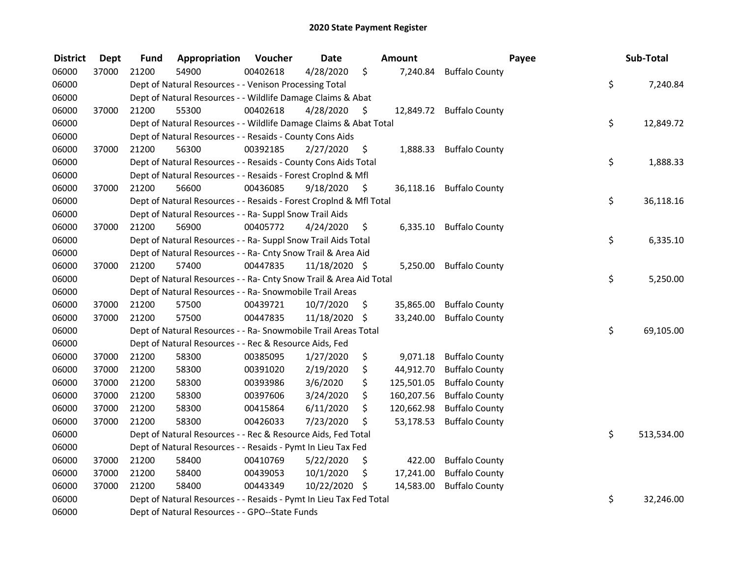| <b>District</b> | <b>Dept</b> | Fund  | Appropriation                                                      | Voucher  | <b>Date</b>   |     | Amount     |                          | Payee | Sub-Total  |
|-----------------|-------------|-------|--------------------------------------------------------------------|----------|---------------|-----|------------|--------------------------|-------|------------|
| 06000           | 37000       | 21200 | 54900                                                              | 00402618 | 4/28/2020     | \$  | 7,240.84   | <b>Buffalo County</b>    |       |            |
| 06000           |             |       | Dept of Natural Resources - - Venison Processing Total             |          |               |     |            |                          | \$    | 7,240.84   |
| 06000           |             |       | Dept of Natural Resources - - Wildlife Damage Claims & Abat        |          |               |     |            |                          |       |            |
| 06000           | 37000       | 21200 | 55300                                                              | 00402618 | 4/28/2020     | \$  |            | 12,849.72 Buffalo County |       |            |
| 06000           |             |       | Dept of Natural Resources - - Wildlife Damage Claims & Abat Total  |          |               |     |            |                          | \$    | 12,849.72  |
| 06000           |             |       | Dept of Natural Resources - - Resaids - County Cons Aids           |          |               |     |            |                          |       |            |
| 06000           | 37000       | 21200 | 56300                                                              | 00392185 | 2/27/2020     | \$  |            | 1,888.33 Buffalo County  |       |            |
| 06000           |             |       | Dept of Natural Resources - - Resaids - County Cons Aids Total     |          |               |     |            |                          | \$    | 1,888.33   |
| 06000           |             |       | Dept of Natural Resources - - Resaids - Forest Croplnd & Mfl       |          |               |     |            |                          |       |            |
| 06000           | 37000       | 21200 | 56600                                                              | 00436085 | 9/18/2020     | \$  |            | 36,118.16 Buffalo County |       |            |
| 06000           |             |       | Dept of Natural Resources - - Resaids - Forest CropInd & Mfl Total |          |               |     |            |                          | \$    | 36,118.16  |
| 06000           |             |       | Dept of Natural Resources - - Ra- Suppl Snow Trail Aids            |          |               |     |            |                          |       |            |
| 06000           | 37000       | 21200 | 56900                                                              | 00405772 | 4/24/2020     | \$. | 6,335.10   | <b>Buffalo County</b>    |       |            |
| 06000           |             |       | Dept of Natural Resources - - Ra- Suppl Snow Trail Aids Total      |          |               |     |            |                          | \$    | 6,335.10   |
| 06000           |             |       | Dept of Natural Resources - - Ra- Cnty Snow Trail & Area Aid       |          |               |     |            |                          |       |            |
| 06000           | 37000       | 21200 | 57400                                                              | 00447835 | 11/18/2020 \$ |     | 5,250.00   | <b>Buffalo County</b>    |       |            |
| 06000           |             |       | Dept of Natural Resources - - Ra- Cnty Snow Trail & Area Aid Total |          |               |     |            |                          | \$    | 5,250.00   |
| 06000           |             |       | Dept of Natural Resources - - Ra- Snowmobile Trail Areas           |          |               |     |            |                          |       |            |
| 06000           | 37000       | 21200 | 57500                                                              | 00439721 | 10/7/2020     | \$  | 35,865.00  | <b>Buffalo County</b>    |       |            |
| 06000           | 37000       | 21200 | 57500                                                              | 00447835 | 11/18/2020    | \$  | 33,240.00  | <b>Buffalo County</b>    |       |            |
| 06000           |             |       | Dept of Natural Resources - - Ra- Snowmobile Trail Areas Total     |          |               |     |            |                          | \$    | 69,105.00  |
| 06000           |             |       | Dept of Natural Resources - - Rec & Resource Aids, Fed             |          |               |     |            |                          |       |            |
| 06000           | 37000       | 21200 | 58300                                                              | 00385095 | 1/27/2020     | \$  | 9,071.18   | <b>Buffalo County</b>    |       |            |
| 06000           | 37000       | 21200 | 58300                                                              | 00391020 | 2/19/2020     | \$  | 44,912.70  | <b>Buffalo County</b>    |       |            |
| 06000           | 37000       | 21200 | 58300                                                              | 00393986 | 3/6/2020      | \$  | 125,501.05 | <b>Buffalo County</b>    |       |            |
| 06000           | 37000       | 21200 | 58300                                                              | 00397606 | 3/24/2020     | \$  | 160,207.56 | <b>Buffalo County</b>    |       |            |
| 06000           | 37000       | 21200 | 58300                                                              | 00415864 | 6/11/2020     | \$  | 120,662.98 | <b>Buffalo County</b>    |       |            |
| 06000           | 37000       | 21200 | 58300                                                              | 00426033 | 7/23/2020     | \$  | 53,178.53  | <b>Buffalo County</b>    |       |            |
| 06000           |             |       | Dept of Natural Resources - - Rec & Resource Aids, Fed Total       |          |               |     |            |                          | \$    | 513,534.00 |
| 06000           |             |       | Dept of Natural Resources - - Resaids - Pymt In Lieu Tax Fed       |          |               |     |            |                          |       |            |
| 06000           | 37000       | 21200 | 58400                                                              | 00410769 | 5/22/2020     | \$  | 422.00     | <b>Buffalo County</b>    |       |            |
| 06000           | 37000       | 21200 | 58400                                                              | 00439053 | 10/1/2020     | \$  | 17,241.00  | <b>Buffalo County</b>    |       |            |
| 06000           | 37000       | 21200 | 58400                                                              | 00443349 | 10/22/2020    | \$  | 14,583.00  | <b>Buffalo County</b>    |       |            |
| 06000           |             |       | Dept of Natural Resources - - Resaids - Pymt In Lieu Tax Fed Total |          |               |     |            |                          | \$    | 32,246.00  |
| 06000           |             |       | Dept of Natural Resources - - GPO--State Funds                     |          |               |     |            |                          |       |            |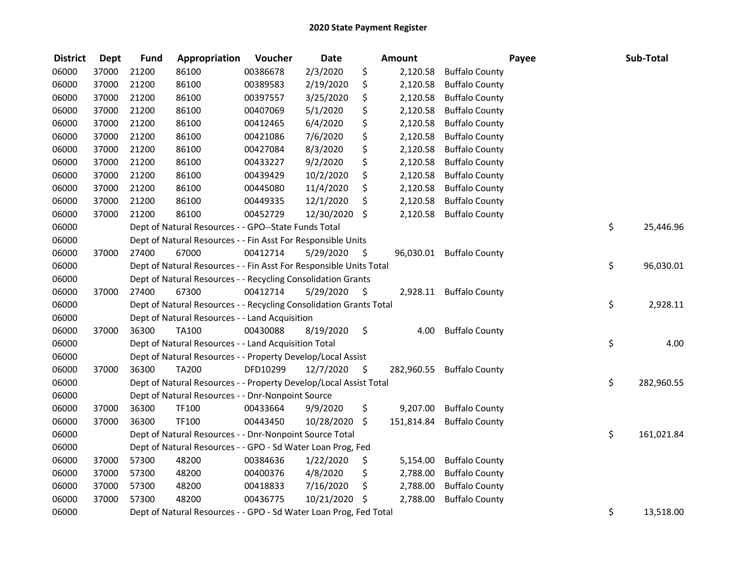| <b>District</b> | <b>Dept</b> | <b>Fund</b> | Appropriation                                                      | Voucher  | <b>Date</b> |               | <b>Amount</b> |                       | Payee | Sub-Total        |
|-----------------|-------------|-------------|--------------------------------------------------------------------|----------|-------------|---------------|---------------|-----------------------|-------|------------------|
| 06000           | 37000       | 21200       | 86100                                                              | 00386678 | 2/3/2020    | \$            | 2,120.58      | <b>Buffalo County</b> |       |                  |
| 06000           | 37000       | 21200       | 86100                                                              | 00389583 | 2/19/2020   | \$            | 2,120.58      | <b>Buffalo County</b> |       |                  |
| 06000           | 37000       | 21200       | 86100                                                              | 00397557 | 3/25/2020   | \$            | 2,120.58      | <b>Buffalo County</b> |       |                  |
| 06000           | 37000       | 21200       | 86100                                                              | 00407069 | 5/1/2020    | \$            | 2,120.58      | <b>Buffalo County</b> |       |                  |
| 06000           | 37000       | 21200       | 86100                                                              | 00412465 | 6/4/2020    | \$            | 2,120.58      | <b>Buffalo County</b> |       |                  |
| 06000           | 37000       | 21200       | 86100                                                              | 00421086 | 7/6/2020    | \$            | 2,120.58      | <b>Buffalo County</b> |       |                  |
| 06000           | 37000       | 21200       | 86100                                                              | 00427084 | 8/3/2020    | \$            | 2,120.58      | <b>Buffalo County</b> |       |                  |
| 06000           | 37000       | 21200       | 86100                                                              | 00433227 | 9/2/2020    | \$            | 2,120.58      | <b>Buffalo County</b> |       |                  |
| 06000           | 37000       | 21200       | 86100                                                              | 00439429 | 10/2/2020   | \$            | 2,120.58      | <b>Buffalo County</b> |       |                  |
| 06000           | 37000       | 21200       | 86100                                                              | 00445080 | 11/4/2020   | \$            | 2,120.58      | <b>Buffalo County</b> |       |                  |
| 06000           | 37000       | 21200       | 86100                                                              | 00449335 | 12/1/2020   | \$            | 2,120.58      | <b>Buffalo County</b> |       |                  |
| 06000           | 37000       | 21200       | 86100                                                              | 00452729 | 12/30/2020  | \$            | 2,120.58      | <b>Buffalo County</b> |       |                  |
| 06000           |             |             | Dept of Natural Resources - - GPO--State Funds Total               |          |             |               |               |                       |       | \$<br>25,446.96  |
| 06000           |             |             | Dept of Natural Resources - - Fin Asst For Responsible Units       |          |             |               |               |                       |       |                  |
| 06000           | 37000       | 27400       | 67000                                                              | 00412714 | 5/29/2020   | \$            | 96,030.01     | <b>Buffalo County</b> |       |                  |
| 06000           |             |             | Dept of Natural Resources - - Fin Asst For Responsible Units Total |          |             |               |               |                       |       | \$<br>96,030.01  |
| 06000           |             |             | Dept of Natural Resources - - Recycling Consolidation Grants       |          |             |               |               |                       |       |                  |
| 06000           | 37000       | 27400       | 67300                                                              | 00412714 | 5/29/2020   | \$            | 2,928.11      | <b>Buffalo County</b> |       |                  |
| 06000           |             |             | Dept of Natural Resources - - Recycling Consolidation Grants Total |          |             |               |               |                       |       | \$<br>2,928.11   |
| 06000           |             |             | Dept of Natural Resources - - Land Acquisition                     |          |             |               |               |                       |       |                  |
| 06000           | 37000       | 36300       | <b>TA100</b>                                                       | 00430088 | 8/19/2020   | $\ddot{\phi}$ | 4.00          | <b>Buffalo County</b> |       |                  |
| 06000           |             |             | Dept of Natural Resources - - Land Acquisition Total               |          |             |               |               |                       |       | \$<br>4.00       |
| 06000           |             |             | Dept of Natural Resources - - Property Develop/Local Assist        |          |             |               |               |                       |       |                  |
| 06000           | 37000       | 36300       | <b>TA200</b>                                                       | DFD10299 | 12/7/2020   | - \$          | 282,960.55    | <b>Buffalo County</b> |       |                  |
| 06000           |             |             | Dept of Natural Resources - - Property Develop/Local Assist Total  |          |             |               |               |                       |       | \$<br>282,960.55 |
| 06000           |             |             | Dept of Natural Resources - - Dnr-Nonpoint Source                  |          |             |               |               |                       |       |                  |
| 06000           | 37000       | 36300       | TF100                                                              | 00433664 | 9/9/2020    | \$            | 9,207.00      | <b>Buffalo County</b> |       |                  |
| 06000           | 37000       | 36300       | TF100                                                              | 00443450 | 10/28/2020  | \$            | 151,814.84    | <b>Buffalo County</b> |       |                  |
| 06000           |             |             | Dept of Natural Resources - - Dnr-Nonpoint Source Total            |          |             |               |               |                       |       | \$<br>161,021.84 |
| 06000           |             |             | Dept of Natural Resources - - GPO - Sd Water Loan Prog, Fed        |          |             |               |               |                       |       |                  |
| 06000           | 37000       | 57300       | 48200                                                              | 00384636 | 1/22/2020   | \$            | 5,154.00      | <b>Buffalo County</b> |       |                  |
| 06000           | 37000       | 57300       | 48200                                                              | 00400376 | 4/8/2020    | \$            | 2,788.00      | <b>Buffalo County</b> |       |                  |
| 06000           | 37000       | 57300       | 48200                                                              | 00418833 | 7/16/2020   | \$            | 2,788.00      | <b>Buffalo County</b> |       |                  |
| 06000           | 37000       | 57300       | 48200                                                              | 00436775 | 10/21/2020  | -\$           | 2,788.00      | <b>Buffalo County</b> |       |                  |
| 06000           |             |             | Dept of Natural Resources - - GPO - Sd Water Loan Prog, Fed Total  |          |             |               |               |                       |       | \$<br>13,518.00  |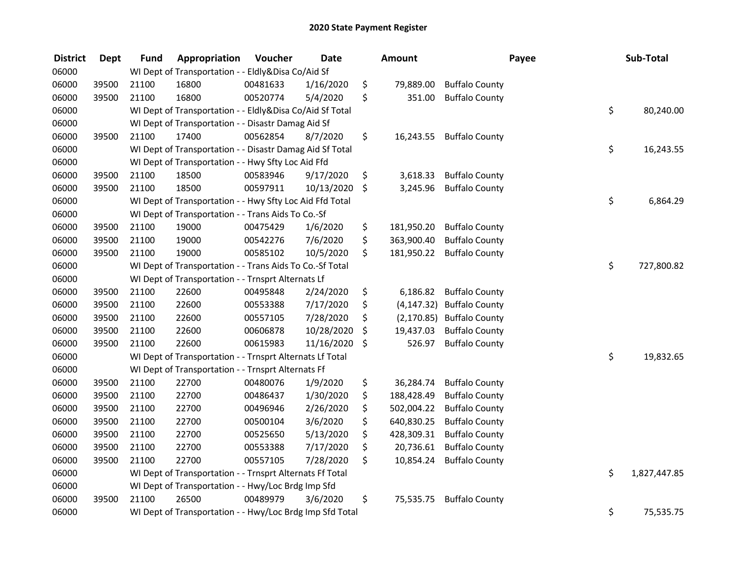| <b>District</b> | <b>Dept</b> | <b>Fund</b> | Appropriation                                            | Voucher  | <b>Date</b> |         | <b>Amount</b> |                           | Payee | Sub-Total    |
|-----------------|-------------|-------------|----------------------------------------------------------|----------|-------------|---------|---------------|---------------------------|-------|--------------|
| 06000           |             |             | WI Dept of Transportation - - Eldly&Disa Co/Aid Sf       |          |             |         |               |                           |       |              |
| 06000           | 39500       | 21100       | 16800                                                    | 00481633 | 1/16/2020   | \$      | 79,889.00     | <b>Buffalo County</b>     |       |              |
| 06000           | 39500       | 21100       | 16800                                                    | 00520774 | 5/4/2020    | \$      | 351.00        | <b>Buffalo County</b>     |       |              |
| 06000           |             |             | WI Dept of Transportation - - Eldly&Disa Co/Aid Sf Total |          |             |         |               |                           | \$    | 80,240.00    |
| 06000           |             |             | WI Dept of Transportation - - Disastr Damag Aid Sf       |          |             |         |               |                           |       |              |
| 06000           | 39500       | 21100       | 17400                                                    | 00562854 | 8/7/2020    | \$      | 16,243.55     | <b>Buffalo County</b>     |       |              |
| 06000           |             |             | WI Dept of Transportation - - Disastr Damag Aid Sf Total |          |             |         |               |                           | \$    | 16,243.55    |
| 06000           |             |             | WI Dept of Transportation - - Hwy Sfty Loc Aid Ffd       |          |             |         |               |                           |       |              |
| 06000           | 39500       | 21100       | 18500                                                    | 00583946 | 9/17/2020   | \$      | 3,618.33      | <b>Buffalo County</b>     |       |              |
| 06000           | 39500       | 21100       | 18500                                                    | 00597911 | 10/13/2020  | \$      | 3,245.96      | <b>Buffalo County</b>     |       |              |
| 06000           |             |             | WI Dept of Transportation - - Hwy Sfty Loc Aid Ffd Total |          |             |         |               |                           | \$    | 6,864.29     |
| 06000           |             |             | WI Dept of Transportation - - Trans Aids To Co.-Sf       |          |             |         |               |                           |       |              |
| 06000           | 39500       | 21100       | 19000                                                    | 00475429 | 1/6/2020    | \$      | 181,950.20    | <b>Buffalo County</b>     |       |              |
| 06000           | 39500       | 21100       | 19000                                                    | 00542276 | 7/6/2020    | \$      | 363,900.40    | <b>Buffalo County</b>     |       |              |
| 06000           | 39500       | 21100       | 19000                                                    | 00585102 | 10/5/2020   | \$      | 181,950.22    | <b>Buffalo County</b>     |       |              |
| 06000           |             |             | WI Dept of Transportation - - Trans Aids To Co.-Sf Total |          |             |         |               |                           | \$    | 727,800.82   |
| 06000           |             |             | WI Dept of Transportation - - Trnsprt Alternats Lf       |          |             |         |               |                           |       |              |
| 06000           | 39500       | 21100       | 22600                                                    | 00495848 | 2/24/2020   | \$      | 6,186.82      | <b>Buffalo County</b>     |       |              |
| 06000           | 39500       | 21100       | 22600                                                    | 00553388 | 7/17/2020   | \$      |               | (4,147.32) Buffalo County |       |              |
| 06000           | 39500       | 21100       | 22600                                                    | 00557105 | 7/28/2020   | \$      |               | (2,170.85) Buffalo County |       |              |
| 06000           | 39500       | 21100       | 22600                                                    | 00606878 | 10/28/2020  | \$      | 19,437.03     | <b>Buffalo County</b>     |       |              |
| 06000           | 39500       | 21100       | 22600                                                    | 00615983 | 11/16/2020  | $\zeta$ | 526.97        | <b>Buffalo County</b>     |       |              |
| 06000           |             |             | WI Dept of Transportation - - Trnsprt Alternats Lf Total |          |             |         |               |                           | \$    | 19,832.65    |
| 06000           |             |             | WI Dept of Transportation - - Trnsprt Alternats Ff       |          |             |         |               |                           |       |              |
| 06000           | 39500       | 21100       | 22700                                                    | 00480076 | 1/9/2020    | \$      | 36,284.74     | <b>Buffalo County</b>     |       |              |
| 06000           | 39500       | 21100       | 22700                                                    | 00486437 | 1/30/2020   | \$      | 188,428.49    | <b>Buffalo County</b>     |       |              |
| 06000           | 39500       | 21100       | 22700                                                    | 00496946 | 2/26/2020   | \$      | 502,004.22    | <b>Buffalo County</b>     |       |              |
| 06000           | 39500       | 21100       | 22700                                                    | 00500104 | 3/6/2020    | \$      | 640,830.25    | <b>Buffalo County</b>     |       |              |
| 06000           | 39500       | 21100       | 22700                                                    | 00525650 | 5/13/2020   | \$      | 428,309.31    | <b>Buffalo County</b>     |       |              |
| 06000           | 39500       | 21100       | 22700                                                    | 00553388 | 7/17/2020   | \$      | 20,736.61     | <b>Buffalo County</b>     |       |              |
| 06000           | 39500       | 21100       | 22700                                                    | 00557105 | 7/28/2020   | \$      | 10,854.24     | <b>Buffalo County</b>     |       |              |
| 06000           |             |             | WI Dept of Transportation - - Trnsprt Alternats Ff Total |          |             |         |               |                           | \$    | 1,827,447.85 |
| 06000           |             |             | WI Dept of Transportation - - Hwy/Loc Brdg Imp Sfd       |          |             |         |               |                           |       |              |
| 06000           | 39500       | 21100       | 26500                                                    | 00489979 | 3/6/2020    | \$      | 75,535.75     | <b>Buffalo County</b>     |       |              |
| 06000           |             |             | WI Dept of Transportation - - Hwy/Loc Brdg Imp Sfd Total |          |             |         |               |                           | \$    | 75,535.75    |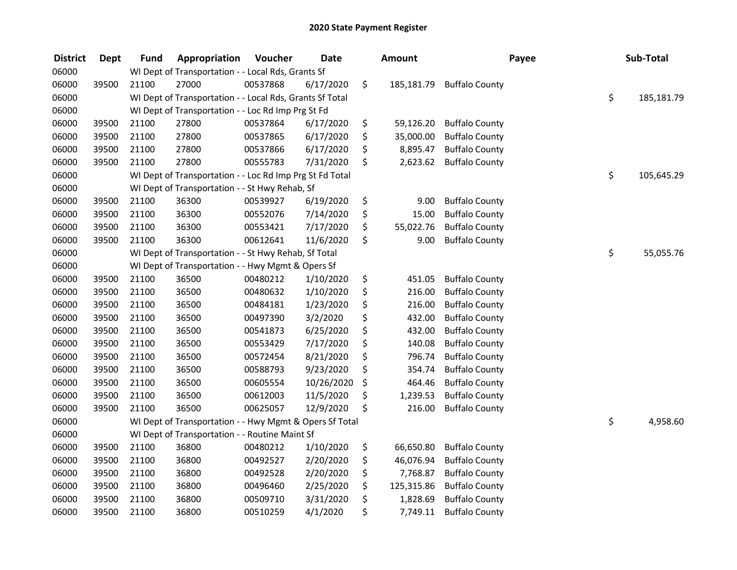| <b>District</b> | <b>Dept</b> | <b>Fund</b> | Appropriation                                            | Voucher  | <b>Date</b> | <b>Amount</b>    | Payee                 | Sub-Total        |
|-----------------|-------------|-------------|----------------------------------------------------------|----------|-------------|------------------|-----------------------|------------------|
| 06000           |             |             | WI Dept of Transportation - - Local Rds, Grants Sf       |          |             |                  |                       |                  |
| 06000           | 39500       | 21100       | 27000                                                    | 00537868 | 6/17/2020   | \$<br>185,181.79 | <b>Buffalo County</b> |                  |
| 06000           |             |             | WI Dept of Transportation - - Local Rds, Grants Sf Total |          |             |                  |                       | \$<br>185,181.79 |
| 06000           |             |             | WI Dept of Transportation - - Loc Rd Imp Prg St Fd       |          |             |                  |                       |                  |
| 06000           | 39500       | 21100       | 27800                                                    | 00537864 | 6/17/2020   | \$<br>59,126.20  | <b>Buffalo County</b> |                  |
| 06000           | 39500       | 21100       | 27800                                                    | 00537865 | 6/17/2020   | \$<br>35,000.00  | <b>Buffalo County</b> |                  |
| 06000           | 39500       | 21100       | 27800                                                    | 00537866 | 6/17/2020   | \$<br>8,895.47   | <b>Buffalo County</b> |                  |
| 06000           | 39500       | 21100       | 27800                                                    | 00555783 | 7/31/2020   | \$<br>2,623.62   | <b>Buffalo County</b> |                  |
| 06000           |             |             | WI Dept of Transportation - - Loc Rd Imp Prg St Fd Total |          |             |                  |                       | \$<br>105,645.29 |
| 06000           |             |             | WI Dept of Transportation - - St Hwy Rehab, Sf           |          |             |                  |                       |                  |
| 06000           | 39500       | 21100       | 36300                                                    | 00539927 | 6/19/2020   | \$<br>9.00       | <b>Buffalo County</b> |                  |
| 06000           | 39500       | 21100       | 36300                                                    | 00552076 | 7/14/2020   | \$<br>15.00      | <b>Buffalo County</b> |                  |
| 06000           | 39500       | 21100       | 36300                                                    | 00553421 | 7/17/2020   | \$<br>55,022.76  | <b>Buffalo County</b> |                  |
| 06000           | 39500       | 21100       | 36300                                                    | 00612641 | 11/6/2020   | \$<br>9.00       | <b>Buffalo County</b> |                  |
| 06000           |             |             | WI Dept of Transportation - - St Hwy Rehab, Sf Total     |          |             |                  |                       | \$<br>55,055.76  |
| 06000           |             |             | WI Dept of Transportation - - Hwy Mgmt & Opers Sf        |          |             |                  |                       |                  |
| 06000           | 39500       | 21100       | 36500                                                    | 00480212 | 1/10/2020   | \$<br>451.05     | <b>Buffalo County</b> |                  |
| 06000           | 39500       | 21100       | 36500                                                    | 00480632 | 1/10/2020   | \$<br>216.00     | <b>Buffalo County</b> |                  |
| 06000           | 39500       | 21100       | 36500                                                    | 00484181 | 1/23/2020   | \$<br>216.00     | <b>Buffalo County</b> |                  |
| 06000           | 39500       | 21100       | 36500                                                    | 00497390 | 3/2/2020    | \$<br>432.00     | <b>Buffalo County</b> |                  |
| 06000           | 39500       | 21100       | 36500                                                    | 00541873 | 6/25/2020   | \$<br>432.00     | <b>Buffalo County</b> |                  |
| 06000           | 39500       | 21100       | 36500                                                    | 00553429 | 7/17/2020   | \$<br>140.08     | <b>Buffalo County</b> |                  |
| 06000           | 39500       | 21100       | 36500                                                    | 00572454 | 8/21/2020   | \$<br>796.74     | <b>Buffalo County</b> |                  |
| 06000           | 39500       | 21100       | 36500                                                    | 00588793 | 9/23/2020   | \$<br>354.74     | <b>Buffalo County</b> |                  |
| 06000           | 39500       | 21100       | 36500                                                    | 00605554 | 10/26/2020  | \$<br>464.46     | <b>Buffalo County</b> |                  |
| 06000           | 39500       | 21100       | 36500                                                    | 00612003 | 11/5/2020   | \$<br>1,239.53   | <b>Buffalo County</b> |                  |
| 06000           | 39500       | 21100       | 36500                                                    | 00625057 | 12/9/2020   | \$<br>216.00     | <b>Buffalo County</b> |                  |
| 06000           |             |             | WI Dept of Transportation - - Hwy Mgmt & Opers Sf Total  |          |             |                  |                       | \$<br>4,958.60   |
| 06000           |             |             | WI Dept of Transportation - - Routine Maint Sf           |          |             |                  |                       |                  |
| 06000           | 39500       | 21100       | 36800                                                    | 00480212 | 1/10/2020   | \$<br>66,650.80  | <b>Buffalo County</b> |                  |
| 06000           | 39500       | 21100       | 36800                                                    | 00492527 | 2/20/2020   | \$<br>46,076.94  | <b>Buffalo County</b> |                  |
| 06000           | 39500       | 21100       | 36800                                                    | 00492528 | 2/20/2020   | \$<br>7,768.87   | <b>Buffalo County</b> |                  |
| 06000           | 39500       | 21100       | 36800                                                    | 00496460 | 2/25/2020   | \$<br>125,315.86 | <b>Buffalo County</b> |                  |
| 06000           | 39500       | 21100       | 36800                                                    | 00509710 | 3/31/2020   | \$<br>1,828.69   | <b>Buffalo County</b> |                  |
| 06000           | 39500       | 21100       | 36800                                                    | 00510259 | 4/1/2020    | \$<br>7,749.11   | <b>Buffalo County</b> |                  |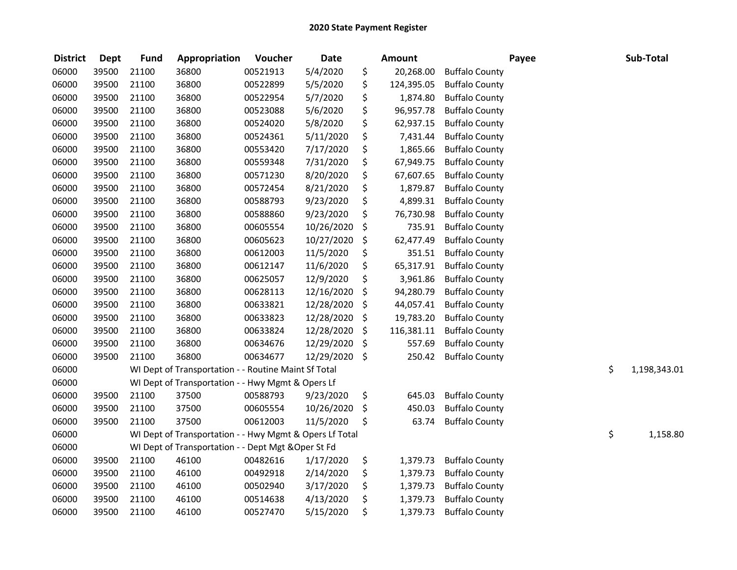| <b>District</b> | <b>Dept</b> | <b>Fund</b> | Appropriation                                           | Voucher  | <b>Date</b>   | <b>Amount</b>    |                       | Payee | Sub-Total          |
|-----------------|-------------|-------------|---------------------------------------------------------|----------|---------------|------------------|-----------------------|-------|--------------------|
| 06000           | 39500       | 21100       | 36800                                                   | 00521913 | 5/4/2020      | \$<br>20,268.00  | <b>Buffalo County</b> |       |                    |
| 06000           | 39500       | 21100       | 36800                                                   | 00522899 | 5/5/2020      | \$<br>124,395.05 | <b>Buffalo County</b> |       |                    |
| 06000           | 39500       | 21100       | 36800                                                   | 00522954 | 5/7/2020      | \$<br>1,874.80   | <b>Buffalo County</b> |       |                    |
| 06000           | 39500       | 21100       | 36800                                                   | 00523088 | 5/6/2020      | \$<br>96,957.78  | <b>Buffalo County</b> |       |                    |
| 06000           | 39500       | 21100       | 36800                                                   | 00524020 | 5/8/2020      | \$<br>62,937.15  | <b>Buffalo County</b> |       |                    |
| 06000           | 39500       | 21100       | 36800                                                   | 00524361 | 5/11/2020     | \$<br>7,431.44   | <b>Buffalo County</b> |       |                    |
| 06000           | 39500       | 21100       | 36800                                                   | 00553420 | 7/17/2020     | \$<br>1,865.66   | <b>Buffalo County</b> |       |                    |
| 06000           | 39500       | 21100       | 36800                                                   | 00559348 | 7/31/2020     | \$<br>67,949.75  | <b>Buffalo County</b> |       |                    |
| 06000           | 39500       | 21100       | 36800                                                   | 00571230 | 8/20/2020     | \$<br>67,607.65  | <b>Buffalo County</b> |       |                    |
| 06000           | 39500       | 21100       | 36800                                                   | 00572454 | 8/21/2020     | \$<br>1,879.87   | <b>Buffalo County</b> |       |                    |
| 06000           | 39500       | 21100       | 36800                                                   | 00588793 | 9/23/2020     | \$<br>4,899.31   | <b>Buffalo County</b> |       |                    |
| 06000           | 39500       | 21100       | 36800                                                   | 00588860 | 9/23/2020     | \$<br>76,730.98  | <b>Buffalo County</b> |       |                    |
| 06000           | 39500       | 21100       | 36800                                                   | 00605554 | 10/26/2020    | \$<br>735.91     | <b>Buffalo County</b> |       |                    |
| 06000           | 39500       | 21100       | 36800                                                   | 00605623 | 10/27/2020    | \$<br>62,477.49  | <b>Buffalo County</b> |       |                    |
| 06000           | 39500       | 21100       | 36800                                                   | 00612003 | 11/5/2020     | \$<br>351.51     | <b>Buffalo County</b> |       |                    |
| 06000           | 39500       | 21100       | 36800                                                   | 00612147 | 11/6/2020     | \$<br>65,317.91  | <b>Buffalo County</b> |       |                    |
| 06000           | 39500       | 21100       | 36800                                                   | 00625057 | 12/9/2020     | \$<br>3,961.86   | <b>Buffalo County</b> |       |                    |
| 06000           | 39500       | 21100       | 36800                                                   | 00628113 | 12/16/2020    | \$<br>94,280.79  | <b>Buffalo County</b> |       |                    |
| 06000           | 39500       | 21100       | 36800                                                   | 00633821 | 12/28/2020    | \$<br>44,057.41  | <b>Buffalo County</b> |       |                    |
| 06000           | 39500       | 21100       | 36800                                                   | 00633823 | 12/28/2020    | \$<br>19,783.20  | <b>Buffalo County</b> |       |                    |
| 06000           | 39500       | 21100       | 36800                                                   | 00633824 | 12/28/2020    | \$<br>116,381.11 | <b>Buffalo County</b> |       |                    |
| 06000           | 39500       | 21100       | 36800                                                   | 00634676 | 12/29/2020    | \$<br>557.69     | <b>Buffalo County</b> |       |                    |
| 06000           | 39500       | 21100       | 36800                                                   | 00634677 | 12/29/2020 \$ | 250.42           | <b>Buffalo County</b> |       |                    |
| 06000           |             |             | WI Dept of Transportation - - Routine Maint Sf Total    |          |               |                  |                       |       | \$<br>1,198,343.01 |
| 06000           |             |             | WI Dept of Transportation - - Hwy Mgmt & Opers Lf       |          |               |                  |                       |       |                    |
| 06000           | 39500       | 21100       | 37500                                                   | 00588793 | 9/23/2020     | \$<br>645.03     | <b>Buffalo County</b> |       |                    |
| 06000           | 39500       | 21100       | 37500                                                   | 00605554 | 10/26/2020    | \$<br>450.03     | <b>Buffalo County</b> |       |                    |
| 06000           | 39500       | 21100       | 37500                                                   | 00612003 | 11/5/2020     | \$<br>63.74      | <b>Buffalo County</b> |       |                    |
| 06000           |             |             | WI Dept of Transportation - - Hwy Mgmt & Opers Lf Total |          |               |                  |                       |       | \$<br>1,158.80     |
| 06000           |             |             | WI Dept of Transportation - - Dept Mgt & Oper St Fd     |          |               |                  |                       |       |                    |
| 06000           | 39500       | 21100       | 46100                                                   | 00482616 | 1/17/2020     | \$<br>1,379.73   | <b>Buffalo County</b> |       |                    |
| 06000           | 39500       | 21100       | 46100                                                   | 00492918 | 2/14/2020     | \$<br>1,379.73   | <b>Buffalo County</b> |       |                    |
| 06000           | 39500       | 21100       | 46100                                                   | 00502940 | 3/17/2020     | \$<br>1,379.73   | <b>Buffalo County</b> |       |                    |
| 06000           | 39500       | 21100       | 46100                                                   | 00514638 | 4/13/2020     | \$<br>1,379.73   | <b>Buffalo County</b> |       |                    |
| 06000           | 39500       | 21100       | 46100                                                   | 00527470 | 5/15/2020     | \$<br>1,379.73   | <b>Buffalo County</b> |       |                    |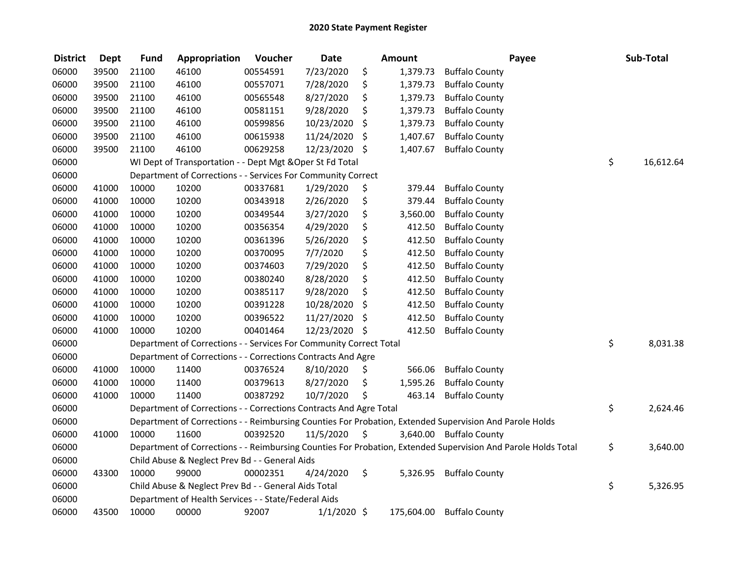| <b>District</b> | <b>Dept</b> | <b>Fund</b> | Appropriation                                                      | Voucher  | <b>Date</b>   | <b>Amount</b>  |                                                                                                               | Payee | Sub-Total       |
|-----------------|-------------|-------------|--------------------------------------------------------------------|----------|---------------|----------------|---------------------------------------------------------------------------------------------------------------|-------|-----------------|
| 06000           | 39500       | 21100       | 46100                                                              | 00554591 | 7/23/2020     | \$<br>1,379.73 | <b>Buffalo County</b>                                                                                         |       |                 |
| 06000           | 39500       | 21100       | 46100                                                              | 00557071 | 7/28/2020     | \$<br>1,379.73 | <b>Buffalo County</b>                                                                                         |       |                 |
| 06000           | 39500       | 21100       | 46100                                                              | 00565548 | 8/27/2020     | \$<br>1,379.73 | <b>Buffalo County</b>                                                                                         |       |                 |
| 06000           | 39500       | 21100       | 46100                                                              | 00581151 | 9/28/2020     | \$<br>1,379.73 | <b>Buffalo County</b>                                                                                         |       |                 |
| 06000           | 39500       | 21100       | 46100                                                              | 00599856 | 10/23/2020    | \$<br>1,379.73 | <b>Buffalo County</b>                                                                                         |       |                 |
| 06000           | 39500       | 21100       | 46100                                                              | 00615938 | 11/24/2020    | \$<br>1,407.67 | <b>Buffalo County</b>                                                                                         |       |                 |
| 06000           | 39500       | 21100       | 46100                                                              | 00629258 | 12/23/2020 \$ | 1,407.67       | <b>Buffalo County</b>                                                                                         |       |                 |
| 06000           |             |             | WI Dept of Transportation - - Dept Mgt & Oper St Fd Total          |          |               |                |                                                                                                               |       | \$<br>16,612.64 |
| 06000           |             |             | Department of Corrections - - Services For Community Correct       |          |               |                |                                                                                                               |       |                 |
| 06000           | 41000       | 10000       | 10200                                                              | 00337681 | 1/29/2020     | \$<br>379.44   | <b>Buffalo County</b>                                                                                         |       |                 |
| 06000           | 41000       | 10000       | 10200                                                              | 00343918 | 2/26/2020     | \$<br>379.44   | <b>Buffalo County</b>                                                                                         |       |                 |
| 06000           | 41000       | 10000       | 10200                                                              | 00349544 | 3/27/2020     | \$<br>3,560.00 | <b>Buffalo County</b>                                                                                         |       |                 |
| 06000           | 41000       | 10000       | 10200                                                              | 00356354 | 4/29/2020     | \$<br>412.50   | <b>Buffalo County</b>                                                                                         |       |                 |
| 06000           | 41000       | 10000       | 10200                                                              | 00361396 | 5/26/2020     | \$<br>412.50   | <b>Buffalo County</b>                                                                                         |       |                 |
| 06000           | 41000       | 10000       | 10200                                                              | 00370095 | 7/7/2020      | \$<br>412.50   | <b>Buffalo County</b>                                                                                         |       |                 |
| 06000           | 41000       | 10000       | 10200                                                              | 00374603 | 7/29/2020     | \$<br>412.50   | <b>Buffalo County</b>                                                                                         |       |                 |
| 06000           | 41000       | 10000       | 10200                                                              | 00380240 | 8/28/2020     | \$<br>412.50   | <b>Buffalo County</b>                                                                                         |       |                 |
| 06000           | 41000       | 10000       | 10200                                                              | 00385117 | 9/28/2020     | \$<br>412.50   | <b>Buffalo County</b>                                                                                         |       |                 |
| 06000           | 41000       | 10000       | 10200                                                              | 00391228 | 10/28/2020    | \$<br>412.50   | <b>Buffalo County</b>                                                                                         |       |                 |
| 06000           | 41000       | 10000       | 10200                                                              | 00396522 | 11/27/2020    | \$<br>412.50   | <b>Buffalo County</b>                                                                                         |       |                 |
| 06000           | 41000       | 10000       | 10200                                                              | 00401464 | 12/23/2020 \$ | 412.50         | <b>Buffalo County</b>                                                                                         |       |                 |
| 06000           |             |             | Department of Corrections - - Services For Community Correct Total |          |               |                |                                                                                                               |       | \$<br>8,031.38  |
| 06000           |             |             | Department of Corrections - - Corrections Contracts And Agre       |          |               |                |                                                                                                               |       |                 |
| 06000           | 41000       | 10000       | 11400                                                              | 00376524 | 8/10/2020     | \$<br>566.06   | <b>Buffalo County</b>                                                                                         |       |                 |
| 06000           | 41000       | 10000       | 11400                                                              | 00379613 | 8/27/2020     | \$<br>1,595.26 | <b>Buffalo County</b>                                                                                         |       |                 |
| 06000           | 41000       | 10000       | 11400                                                              | 00387292 | 10/7/2020     | \$<br>463.14   | <b>Buffalo County</b>                                                                                         |       |                 |
| 06000           |             |             | Department of Corrections - - Corrections Contracts And Agre Total |          |               |                |                                                                                                               |       | \$<br>2,624.46  |
| 06000           |             |             |                                                                    |          |               |                | Department of Corrections - - Reimbursing Counties For Probation, Extended Supervision And Parole Holds       |       |                 |
| 06000           | 41000       | 10000       | 11600                                                              | 00392520 | 11/5/2020     | \$             | 3,640.00 Buffalo County                                                                                       |       |                 |
| 06000           |             |             |                                                                    |          |               |                | Department of Corrections - - Reimbursing Counties For Probation, Extended Supervision And Parole Holds Total |       | \$<br>3,640.00  |
| 06000           |             |             | Child Abuse & Neglect Prev Bd - - General Aids                     |          |               |                |                                                                                                               |       |                 |
| 06000           | 43300       | 10000       | 99000                                                              | 00002351 | 4/24/2020     | \$<br>5,326.95 | <b>Buffalo County</b>                                                                                         |       |                 |
| 06000           |             |             | Child Abuse & Neglect Prev Bd - - General Aids Total               |          |               |                |                                                                                                               |       | \$<br>5,326.95  |
| 06000           |             |             | Department of Health Services - - State/Federal Aids               |          |               |                |                                                                                                               |       |                 |
| 06000           | 43500       | 10000       | 00000                                                              | 92007    | $1/1/2020$ \$ | 175,604.00     | <b>Buffalo County</b>                                                                                         |       |                 |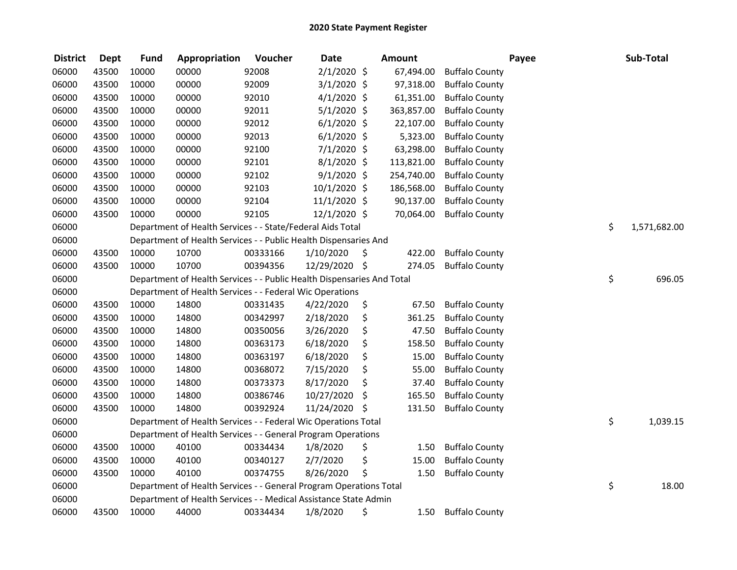| <b>District</b> | <b>Dept</b> | <b>Fund</b> | Appropriation                                                          | Voucher  | <b>Date</b>    | <b>Amount</b> |                       | Payee | Sub-Total    |
|-----------------|-------------|-------------|------------------------------------------------------------------------|----------|----------------|---------------|-----------------------|-------|--------------|
| 06000           | 43500       | 10000       | 00000                                                                  | 92008    | 2/1/2020 \$    | 67,494.00     | <b>Buffalo County</b> |       |              |
| 06000           | 43500       | 10000       | 00000                                                                  | 92009    | $3/1/2020$ \$  | 97,318.00     | <b>Buffalo County</b> |       |              |
| 06000           | 43500       | 10000       | 00000                                                                  | 92010    | $4/1/2020$ \$  | 61,351.00     | <b>Buffalo County</b> |       |              |
| 06000           | 43500       | 10000       | 00000                                                                  | 92011    | $5/1/2020$ \$  | 363,857.00    | <b>Buffalo County</b> |       |              |
| 06000           | 43500       | 10000       | 00000                                                                  | 92012    | $6/1/2020$ \$  | 22,107.00     | <b>Buffalo County</b> |       |              |
| 06000           | 43500       | 10000       | 00000                                                                  | 92013    | $6/1/2020$ \$  | 5,323.00      | <b>Buffalo County</b> |       |              |
| 06000           | 43500       | 10000       | 00000                                                                  | 92100    | 7/1/2020 \$    | 63,298.00     | <b>Buffalo County</b> |       |              |
| 06000           | 43500       | 10000       | 00000                                                                  | 92101    | $8/1/2020$ \$  | 113,821.00    | <b>Buffalo County</b> |       |              |
| 06000           | 43500       | 10000       | 00000                                                                  | 92102    | $9/1/2020$ \$  | 254,740.00    | <b>Buffalo County</b> |       |              |
| 06000           | 43500       | 10000       | 00000                                                                  | 92103    | 10/1/2020 \$   | 186,568.00    | <b>Buffalo County</b> |       |              |
| 06000           | 43500       | 10000       | 00000                                                                  | 92104    | $11/1/2020$ \$ | 90,137.00     | <b>Buffalo County</b> |       |              |
| 06000           | 43500       | 10000       | 00000                                                                  | 92105    | 12/1/2020 \$   | 70,064.00     | <b>Buffalo County</b> |       |              |
| 06000           |             |             | Department of Health Services - - State/Federal Aids Total             |          |                |               |                       | \$    | 1,571,682.00 |
| 06000           |             |             | Department of Health Services - - Public Health Dispensaries And       |          |                |               |                       |       |              |
| 06000           | 43500       | 10000       | 10700                                                                  | 00333166 | 1/10/2020      | \$<br>422.00  | <b>Buffalo County</b> |       |              |
| 06000           | 43500       | 10000       | 10700                                                                  | 00394356 | 12/29/2020 \$  | 274.05        | <b>Buffalo County</b> |       |              |
| 06000           |             |             | Department of Health Services - - Public Health Dispensaries And Total |          |                |               |                       | \$    | 696.05       |
| 06000           |             |             | Department of Health Services - - Federal Wic Operations               |          |                |               |                       |       |              |
| 06000           | 43500       | 10000       | 14800                                                                  | 00331435 | 4/22/2020      | \$<br>67.50   | <b>Buffalo County</b> |       |              |
| 06000           | 43500       | 10000       | 14800                                                                  | 00342997 | 2/18/2020      | \$<br>361.25  | <b>Buffalo County</b> |       |              |
| 06000           | 43500       | 10000       | 14800                                                                  | 00350056 | 3/26/2020      | \$<br>47.50   | <b>Buffalo County</b> |       |              |
| 06000           | 43500       | 10000       | 14800                                                                  | 00363173 | 6/18/2020      | \$<br>158.50  | <b>Buffalo County</b> |       |              |
| 06000           | 43500       | 10000       | 14800                                                                  | 00363197 | 6/18/2020      | \$<br>15.00   | <b>Buffalo County</b> |       |              |
| 06000           | 43500       | 10000       | 14800                                                                  | 00368072 | 7/15/2020      | \$<br>55.00   | <b>Buffalo County</b> |       |              |
| 06000           | 43500       | 10000       | 14800                                                                  | 00373373 | 8/17/2020      | \$<br>37.40   | <b>Buffalo County</b> |       |              |
| 06000           | 43500       | 10000       | 14800                                                                  | 00386746 | 10/27/2020     | \$<br>165.50  | <b>Buffalo County</b> |       |              |
| 06000           | 43500       | 10000       | 14800                                                                  | 00392924 | 11/24/2020     | \$<br>131.50  | <b>Buffalo County</b> |       |              |
| 06000           |             |             | Department of Health Services - - Federal Wic Operations Total         |          |                |               |                       | \$    | 1,039.15     |
| 06000           |             |             | Department of Health Services - - General Program Operations           |          |                |               |                       |       |              |
| 06000           | 43500       | 10000       | 40100                                                                  | 00334434 | 1/8/2020       | \$<br>1.50    | <b>Buffalo County</b> |       |              |
| 06000           | 43500       | 10000       | 40100                                                                  | 00340127 | 2/7/2020       | \$<br>15.00   | <b>Buffalo County</b> |       |              |
| 06000           | 43500       | 10000       | 40100                                                                  | 00374755 | 8/26/2020      | \$<br>1.50    | <b>Buffalo County</b> |       |              |
| 06000           |             |             | Department of Health Services - - General Program Operations Total     |          |                |               |                       | \$    | 18.00        |
| 06000           |             |             | Department of Health Services - - Medical Assistance State Admin       |          |                |               |                       |       |              |
| 06000           | 43500       | 10000       | 44000                                                                  | 00334434 | 1/8/2020       | \$<br>1.50    | <b>Buffalo County</b> |       |              |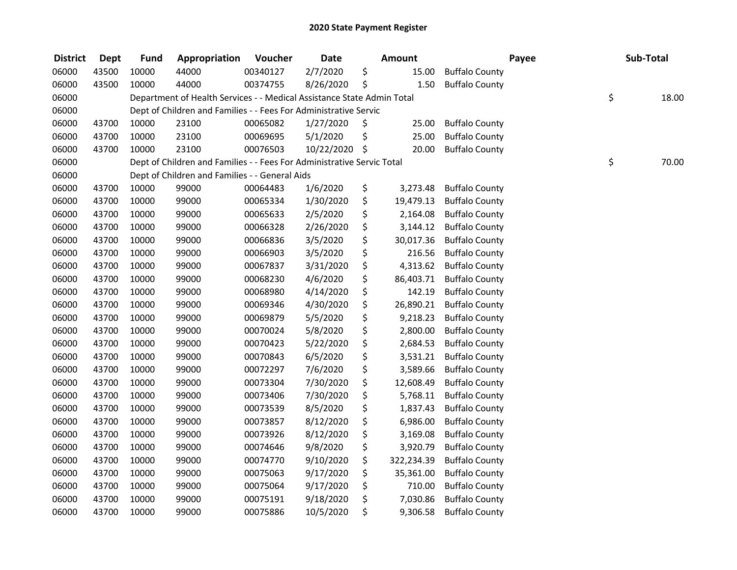| <b>District</b> | <b>Dept</b> | <b>Fund</b> | Appropriation                                                          | Voucher  | <b>Date</b> |     | <b>Amount</b> |                       | Payee | Sub-Total   |
|-----------------|-------------|-------------|------------------------------------------------------------------------|----------|-------------|-----|---------------|-----------------------|-------|-------------|
| 06000           | 43500       | 10000       | 44000                                                                  | 00340127 | 2/7/2020    | \$  | 15.00         | <b>Buffalo County</b> |       |             |
| 06000           | 43500       | 10000       | 44000                                                                  | 00374755 | 8/26/2020   | \$  | 1.50          | <b>Buffalo County</b> |       |             |
| 06000           |             |             | Department of Health Services - - Medical Assistance State Admin Total |          |             |     |               |                       |       | \$<br>18.00 |
| 06000           |             |             | Dept of Children and Families - - Fees For Administrative Servic       |          |             |     |               |                       |       |             |
| 06000           | 43700       | 10000       | 23100                                                                  | 00065082 | 1/27/2020   | \$  | 25.00         | <b>Buffalo County</b> |       |             |
| 06000           | 43700       | 10000       | 23100                                                                  | 00069695 | 5/1/2020    | \$  | 25.00         | <b>Buffalo County</b> |       |             |
| 06000           | 43700       | 10000       | 23100                                                                  | 00076503 | 10/22/2020  | -\$ | 20.00         | <b>Buffalo County</b> |       |             |
| 06000           |             |             | Dept of Children and Families - - Fees For Administrative Servic Total |          |             |     |               |                       |       | \$<br>70.00 |
| 06000           |             |             | Dept of Children and Families - - General Aids                         |          |             |     |               |                       |       |             |
| 06000           | 43700       | 10000       | 99000                                                                  | 00064483 | 1/6/2020    | \$  | 3,273.48      | <b>Buffalo County</b> |       |             |
| 06000           | 43700       | 10000       | 99000                                                                  | 00065334 | 1/30/2020   | \$  | 19,479.13     | <b>Buffalo County</b> |       |             |
| 06000           | 43700       | 10000       | 99000                                                                  | 00065633 | 2/5/2020    | \$  | 2,164.08      | <b>Buffalo County</b> |       |             |
| 06000           | 43700       | 10000       | 99000                                                                  | 00066328 | 2/26/2020   | \$  | 3,144.12      | <b>Buffalo County</b> |       |             |
| 06000           | 43700       | 10000       | 99000                                                                  | 00066836 | 3/5/2020    | \$  | 30,017.36     | <b>Buffalo County</b> |       |             |
| 06000           | 43700       | 10000       | 99000                                                                  | 00066903 | 3/5/2020    | \$  | 216.56        | <b>Buffalo County</b> |       |             |
| 06000           | 43700       | 10000       | 99000                                                                  | 00067837 | 3/31/2020   | \$  | 4,313.62      | <b>Buffalo County</b> |       |             |
| 06000           | 43700       | 10000       | 99000                                                                  | 00068230 | 4/6/2020    | \$  | 86,403.71     | <b>Buffalo County</b> |       |             |
| 06000           | 43700       | 10000       | 99000                                                                  | 00068980 | 4/14/2020   | \$  | 142.19        | <b>Buffalo County</b> |       |             |
| 06000           | 43700       | 10000       | 99000                                                                  | 00069346 | 4/30/2020   | \$  | 26,890.21     | <b>Buffalo County</b> |       |             |
| 06000           | 43700       | 10000       | 99000                                                                  | 00069879 | 5/5/2020    | \$  | 9,218.23      | <b>Buffalo County</b> |       |             |
| 06000           | 43700       | 10000       | 99000                                                                  | 00070024 | 5/8/2020    | \$  | 2,800.00      | <b>Buffalo County</b> |       |             |
| 06000           | 43700       | 10000       | 99000                                                                  | 00070423 | 5/22/2020   | \$  | 2,684.53      | <b>Buffalo County</b> |       |             |
| 06000           | 43700       | 10000       | 99000                                                                  | 00070843 | 6/5/2020    | \$  | 3,531.21      | <b>Buffalo County</b> |       |             |
| 06000           | 43700       | 10000       | 99000                                                                  | 00072297 | 7/6/2020    | \$  | 3,589.66      | <b>Buffalo County</b> |       |             |
| 06000           | 43700       | 10000       | 99000                                                                  | 00073304 | 7/30/2020   | \$  | 12,608.49     | <b>Buffalo County</b> |       |             |
| 06000           | 43700       | 10000       | 99000                                                                  | 00073406 | 7/30/2020   | \$  | 5,768.11      | <b>Buffalo County</b> |       |             |
| 06000           | 43700       | 10000       | 99000                                                                  | 00073539 | 8/5/2020    | \$  | 1,837.43      | <b>Buffalo County</b> |       |             |
| 06000           | 43700       | 10000       | 99000                                                                  | 00073857 | 8/12/2020   | \$  | 6,986.00      | <b>Buffalo County</b> |       |             |
| 06000           | 43700       | 10000       | 99000                                                                  | 00073926 | 8/12/2020   | \$  | 3,169.08      | <b>Buffalo County</b> |       |             |
| 06000           | 43700       | 10000       | 99000                                                                  | 00074646 | 9/8/2020    | \$  | 3,920.79      | <b>Buffalo County</b> |       |             |
| 06000           | 43700       | 10000       | 99000                                                                  | 00074770 | 9/10/2020   | \$  | 322,234.39    | <b>Buffalo County</b> |       |             |
| 06000           | 43700       | 10000       | 99000                                                                  | 00075063 | 9/17/2020   | \$  | 35,361.00     | <b>Buffalo County</b> |       |             |
| 06000           | 43700       | 10000       | 99000                                                                  | 00075064 | 9/17/2020   | \$  | 710.00        | <b>Buffalo County</b> |       |             |
| 06000           | 43700       | 10000       | 99000                                                                  | 00075191 | 9/18/2020   | \$  | 7,030.86      | <b>Buffalo County</b> |       |             |
| 06000           | 43700       | 10000       | 99000                                                                  | 00075886 | 10/5/2020   | \$  | 9,306.58      | <b>Buffalo County</b> |       |             |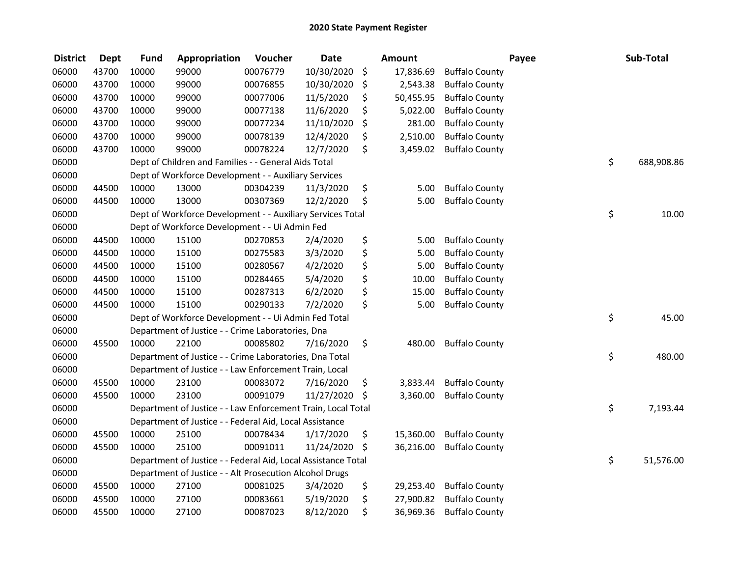| <b>District</b> | <b>Dept</b> | <b>Fund</b> | Appropriation                                                 | Voucher  | <b>Date</b> | <b>Amount</b>   |                       | Payee | Sub-Total  |
|-----------------|-------------|-------------|---------------------------------------------------------------|----------|-------------|-----------------|-----------------------|-------|------------|
| 06000           | 43700       | 10000       | 99000                                                         | 00076779 | 10/30/2020  | \$<br>17,836.69 | <b>Buffalo County</b> |       |            |
| 06000           | 43700       | 10000       | 99000                                                         | 00076855 | 10/30/2020  | \$<br>2,543.38  | <b>Buffalo County</b> |       |            |
| 06000           | 43700       | 10000       | 99000                                                         | 00077006 | 11/5/2020   | \$<br>50,455.95 | <b>Buffalo County</b> |       |            |
| 06000           | 43700       | 10000       | 99000                                                         | 00077138 | 11/6/2020   | \$<br>5,022.00  | <b>Buffalo County</b> |       |            |
| 06000           | 43700       | 10000       | 99000                                                         | 00077234 | 11/10/2020  | \$<br>281.00    | <b>Buffalo County</b> |       |            |
| 06000           | 43700       | 10000       | 99000                                                         | 00078139 | 12/4/2020   | \$<br>2,510.00  | <b>Buffalo County</b> |       |            |
| 06000           | 43700       | 10000       | 99000                                                         | 00078224 | 12/7/2020   | \$<br>3,459.02  | <b>Buffalo County</b> |       |            |
| 06000           |             |             | Dept of Children and Families - - General Aids Total          |          |             |                 |                       | \$    | 688,908.86 |
| 06000           |             |             | Dept of Workforce Development - - Auxiliary Services          |          |             |                 |                       |       |            |
| 06000           | 44500       | 10000       | 13000                                                         | 00304239 | 11/3/2020   | \$<br>5.00      | <b>Buffalo County</b> |       |            |
| 06000           | 44500       | 10000       | 13000                                                         | 00307369 | 12/2/2020   | \$<br>5.00      | <b>Buffalo County</b> |       |            |
| 06000           |             |             | Dept of Workforce Development - - Auxiliary Services Total    |          |             |                 |                       | \$    | 10.00      |
| 06000           |             |             | Dept of Workforce Development - - Ui Admin Fed                |          |             |                 |                       |       |            |
| 06000           | 44500       | 10000       | 15100                                                         | 00270853 | 2/4/2020    | \$<br>5.00      | <b>Buffalo County</b> |       |            |
| 06000           | 44500       | 10000       | 15100                                                         | 00275583 | 3/3/2020    | \$<br>5.00      | <b>Buffalo County</b> |       |            |
| 06000           | 44500       | 10000       | 15100                                                         | 00280567 | 4/2/2020    | \$<br>5.00      | <b>Buffalo County</b> |       |            |
| 06000           | 44500       | 10000       | 15100                                                         | 00284465 | 5/4/2020    | \$<br>10.00     | <b>Buffalo County</b> |       |            |
| 06000           | 44500       | 10000       | 15100                                                         | 00287313 | 6/2/2020    | \$<br>15.00     | <b>Buffalo County</b> |       |            |
| 06000           | 44500       | 10000       | 15100                                                         | 00290133 | 7/2/2020    | \$<br>5.00      | <b>Buffalo County</b> |       |            |
| 06000           |             |             | Dept of Workforce Development - - Ui Admin Fed Total          |          |             |                 |                       | \$    | 45.00      |
| 06000           |             |             | Department of Justice - - Crime Laboratories, Dna             |          |             |                 |                       |       |            |
| 06000           | 45500       | 10000       | 22100                                                         | 00085802 | 7/16/2020   | \$<br>480.00    | <b>Buffalo County</b> |       |            |
| 06000           |             |             | Department of Justice - - Crime Laboratories, Dna Total       |          |             |                 |                       | \$    | 480.00     |
| 06000           |             |             | Department of Justice - - Law Enforcement Train, Local        |          |             |                 |                       |       |            |
| 06000           | 45500       | 10000       | 23100                                                         | 00083072 | 7/16/2020   | \$<br>3,833.44  | <b>Buffalo County</b> |       |            |
| 06000           | 45500       | 10000       | 23100                                                         | 00091079 | 11/27/2020  | \$<br>3,360.00  | <b>Buffalo County</b> |       |            |
| 06000           |             |             | Department of Justice - - Law Enforcement Train, Local Total  |          |             |                 |                       | \$    | 7,193.44   |
| 06000           |             |             | Department of Justice - - Federal Aid, Local Assistance       |          |             |                 |                       |       |            |
| 06000           | 45500       | 10000       | 25100                                                         | 00078434 | 1/17/2020   | \$<br>15,360.00 | <b>Buffalo County</b> |       |            |
| 06000           | 45500       | 10000       | 25100                                                         | 00091011 | 11/24/2020  | \$<br>36,216.00 | <b>Buffalo County</b> |       |            |
| 06000           |             |             | Department of Justice - - Federal Aid, Local Assistance Total |          |             |                 |                       | \$    | 51,576.00  |
| 06000           |             |             | Department of Justice - - Alt Prosecution Alcohol Drugs       |          |             |                 |                       |       |            |
| 06000           | 45500       | 10000       | 27100                                                         | 00081025 | 3/4/2020    | \$<br>29,253.40 | <b>Buffalo County</b> |       |            |
| 06000           | 45500       | 10000       | 27100                                                         | 00083661 | 5/19/2020   | \$<br>27,900.82 | <b>Buffalo County</b> |       |            |
| 06000           | 45500       | 10000       | 27100                                                         | 00087023 | 8/12/2020   | \$<br>36,969.36 | <b>Buffalo County</b> |       |            |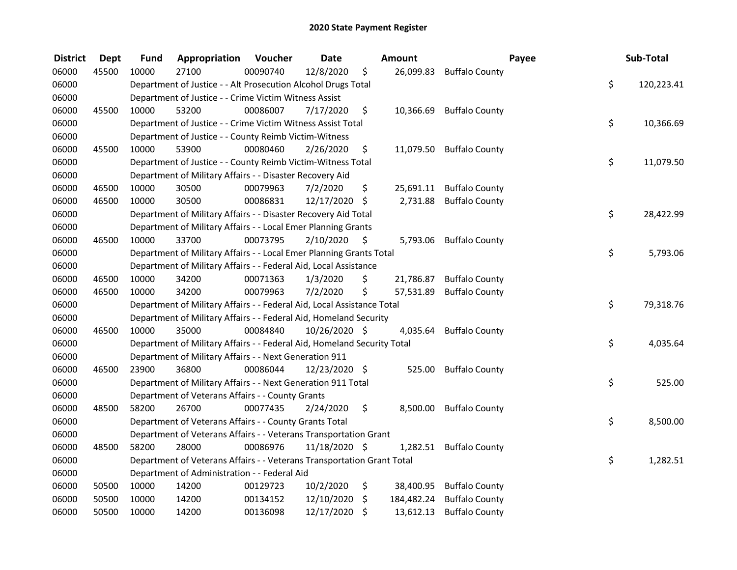| <b>District</b> | <b>Dept</b> | Fund  | Appropriation                                                           | Voucher  | <b>Date</b>   |     | Amount     |                          | Payee | Sub-Total  |
|-----------------|-------------|-------|-------------------------------------------------------------------------|----------|---------------|-----|------------|--------------------------|-------|------------|
| 06000           | 45500       | 10000 | 27100                                                                   | 00090740 | 12/8/2020     | \$  | 26,099.83  | <b>Buffalo County</b>    |       |            |
| 06000           |             |       | Department of Justice - - Alt Prosecution Alcohol Drugs Total           |          |               |     |            |                          | \$    | 120,223.41 |
| 06000           |             |       | Department of Justice - - Crime Victim Witness Assist                   |          |               |     |            |                          |       |            |
| 06000           | 45500       | 10000 | 53200                                                                   | 00086007 | 7/17/2020     | \$  | 10,366.69  | <b>Buffalo County</b>    |       |            |
| 06000           |             |       | Department of Justice - - Crime Victim Witness Assist Total             |          |               |     |            |                          | \$    | 10,366.69  |
| 06000           |             |       | Department of Justice - - County Reimb Victim-Witness                   |          |               |     |            |                          |       |            |
| 06000           | 45500       | 10000 | 53900                                                                   | 00080460 | 2/26/2020     | \$  |            | 11,079.50 Buffalo County |       |            |
| 06000           |             |       | Department of Justice - - County Reimb Victim-Witness Total             |          |               |     |            |                          | \$    | 11,079.50  |
| 06000           |             |       | Department of Military Affairs - - Disaster Recovery Aid                |          |               |     |            |                          |       |            |
| 06000           | 46500       | 10000 | 30500                                                                   | 00079963 | 7/2/2020      | \$  |            | 25,691.11 Buffalo County |       |            |
| 06000           | 46500       | 10000 | 30500                                                                   | 00086831 | 12/17/2020    | \$  | 2,731.88   | <b>Buffalo County</b>    |       |            |
| 06000           |             |       | Department of Military Affairs - - Disaster Recovery Aid Total          |          |               |     |            |                          | \$    | 28,422.99  |
| 06000           |             |       | Department of Military Affairs - - Local Emer Planning Grants           |          |               |     |            |                          |       |            |
| 06000           | 46500       | 10000 | 33700                                                                   | 00073795 | 2/10/2020     | -\$ | 5,793.06   | <b>Buffalo County</b>    |       |            |
| 06000           |             |       | Department of Military Affairs - - Local Emer Planning Grants Total     |          |               |     |            |                          | \$    | 5,793.06   |
| 06000           |             |       | Department of Military Affairs - - Federal Aid, Local Assistance        |          |               |     |            |                          |       |            |
| 06000           | 46500       | 10000 | 34200                                                                   | 00071363 | 1/3/2020      | \$  | 21,786.87  | <b>Buffalo County</b>    |       |            |
| 06000           | 46500       | 10000 | 34200                                                                   | 00079963 | 7/2/2020      | \$  | 57,531.89  | <b>Buffalo County</b>    |       |            |
| 06000           |             |       | Department of Military Affairs - - Federal Aid, Local Assistance Total  |          |               |     |            |                          | \$    | 79,318.76  |
| 06000           |             |       | Department of Military Affairs - - Federal Aid, Homeland Security       |          |               |     |            |                          |       |            |
| 06000           | 46500       | 10000 | 35000                                                                   | 00084840 | 10/26/2020 \$ |     | 4,035.64   | <b>Buffalo County</b>    |       |            |
| 06000           |             |       | Department of Military Affairs - - Federal Aid, Homeland Security Total |          |               |     |            |                          | \$    | 4,035.64   |
| 06000           |             |       | Department of Military Affairs - - Next Generation 911                  |          |               |     |            |                          |       |            |
| 06000           | 46500       | 23900 | 36800                                                                   | 00086044 | 12/23/2020 \$ |     | 525.00     | <b>Buffalo County</b>    |       |            |
| 06000           |             |       | Department of Military Affairs - - Next Generation 911 Total            |          |               |     |            |                          | \$    | 525.00     |
| 06000           |             |       | Department of Veterans Affairs - - County Grants                        |          |               |     |            |                          |       |            |
| 06000           | 48500       | 58200 | 26700                                                                   | 00077435 | 2/24/2020     | \$  | 8,500.00   | <b>Buffalo County</b>    |       |            |
| 06000           |             |       | Department of Veterans Affairs - - County Grants Total                  |          |               |     |            |                          | \$    | 8,500.00   |
| 06000           |             |       | Department of Veterans Affairs - - Veterans Transportation Grant        |          |               |     |            |                          |       |            |
| 06000           | 48500       | 58200 | 28000                                                                   | 00086976 | 11/18/2020 \$ |     | 1,282.51   | <b>Buffalo County</b>    |       |            |
| 06000           |             |       | Department of Veterans Affairs - - Veterans Transportation Grant Total  |          |               |     |            |                          | \$    | 1,282.51   |
| 06000           |             |       | Department of Administration - - Federal Aid                            |          |               |     |            |                          |       |            |
| 06000           | 50500       | 10000 | 14200                                                                   | 00129723 | 10/2/2020     | \$  | 38,400.95  | <b>Buffalo County</b>    |       |            |
| 06000           | 50500       | 10000 | 14200                                                                   | 00134152 | 12/10/2020    | \$  | 184,482.24 | <b>Buffalo County</b>    |       |            |
| 06000           | 50500       | 10000 | 14200                                                                   | 00136098 | 12/17/2020    | \$  | 13,612.13  | <b>Buffalo County</b>    |       |            |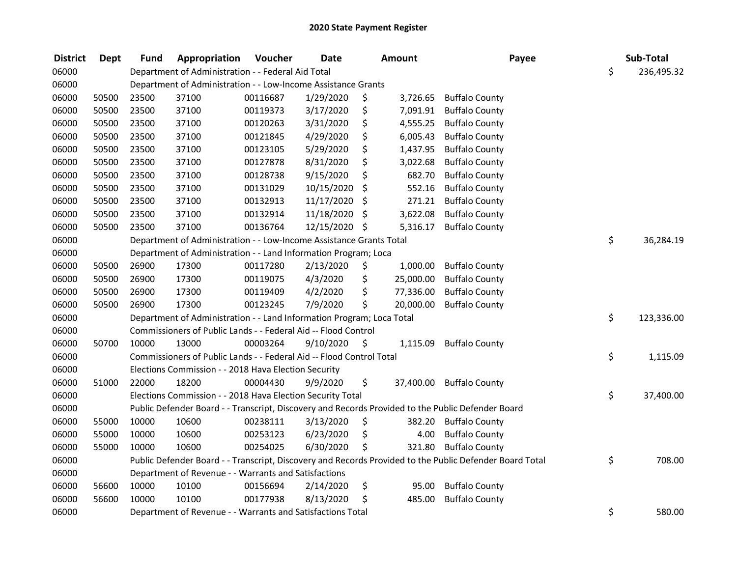| <b>District</b> | <b>Dept</b> | <b>Fund</b> | Appropriation                                                         | Voucher  | <b>Date</b> |         | <b>Amount</b> | Payee                                                                                                   | Sub-Total        |
|-----------------|-------------|-------------|-----------------------------------------------------------------------|----------|-------------|---------|---------------|---------------------------------------------------------------------------------------------------------|------------------|
| 06000           |             |             | Department of Administration - - Federal Aid Total                    |          |             |         |               |                                                                                                         | \$<br>236,495.32 |
| 06000           |             |             | Department of Administration - - Low-Income Assistance Grants         |          |             |         |               |                                                                                                         |                  |
| 06000           | 50500       | 23500       | 37100                                                                 | 00116687 | 1/29/2020   | \$      | 3,726.65      | <b>Buffalo County</b>                                                                                   |                  |
| 06000           | 50500       | 23500       | 37100                                                                 | 00119373 | 3/17/2020   | \$      | 7,091.91      | <b>Buffalo County</b>                                                                                   |                  |
| 06000           | 50500       | 23500       | 37100                                                                 | 00120263 | 3/31/2020   | \$      | 4,555.25      | <b>Buffalo County</b>                                                                                   |                  |
| 06000           | 50500       | 23500       | 37100                                                                 | 00121845 | 4/29/2020   | \$      | 6,005.43      | <b>Buffalo County</b>                                                                                   |                  |
| 06000           | 50500       | 23500       | 37100                                                                 | 00123105 | 5/29/2020   | \$      | 1,437.95      | <b>Buffalo County</b>                                                                                   |                  |
| 06000           | 50500       | 23500       | 37100                                                                 | 00127878 | 8/31/2020   | \$      | 3,022.68      | <b>Buffalo County</b>                                                                                   |                  |
| 06000           | 50500       | 23500       | 37100                                                                 | 00128738 | 9/15/2020   | \$      | 682.70        | <b>Buffalo County</b>                                                                                   |                  |
| 06000           | 50500       | 23500       | 37100                                                                 | 00131029 | 10/15/2020  | \$      | 552.16        | <b>Buffalo County</b>                                                                                   |                  |
| 06000           | 50500       | 23500       | 37100                                                                 | 00132913 | 11/17/2020  | \$      | 271.21        | <b>Buffalo County</b>                                                                                   |                  |
| 06000           | 50500       | 23500       | 37100                                                                 | 00132914 | 11/18/2020  | \$      | 3,622.08      | <b>Buffalo County</b>                                                                                   |                  |
| 06000           | 50500       | 23500       | 37100                                                                 | 00136764 | 12/15/2020  | \$      | 5,316.17      | <b>Buffalo County</b>                                                                                   |                  |
| 06000           |             |             | Department of Administration - - Low-Income Assistance Grants Total   |          |             |         |               |                                                                                                         | \$<br>36,284.19  |
| 06000           |             |             | Department of Administration - - Land Information Program; Loca       |          |             |         |               |                                                                                                         |                  |
| 06000           | 50500       | 26900       | 17300                                                                 | 00117280 | 2/13/2020   | \$      | 1,000.00      | <b>Buffalo County</b>                                                                                   |                  |
| 06000           | 50500       | 26900       | 17300                                                                 | 00119075 | 4/3/2020    | \$      | 25,000.00     | <b>Buffalo County</b>                                                                                   |                  |
| 06000           | 50500       | 26900       | 17300                                                                 | 00119409 | 4/2/2020    | \$      | 77,336.00     | <b>Buffalo County</b>                                                                                   |                  |
| 06000           | 50500       | 26900       | 17300                                                                 | 00123245 | 7/9/2020    | \$      | 20,000.00     | <b>Buffalo County</b>                                                                                   |                  |
| 06000           |             |             | Department of Administration - - Land Information Program; Loca Total |          |             |         |               |                                                                                                         | \$<br>123,336.00 |
| 06000           |             |             | Commissioners of Public Lands - - Federal Aid -- Flood Control        |          |             |         |               |                                                                                                         |                  |
| 06000           | 50700       | 10000       | 13000                                                                 | 00003264 | 9/10/2020   | $\zeta$ | 1,115.09      | <b>Buffalo County</b>                                                                                   |                  |
| 06000           |             |             | Commissioners of Public Lands - - Federal Aid -- Flood Control Total  |          |             |         |               |                                                                                                         | \$<br>1,115.09   |
| 06000           |             |             | Elections Commission - - 2018 Hava Election Security                  |          |             |         |               |                                                                                                         |                  |
| 06000           | 51000       | 22000       | 18200                                                                 | 00004430 | 9/9/2020    | \$      |               | 37,400.00 Buffalo County                                                                                |                  |
| 06000           |             |             | Elections Commission - - 2018 Hava Election Security Total            |          |             |         |               |                                                                                                         | \$<br>37,400.00  |
| 06000           |             |             |                                                                       |          |             |         |               | Public Defender Board - - Transcript, Discovery and Records Provided to the Public Defender Board       |                  |
| 06000           | 55000       | 10000       | 10600                                                                 | 00238111 | 3/13/2020   | \$      | 382.20        | <b>Buffalo County</b>                                                                                   |                  |
| 06000           | 55000       | 10000       | 10600                                                                 | 00253123 | 6/23/2020   | \$      | 4.00          | <b>Buffalo County</b>                                                                                   |                  |
| 06000           | 55000       | 10000       | 10600                                                                 | 00254025 | 6/30/2020   | \$      | 321.80        | <b>Buffalo County</b>                                                                                   |                  |
| 06000           |             |             |                                                                       |          |             |         |               | Public Defender Board - - Transcript, Discovery and Records Provided to the Public Defender Board Total | \$<br>708.00     |
| 06000           |             |             | Department of Revenue - - Warrants and Satisfactions                  |          |             |         |               |                                                                                                         |                  |
| 06000           | 56600       | 10000       | 10100                                                                 | 00156694 | 2/14/2020   | \$      | 95.00         | <b>Buffalo County</b>                                                                                   |                  |
| 06000           | 56600       | 10000       | 10100                                                                 | 00177938 | 8/13/2020   | \$      | 485.00        | <b>Buffalo County</b>                                                                                   |                  |
| 06000           |             |             | Department of Revenue - - Warrants and Satisfactions Total            |          |             |         |               |                                                                                                         | \$<br>580.00     |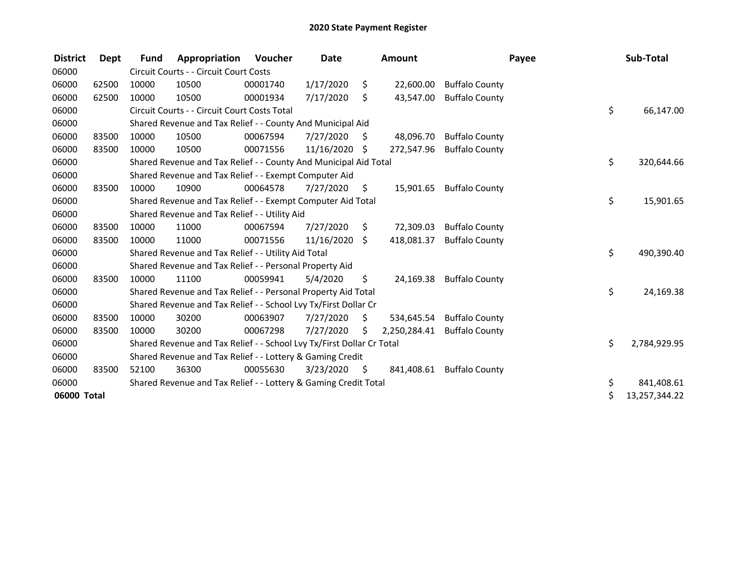| <b>District</b> | Dept  | <b>Fund</b> | Appropriation                                                         | Voucher  | Date       |     | Amount       |                       | Payee | Sub-Total     |
|-----------------|-------|-------------|-----------------------------------------------------------------------|----------|------------|-----|--------------|-----------------------|-------|---------------|
| 06000           |       |             | Circuit Courts - - Circuit Court Costs                                |          |            |     |              |                       |       |               |
| 06000           | 62500 | 10000       | 10500                                                                 | 00001740 | 1/17/2020  | \$  | 22,600.00    | <b>Buffalo County</b> |       |               |
| 06000           | 62500 | 10000       | 10500                                                                 | 00001934 | 7/17/2020  | \$  | 43,547.00    | <b>Buffalo County</b> |       |               |
| 06000           |       |             | Circuit Courts - - Circuit Court Costs Total                          |          |            |     |              |                       | \$    | 66,147.00     |
| 06000           |       |             | Shared Revenue and Tax Relief - - County And Municipal Aid            |          |            |     |              |                       |       |               |
| 06000           | 83500 | 10000       | 10500                                                                 | 00067594 | 7/27/2020  | \$. | 48,096.70    | <b>Buffalo County</b> |       |               |
| 06000           | 83500 | 10000       | 10500                                                                 | 00071556 | 11/16/2020 | S   | 272,547.96   | <b>Buffalo County</b> |       |               |
| 06000           |       |             | Shared Revenue and Tax Relief - - County And Municipal Aid Total      |          |            |     |              |                       | \$    | 320,644.66    |
| 06000           |       |             | Shared Revenue and Tax Relief - - Exempt Computer Aid                 |          |            |     |              |                       |       |               |
| 06000           | 83500 | 10000       | 10900                                                                 | 00064578 | 7/27/2020  | \$  | 15,901.65    | <b>Buffalo County</b> |       |               |
| 06000           |       |             | Shared Revenue and Tax Relief - - Exempt Computer Aid Total           |          |            |     |              |                       | \$    | 15,901.65     |
| 06000           |       |             | Shared Revenue and Tax Relief - - Utility Aid                         |          |            |     |              |                       |       |               |
| 06000           | 83500 | 10000       | 11000                                                                 | 00067594 | 7/27/2020  | S   | 72,309.03    | <b>Buffalo County</b> |       |               |
| 06000           | 83500 | 10000       | 11000                                                                 | 00071556 | 11/16/2020 | \$  | 418,081.37   | <b>Buffalo County</b> |       |               |
| 06000           |       |             | Shared Revenue and Tax Relief - - Utility Aid Total                   |          |            |     |              |                       | \$    | 490,390.40    |
| 06000           |       |             | Shared Revenue and Tax Relief - - Personal Property Aid               |          |            |     |              |                       |       |               |
| 06000           | 83500 | 10000       | 11100                                                                 | 00059941 | 5/4/2020   | \$  | 24,169.38    | <b>Buffalo County</b> |       |               |
| 06000           |       |             | Shared Revenue and Tax Relief - - Personal Property Aid Total         |          |            |     |              |                       | \$    | 24,169.38     |
| 06000           |       |             | Shared Revenue and Tax Relief - - School Lvy Tx/First Dollar Cr       |          |            |     |              |                       |       |               |
| 06000           | 83500 | 10000       | 30200                                                                 | 00063907 | 7/27/2020  | Ŝ.  | 534,645.54   | <b>Buffalo County</b> |       |               |
| 06000           | 83500 | 10000       | 30200                                                                 | 00067298 | 7/27/2020  | \$  | 2,250,284.41 | <b>Buffalo County</b> |       |               |
| 06000           |       |             | Shared Revenue and Tax Relief - - School Lvy Tx/First Dollar Cr Total |          |            |     |              |                       | \$    | 2,784,929.95  |
| 06000           |       |             | Shared Revenue and Tax Relief - - Lottery & Gaming Credit             |          |            |     |              |                       |       |               |
| 06000           | 83500 | 52100       | 36300                                                                 | 00055630 | 3/23/2020  | \$  | 841,408.61   | <b>Buffalo County</b> |       |               |
| 06000           |       |             | Shared Revenue and Tax Relief - - Lottery & Gaming Credit Total       |          |            |     |              |                       | \$    | 841,408.61    |
| 06000 Total     |       |             |                                                                       |          |            |     |              |                       |       | 13,257,344.22 |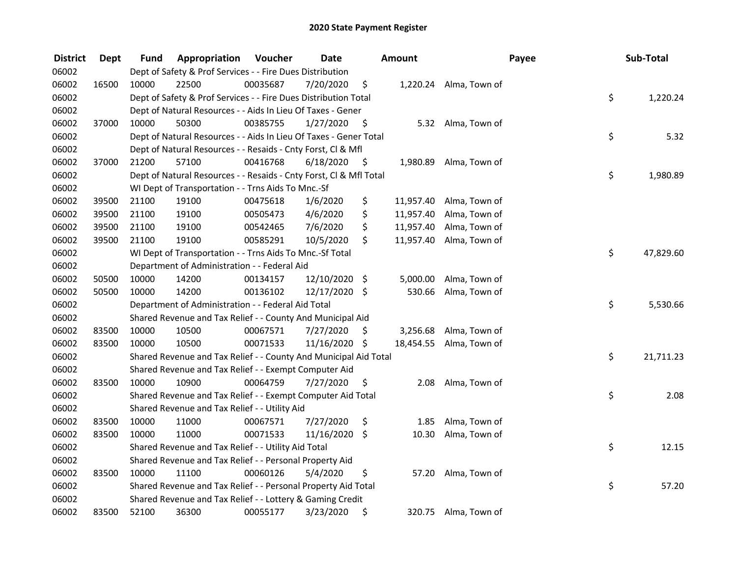| <b>District</b> | <b>Dept</b> | Fund  | Appropriation                                                      | Voucher  | <b>Date</b>   |      | <b>Amount</b> |                        | Payee | Sub-Total |
|-----------------|-------------|-------|--------------------------------------------------------------------|----------|---------------|------|---------------|------------------------|-------|-----------|
| 06002           |             |       | Dept of Safety & Prof Services - - Fire Dues Distribution          |          |               |      |               |                        |       |           |
| 06002           | 16500       | 10000 | 22500                                                              | 00035687 | 7/20/2020     | \$   |               | 1,220.24 Alma, Town of |       |           |
| 06002           |             |       | Dept of Safety & Prof Services - - Fire Dues Distribution Total    |          |               |      |               |                        | \$    | 1,220.24  |
| 06002           |             |       | Dept of Natural Resources - - Aids In Lieu Of Taxes - Gener        |          |               |      |               |                        |       |           |
| 06002           | 37000       | 10000 | 50300                                                              | 00385755 | 1/27/2020     | \$   |               | 5.32 Alma, Town of     |       |           |
| 06002           |             |       | Dept of Natural Resources - - Aids In Lieu Of Taxes - Gener Total  |          |               |      |               |                        | \$    | 5.32      |
| 06002           |             |       | Dept of Natural Resources - - Resaids - Cnty Forst, Cl & Mfl       |          |               |      |               |                        |       |           |
| 06002           | 37000       | 21200 | 57100                                                              | 00416768 | 6/18/2020     | - \$ | 1,980.89      | Alma, Town of          |       |           |
| 06002           |             |       | Dept of Natural Resources - - Resaids - Cnty Forst, Cl & Mfl Total |          |               |      |               |                        | \$    | 1,980.89  |
| 06002           |             |       | WI Dept of Transportation - - Trns Aids To Mnc.-Sf                 |          |               |      |               |                        |       |           |
| 06002           | 39500       | 21100 | 19100                                                              | 00475618 | 1/6/2020      | \$   | 11,957.40     | Alma, Town of          |       |           |
| 06002           | 39500       | 21100 | 19100                                                              | 00505473 | 4/6/2020      | \$   | 11,957.40     | Alma, Town of          |       |           |
| 06002           | 39500       | 21100 | 19100                                                              | 00542465 | 7/6/2020      | \$   | 11,957.40     | Alma, Town of          |       |           |
| 06002           | 39500       | 21100 | 19100                                                              | 00585291 | 10/5/2020     | \$   | 11,957.40     | Alma, Town of          |       |           |
| 06002           |             |       | WI Dept of Transportation - - Trns Aids To Mnc.-Sf Total           |          |               |      |               |                        | \$    | 47,829.60 |
| 06002           |             |       | Department of Administration - - Federal Aid                       |          |               |      |               |                        |       |           |
| 06002           | 50500       | 10000 | 14200                                                              | 00134157 | 12/10/2020 \$ |      | 5,000.00      | Alma, Town of          |       |           |
| 06002           | 50500       | 10000 | 14200                                                              | 00136102 | 12/17/2020 \$ |      | 530.66        | Alma, Town of          |       |           |
| 06002           |             |       | Department of Administration - - Federal Aid Total                 |          |               |      |               |                        | \$    | 5,530.66  |
| 06002           |             |       | Shared Revenue and Tax Relief - - County And Municipal Aid         |          |               |      |               |                        |       |           |
| 06002           | 83500       | 10000 | 10500                                                              | 00067571 | 7/27/2020     | \$   | 3,256.68      | Alma, Town of          |       |           |
| 06002           | 83500       | 10000 | 10500                                                              | 00071533 | 11/16/2020 \$ |      | 18,454.55     | Alma, Town of          |       |           |
| 06002           |             |       | Shared Revenue and Tax Relief - - County And Municipal Aid Total   |          |               |      |               |                        | \$    | 21,711.23 |
| 06002           |             |       | Shared Revenue and Tax Relief - - Exempt Computer Aid              |          |               |      |               |                        |       |           |
| 06002           | 83500       | 10000 | 10900                                                              | 00064759 | 7/27/2020     | \$.  | 2.08          | Alma, Town of          |       |           |
| 06002           |             |       | Shared Revenue and Tax Relief - - Exempt Computer Aid Total        |          |               |      |               |                        | \$    | 2.08      |
| 06002           |             |       | Shared Revenue and Tax Relief - - Utility Aid                      |          |               |      |               |                        |       |           |
| 06002           | 83500       | 10000 | 11000                                                              | 00067571 | 7/27/2020     | \$   | 1.85          | Alma, Town of          |       |           |
| 06002           | 83500       | 10000 | 11000                                                              | 00071533 | 11/16/2020 \$ |      | 10.30         | Alma, Town of          |       |           |
| 06002           |             |       | Shared Revenue and Tax Relief - - Utility Aid Total                |          |               |      |               |                        | \$    | 12.15     |
| 06002           |             |       | Shared Revenue and Tax Relief - - Personal Property Aid            |          |               |      |               |                        |       |           |
| 06002           | 83500       | 10000 | 11100                                                              | 00060126 | 5/4/2020      | \$   | 57.20         | Alma, Town of          |       |           |
| 06002           |             |       | Shared Revenue and Tax Relief - - Personal Property Aid Total      |          |               |      |               |                        | \$    | 57.20     |
| 06002           |             |       | Shared Revenue and Tax Relief - - Lottery & Gaming Credit          |          |               |      |               |                        |       |           |
| 06002           | 83500       | 52100 | 36300                                                              | 00055177 | 3/23/2020     | \$   | 320.75        | Alma, Town of          |       |           |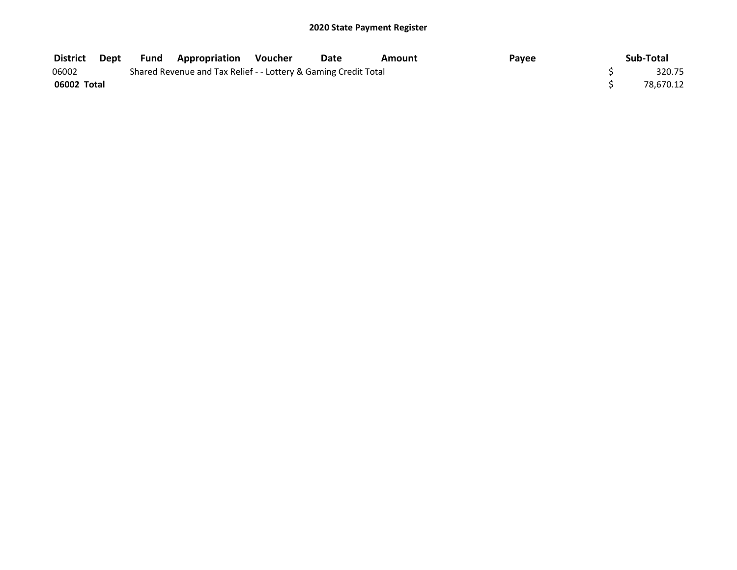| <b>District</b> | Dept | Fund | <b>Appropriation Voucher</b>                                    | Date | Amount | Payee | Sub-Total |
|-----------------|------|------|-----------------------------------------------------------------|------|--------|-------|-----------|
| 06002           |      |      | Shared Revenue and Tax Relief - - Lottery & Gaming Credit Total |      |        |       | 320.75    |
| 06002 Total     |      |      |                                                                 |      |        |       | 78.670.12 |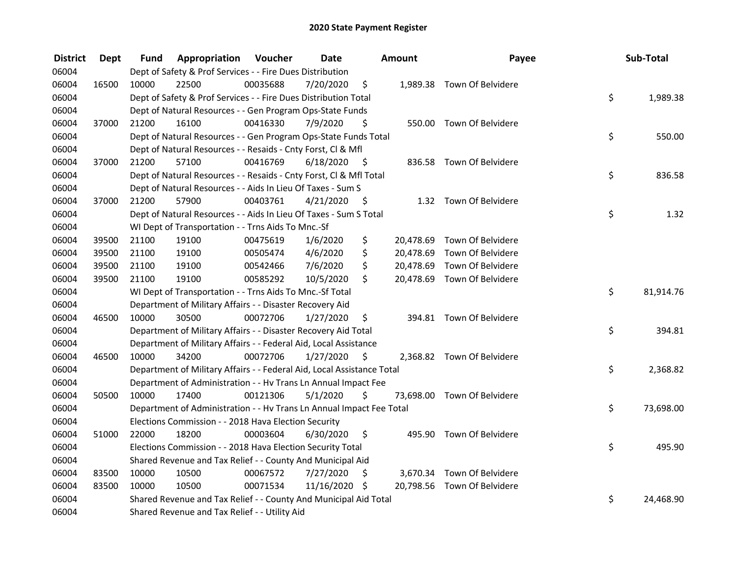| <b>District</b> | <b>Dept</b> | Fund  | Appropriation                                                          | Voucher  | <b>Date</b>   |      | <b>Amount</b> | Payee                       | Sub-Total       |
|-----------------|-------------|-------|------------------------------------------------------------------------|----------|---------------|------|---------------|-----------------------------|-----------------|
| 06004           |             |       | Dept of Safety & Prof Services - - Fire Dues Distribution              |          |               |      |               |                             |                 |
| 06004           | 16500       | 10000 | 22500                                                                  | 00035688 | 7/20/2020     | \$   |               | 1,989.38 Town Of Belvidere  |                 |
| 06004           |             |       | Dept of Safety & Prof Services - - Fire Dues Distribution Total        |          |               |      |               |                             | \$<br>1,989.38  |
| 06004           |             |       | Dept of Natural Resources - - Gen Program Ops-State Funds              |          |               |      |               |                             |                 |
| 06004           | 37000       | 21200 | 16100                                                                  | 00416330 | 7/9/2020      | \$   |               | 550.00 Town Of Belvidere    |                 |
| 06004           |             |       | Dept of Natural Resources - - Gen Program Ops-State Funds Total        |          |               |      |               |                             | \$<br>550.00    |
| 06004           |             |       | Dept of Natural Resources - - Resaids - Cnty Forst, Cl & Mfl           |          |               |      |               |                             |                 |
| 06004           | 37000       | 21200 | 57100                                                                  | 00416769 | 6/18/2020     | - \$ |               | 836.58 Town Of Belvidere    |                 |
| 06004           |             |       | Dept of Natural Resources - - Resaids - Cnty Forst, Cl & Mfl Total     |          |               |      |               |                             | \$<br>836.58    |
| 06004           |             |       | Dept of Natural Resources - - Aids In Lieu Of Taxes - Sum S            |          |               |      |               |                             |                 |
| 06004           | 37000       | 21200 | 57900                                                                  | 00403761 | 4/21/2020     | -\$  |               | 1.32 Town Of Belvidere      |                 |
| 06004           |             |       | Dept of Natural Resources - - Aids In Lieu Of Taxes - Sum S Total      |          |               |      |               |                             | \$<br>1.32      |
| 06004           |             |       | WI Dept of Transportation - - Trns Aids To Mnc.-Sf                     |          |               |      |               |                             |                 |
| 06004           | 39500       | 21100 | 19100                                                                  | 00475619 | 1/6/2020      | \$   | 20,478.69     | Town Of Belvidere           |                 |
| 06004           | 39500       | 21100 | 19100                                                                  | 00505474 | 4/6/2020      | \$   | 20,478.69     | Town Of Belvidere           |                 |
| 06004           | 39500       | 21100 | 19100                                                                  | 00542466 | 7/6/2020      | \$   | 20,478.69     | Town Of Belvidere           |                 |
| 06004           | 39500       | 21100 | 19100                                                                  | 00585292 | 10/5/2020     | \$   |               | 20,478.69 Town Of Belvidere |                 |
| 06004           |             |       | WI Dept of Transportation - - Trns Aids To Mnc.-Sf Total               |          |               |      |               |                             | \$<br>81,914.76 |
| 06004           |             |       | Department of Military Affairs - - Disaster Recovery Aid               |          |               |      |               |                             |                 |
| 06004           | 46500       | 10000 | 30500                                                                  | 00072706 | 1/27/2020     | \$   |               | 394.81 Town Of Belvidere    |                 |
| 06004           |             |       | Department of Military Affairs - - Disaster Recovery Aid Total         |          |               |      |               |                             | \$<br>394.81    |
| 06004           |             |       | Department of Military Affairs - - Federal Aid, Local Assistance       |          |               |      |               |                             |                 |
| 06004           | 46500       | 10000 | 34200                                                                  | 00072706 | 1/27/2020     | - \$ |               | 2,368.82 Town Of Belvidere  |                 |
| 06004           |             |       | Department of Military Affairs - - Federal Aid, Local Assistance Total |          |               |      |               |                             | \$<br>2,368.82  |
| 06004           |             |       | Department of Administration - - Hv Trans Ln Annual Impact Fee         |          |               |      |               |                             |                 |
| 06004           | 50500       | 10000 | 17400                                                                  | 00121306 | 5/1/2020      | \$   |               | 73,698.00 Town Of Belvidere |                 |
| 06004           |             |       | Department of Administration - - Hv Trans Ln Annual Impact Fee Total   |          |               |      |               |                             | \$<br>73,698.00 |
| 06004           |             |       | Elections Commission - - 2018 Hava Election Security                   |          |               |      |               |                             |                 |
| 06004           | 51000       | 22000 | 18200                                                                  | 00003604 | 6/30/2020     | \$   |               | 495.90 Town Of Belvidere    |                 |
| 06004           |             |       | Elections Commission - - 2018 Hava Election Security Total             |          |               |      |               |                             | \$<br>495.90    |
| 06004           |             |       | Shared Revenue and Tax Relief - - County And Municipal Aid             |          |               |      |               |                             |                 |
| 06004           | 83500       | 10000 | 10500                                                                  | 00067572 | 7/27/2020     | \$   |               | 3,670.34 Town Of Belvidere  |                 |
| 06004           | 83500       | 10000 | 10500                                                                  | 00071534 | 11/16/2020 \$ |      |               | 20,798.56 Town Of Belvidere |                 |
| 06004           |             |       | Shared Revenue and Tax Relief - - County And Municipal Aid Total       |          |               |      |               |                             | \$<br>24,468.90 |
| 06004           |             |       | Shared Revenue and Tax Relief - - Utility Aid                          |          |               |      |               |                             |                 |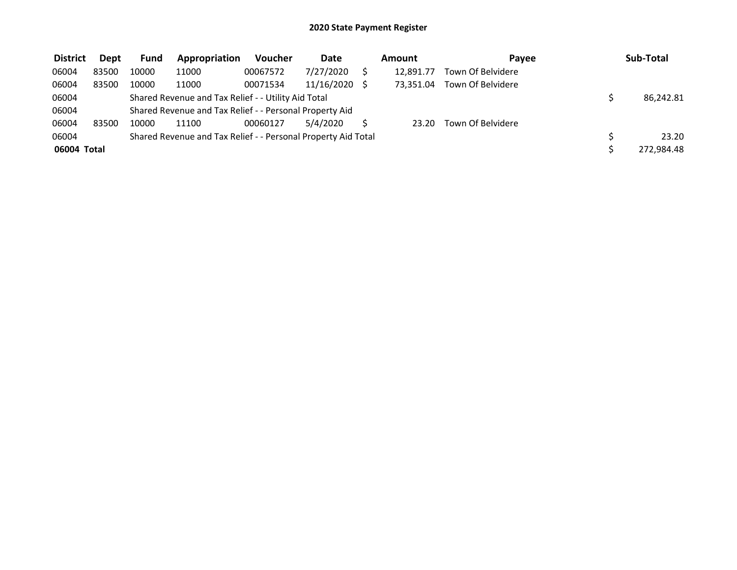| <b>District</b> | Dept  | Fund  | Appropriation                                                 | <b>Voucher</b> | <b>Date</b> | Amount |           | Pavee             | Sub-Total  |  |
|-----------------|-------|-------|---------------------------------------------------------------|----------------|-------------|--------|-----------|-------------------|------------|--|
| 06004           | 83500 | 10000 | 11000                                                         | 00067572       | 7/27/2020   |        | 12.891.77 | Town Of Belvidere |            |  |
| 06004           | 83500 | 10000 | 11000                                                         | 00071534       | 11/16/2020  |        | 73.351.04 | Town Of Belvidere |            |  |
| 06004           |       |       | Shared Revenue and Tax Relief - - Utility Aid Total           |                | 86,242.81   |        |           |                   |            |  |
| 06004           |       |       | Shared Revenue and Tax Relief - - Personal Property Aid       |                |             |        |           |                   |            |  |
| 06004           | 83500 | 10000 | 11100                                                         | 00060127       | 5/4/2020    |        | 23.20     | Town Of Belvidere |            |  |
| 06004           |       |       | Shared Revenue and Tax Relief - - Personal Property Aid Total |                |             |        |           |                   | 23.20      |  |
| 06004 Total     |       |       |                                                               |                |             |        |           |                   | 272,984.48 |  |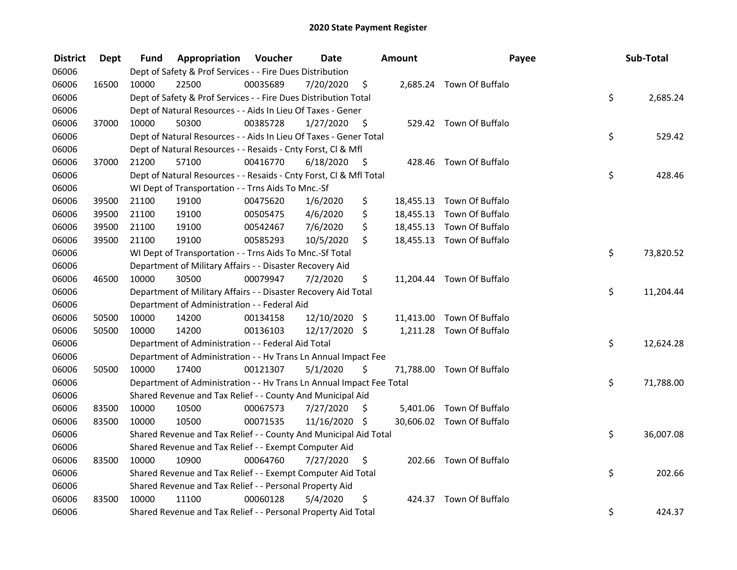| <b>District</b> | <b>Dept</b> | Fund  | Appropriation                                                        | Voucher  | <b>Date</b>   |      | Amount | Payee                     | Sub-Total       |
|-----------------|-------------|-------|----------------------------------------------------------------------|----------|---------------|------|--------|---------------------------|-----------------|
| 06006           |             |       | Dept of Safety & Prof Services - - Fire Dues Distribution            |          |               |      |        |                           |                 |
| 06006           | 16500       | 10000 | 22500                                                                | 00035689 | 7/20/2020     | \$   |        | 2,685.24 Town Of Buffalo  |                 |
| 06006           |             |       | Dept of Safety & Prof Services - - Fire Dues Distribution Total      |          |               |      |        |                           | \$<br>2,685.24  |
| 06006           |             |       | Dept of Natural Resources - - Aids In Lieu Of Taxes - Gener          |          |               |      |        |                           |                 |
| 06006           | 37000       | 10000 | 50300                                                                | 00385728 | 1/27/2020     | \$   |        | 529.42 Town Of Buffalo    |                 |
| 06006           |             |       | Dept of Natural Resources - - Aids In Lieu Of Taxes - Gener Total    |          |               |      |        |                           | \$<br>529.42    |
| 06006           |             |       | Dept of Natural Resources - - Resaids - Cnty Forst, CI & Mfl         |          |               |      |        |                           |                 |
| 06006           | 37000       | 21200 | 57100                                                                | 00416770 | 6/18/2020     | - \$ |        | 428.46 Town Of Buffalo    |                 |
| 06006           |             |       | Dept of Natural Resources - - Resaids - Cnty Forst, Cl & Mfl Total   |          |               |      |        |                           | \$<br>428.46    |
| 06006           |             |       | WI Dept of Transportation - - Trns Aids To Mnc.-Sf                   |          |               |      |        |                           |                 |
| 06006           | 39500       | 21100 | 19100                                                                | 00475620 | 1/6/2020      | \$   |        | 18,455.13 Town Of Buffalo |                 |
| 06006           | 39500       | 21100 | 19100                                                                | 00505475 | 4/6/2020      | \$   |        | 18,455.13 Town Of Buffalo |                 |
| 06006           | 39500       | 21100 | 19100                                                                | 00542467 | 7/6/2020      | \$   |        | 18,455.13 Town Of Buffalo |                 |
| 06006           | 39500       | 21100 | 19100                                                                | 00585293 | 10/5/2020     | \$   |        | 18,455.13 Town Of Buffalo |                 |
| 06006           |             |       | WI Dept of Transportation - - Trns Aids To Mnc.-Sf Total             |          |               |      |        |                           | \$<br>73,820.52 |
| 06006           |             |       | Department of Military Affairs - - Disaster Recovery Aid             |          |               |      |        |                           |                 |
| 06006           | 46500       | 10000 | 30500                                                                | 00079947 | 7/2/2020      | \$   |        | 11,204.44 Town Of Buffalo |                 |
| 06006           |             |       | Department of Military Affairs - - Disaster Recovery Aid Total       |          |               |      |        |                           | \$<br>11,204.44 |
| 06006           |             |       | Department of Administration - - Federal Aid                         |          |               |      |        |                           |                 |
| 06006           | 50500       | 10000 | 14200                                                                | 00134158 | 12/10/2020 \$ |      |        | 11,413.00 Town Of Buffalo |                 |
| 06006           | 50500       | 10000 | 14200                                                                | 00136103 | 12/17/2020 \$ |      |        | 1,211.28 Town Of Buffalo  |                 |
| 06006           |             |       | Department of Administration - - Federal Aid Total                   |          |               |      |        |                           | \$<br>12,624.28 |
| 06006           |             |       | Department of Administration - - Hv Trans Ln Annual Impact Fee       |          |               |      |        |                           |                 |
| 06006           | 50500       | 10000 | 17400                                                                | 00121307 | 5/1/2020      | \$   |        | 71,788.00 Town Of Buffalo |                 |
| 06006           |             |       | Department of Administration - - Hv Trans Ln Annual Impact Fee Total |          |               |      |        |                           | \$<br>71,788.00 |
| 06006           |             |       | Shared Revenue and Tax Relief - - County And Municipal Aid           |          |               |      |        |                           |                 |
| 06006           | 83500       | 10000 | 10500                                                                | 00067573 | 7/27/2020     | \$   |        | 5,401.06 Town Of Buffalo  |                 |
| 06006           | 83500       | 10000 | 10500                                                                | 00071535 | 11/16/2020 \$ |      |        | 30,606.02 Town Of Buffalo |                 |
| 06006           |             |       | Shared Revenue and Tax Relief - - County And Municipal Aid Total     |          |               |      |        |                           | \$<br>36,007.08 |
| 06006           |             |       | Shared Revenue and Tax Relief - - Exempt Computer Aid                |          |               |      |        |                           |                 |
| 06006           | 83500       | 10000 | 10900                                                                | 00064760 | 7/27/2020     | \$   |        | 202.66 Town Of Buffalo    |                 |
| 06006           |             |       | Shared Revenue and Tax Relief - - Exempt Computer Aid Total          |          |               |      |        |                           | \$<br>202.66    |
| 06006           |             |       | Shared Revenue and Tax Relief - - Personal Property Aid              |          |               |      |        |                           |                 |
| 06006           | 83500       | 10000 | 11100                                                                | 00060128 | 5/4/2020      | \$   | 424.37 | Town Of Buffalo           |                 |
| 06006           |             |       | Shared Revenue and Tax Relief - - Personal Property Aid Total        |          |               |      |        |                           | \$<br>424.37    |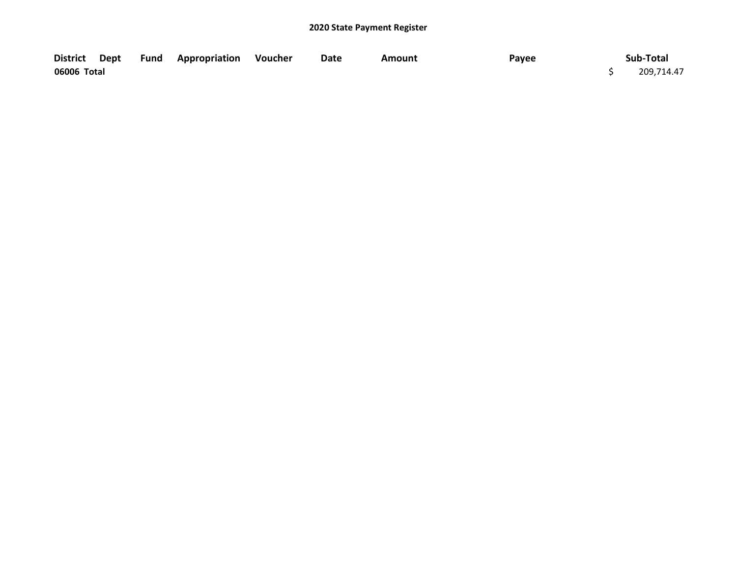| <b>District</b> | Dept | Fund | <b>Appropriation Voucher</b> | Date | Amount | Payee | Sub-Total  |
|-----------------|------|------|------------------------------|------|--------|-------|------------|
| 06006 Total     |      |      |                              |      |        |       | 209,714.47 |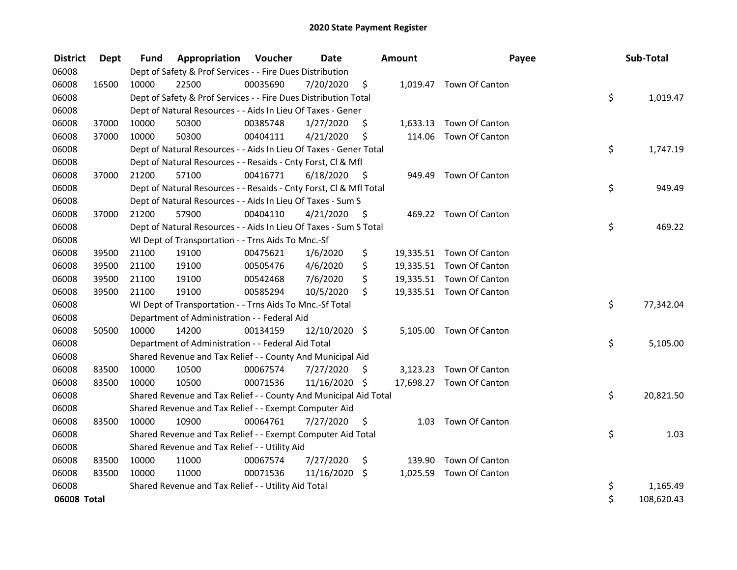| <b>District</b> | Dept  | <b>Fund</b> | Appropriation                                                      | Voucher  | <b>Date</b>   |      | Amount   | Payee                    | Sub-Total        |
|-----------------|-------|-------------|--------------------------------------------------------------------|----------|---------------|------|----------|--------------------------|------------------|
| 06008           |       |             | Dept of Safety & Prof Services - - Fire Dues Distribution          |          |               |      |          |                          |                  |
| 06008           | 16500 | 10000       | 22500                                                              | 00035690 | 7/20/2020     | \$   |          | 1,019.47 Town Of Canton  |                  |
| 06008           |       |             | Dept of Safety & Prof Services - - Fire Dues Distribution Total    |          |               |      |          |                          | \$<br>1,019.47   |
| 06008           |       |             | Dept of Natural Resources - - Aids In Lieu Of Taxes - Gener        |          |               |      |          |                          |                  |
| 06008           | 37000 | 10000       | 50300                                                              | 00385748 | 1/27/2020     | \$   |          | 1,633.13 Town Of Canton  |                  |
| 06008           | 37000 | 10000       | 50300                                                              | 00404111 | 4/21/2020     | \$   | 114.06   | Town Of Canton           |                  |
| 06008           |       |             | Dept of Natural Resources - - Aids In Lieu Of Taxes - Gener Total  |          |               |      |          |                          | \$<br>1,747.19   |
| 06008           |       |             | Dept of Natural Resources - - Resaids - Cnty Forst, Cl & Mfl       |          |               |      |          |                          |                  |
| 06008           | 37000 | 21200       | 57100                                                              | 00416771 | 6/18/2020     | - \$ | 949.49   | Town Of Canton           |                  |
| 06008           |       |             | Dept of Natural Resources - - Resaids - Cnty Forst, Cl & Mfl Total |          |               |      |          |                          | \$<br>949.49     |
| 06008           |       |             | Dept of Natural Resources - - Aids In Lieu Of Taxes - Sum S        |          |               |      |          |                          |                  |
| 06008           | 37000 | 21200       | 57900                                                              | 00404110 | 4/21/2020     | - \$ |          | 469.22 Town Of Canton    |                  |
| 06008           |       |             | Dept of Natural Resources - - Aids In Lieu Of Taxes - Sum S Total  |          |               |      |          |                          | \$<br>469.22     |
| 06008           |       |             | WI Dept of Transportation - - Trns Aids To Mnc.-Sf                 |          |               |      |          |                          |                  |
| 06008           | 39500 | 21100       | 19100                                                              | 00475621 | 1/6/2020      | \$   |          | 19,335.51 Town Of Canton |                  |
| 06008           | 39500 | 21100       | 19100                                                              | 00505476 | 4/6/2020      | \$   |          | 19,335.51 Town Of Canton |                  |
| 06008           | 39500 | 21100       | 19100                                                              | 00542468 | 7/6/2020      | \$   |          | 19,335.51 Town Of Canton |                  |
| 06008           | 39500 | 21100       | 19100                                                              | 00585294 | 10/5/2020     | \$   |          | 19,335.51 Town Of Canton |                  |
| 06008           |       |             | WI Dept of Transportation - - Trns Aids To Mnc.-Sf Total           |          |               |      |          |                          | \$<br>77,342.04  |
| 06008           |       |             | Department of Administration - - Federal Aid                       |          |               |      |          |                          |                  |
| 06008           | 50500 | 10000       | 14200                                                              | 00134159 | 12/10/2020 \$ |      | 5,105.00 | Town Of Canton           |                  |
| 06008           |       |             | Department of Administration - - Federal Aid Total                 |          |               |      |          |                          | \$<br>5,105.00   |
| 06008           |       |             | Shared Revenue and Tax Relief - - County And Municipal Aid         |          |               |      |          |                          |                  |
| 06008           | 83500 | 10000       | 10500                                                              | 00067574 | 7/27/2020     | S    |          | 3,123.23 Town Of Canton  |                  |
| 06008           | 83500 | 10000       | 10500                                                              | 00071536 | 11/16/2020 \$ |      |          | 17,698.27 Town Of Canton |                  |
| 06008           |       |             | Shared Revenue and Tax Relief - - County And Municipal Aid Total   |          |               |      |          |                          | \$<br>20,821.50  |
| 06008           |       |             | Shared Revenue and Tax Relief - - Exempt Computer Aid              |          |               |      |          |                          |                  |
| 06008           | 83500 | 10000       | 10900                                                              | 00064761 | 7/27/2020     | \$.  |          | 1.03 Town Of Canton      |                  |
| 06008           |       |             | Shared Revenue and Tax Relief - - Exempt Computer Aid Total        |          |               |      |          |                          | \$<br>1.03       |
| 06008           |       |             | Shared Revenue and Tax Relief - - Utility Aid                      |          |               |      |          |                          |                  |
| 06008           | 83500 | 10000       | 11000                                                              | 00067574 | 7/27/2020     | \$   |          | 139.90 Town Of Canton    |                  |
| 06008           | 83500 | 10000       | 11000                                                              | 00071536 | 11/16/2020    | \$   |          | 1,025.59 Town Of Canton  |                  |
| 06008           |       |             | Shared Revenue and Tax Relief - - Utility Aid Total                |          |               |      |          |                          | \$<br>1,165.49   |
| 06008 Total     |       |             |                                                                    |          |               |      |          |                          | \$<br>108,620.43 |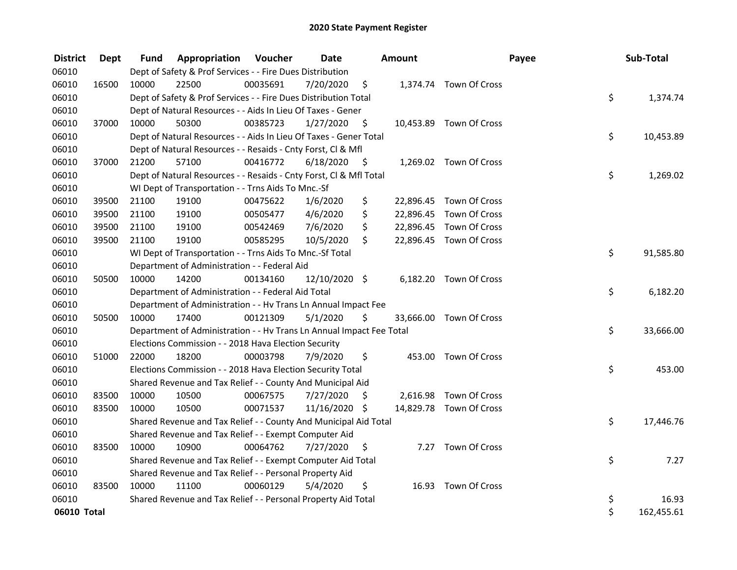| <b>District</b> | <b>Dept</b> | Fund  | Appropriation                                                        | Voucher  | <b>Date</b>   |      | Amount |                         | Payee | Sub-Total  |
|-----------------|-------------|-------|----------------------------------------------------------------------|----------|---------------|------|--------|-------------------------|-------|------------|
| 06010           |             |       | Dept of Safety & Prof Services - - Fire Dues Distribution            |          |               |      |        |                         |       |            |
| 06010           | 16500       | 10000 | 22500                                                                | 00035691 | 7/20/2020     | \$   |        | 1,374.74 Town Of Cross  |       |            |
| 06010           |             |       | Dept of Safety & Prof Services - - Fire Dues Distribution Total      |          |               |      |        |                         | \$    | 1,374.74   |
| 06010           |             |       | Dept of Natural Resources - - Aids In Lieu Of Taxes - Gener          |          |               |      |        |                         |       |            |
| 06010           | 37000       | 10000 | 50300                                                                | 00385723 | 1/27/2020     | \$   |        | 10,453.89 Town Of Cross |       |            |
| 06010           |             |       | Dept of Natural Resources - - Aids In Lieu Of Taxes - Gener Total    |          |               |      |        |                         | \$    | 10,453.89  |
| 06010           |             |       | Dept of Natural Resources - - Resaids - Cnty Forst, Cl & Mfl         |          |               |      |        |                         |       |            |
| 06010           | 37000       | 21200 | 57100                                                                | 00416772 | 6/18/2020     | - \$ |        | 1,269.02 Town Of Cross  |       |            |
| 06010           |             |       | Dept of Natural Resources - - Resaids - Cnty Forst, Cl & Mfl Total   |          |               |      |        |                         | \$    | 1,269.02   |
| 06010           |             |       | WI Dept of Transportation - - Trns Aids To Mnc.-Sf                   |          |               |      |        |                         |       |            |
| 06010           | 39500       | 21100 | 19100                                                                | 00475622 | 1/6/2020      | \$   |        | 22,896.45 Town Of Cross |       |            |
| 06010           | 39500       | 21100 | 19100                                                                | 00505477 | 4/6/2020      | \$   |        | 22,896.45 Town Of Cross |       |            |
| 06010           | 39500       | 21100 | 19100                                                                | 00542469 | 7/6/2020      | \$   |        | 22,896.45 Town Of Cross |       |            |
| 06010           | 39500       | 21100 | 19100                                                                | 00585295 | 10/5/2020     | \$   |        | 22,896.45 Town Of Cross |       |            |
| 06010           |             |       | WI Dept of Transportation - - Trns Aids To Mnc.-Sf Total             |          |               |      |        |                         | \$    | 91,585.80  |
| 06010           |             |       | Department of Administration - - Federal Aid                         |          |               |      |        |                         |       |            |
| 06010           | 50500       | 10000 | 14200                                                                | 00134160 | 12/10/2020 \$ |      |        | 6,182.20 Town Of Cross  |       |            |
| 06010           |             |       | Department of Administration - - Federal Aid Total                   |          |               |      |        |                         | \$    | 6,182.20   |
| 06010           |             |       | Department of Administration - - Hv Trans Ln Annual Impact Fee       |          |               |      |        |                         |       |            |
| 06010           | 50500       | 10000 | 17400                                                                | 00121309 | 5/1/2020      | \$   |        | 33,666.00 Town Of Cross |       |            |
| 06010           |             |       | Department of Administration - - Hv Trans Ln Annual Impact Fee Total |          |               |      |        |                         | \$    | 33,666.00  |
| 06010           |             |       | Elections Commission - - 2018 Hava Election Security                 |          |               |      |        |                         |       |            |
| 06010           | 51000       | 22000 | 18200                                                                | 00003798 | 7/9/2020      | \$   |        | 453.00 Town Of Cross    |       |            |
| 06010           |             |       | Elections Commission - - 2018 Hava Election Security Total           |          |               |      |        |                         | \$    | 453.00     |
| 06010           |             |       | Shared Revenue and Tax Relief - - County And Municipal Aid           |          |               |      |        |                         |       |            |
| 06010           | 83500       | 10000 | 10500                                                                | 00067575 | 7/27/2020     | S    |        | 2,616.98 Town Of Cross  |       |            |
| 06010           | 83500       | 10000 | 10500                                                                | 00071537 | 11/16/2020 \$ |      |        | 14,829.78 Town Of Cross |       |            |
| 06010           |             |       | Shared Revenue and Tax Relief - - County And Municipal Aid Total     |          |               |      |        |                         | \$    | 17,446.76  |
| 06010           |             |       | Shared Revenue and Tax Relief - - Exempt Computer Aid                |          |               |      |        |                         |       |            |
| 06010           | 83500       | 10000 | 10900                                                                | 00064762 | 7/27/2020     | \$   |        | 7.27 Town Of Cross      |       |            |
| 06010           |             |       | Shared Revenue and Tax Relief - - Exempt Computer Aid Total          |          |               |      |        |                         | \$    | 7.27       |
| 06010           |             |       | Shared Revenue and Tax Relief - - Personal Property Aid              |          |               |      |        |                         |       |            |
| 06010           | 83500       | 10000 | 11100                                                                | 00060129 | 5/4/2020      | \$   |        | 16.93 Town Of Cross     |       |            |
| 06010           |             |       | Shared Revenue and Tax Relief - - Personal Property Aid Total        |          |               |      |        |                         | \$    | 16.93      |
| 06010 Total     |             |       |                                                                      |          |               |      |        |                         | \$    | 162,455.61 |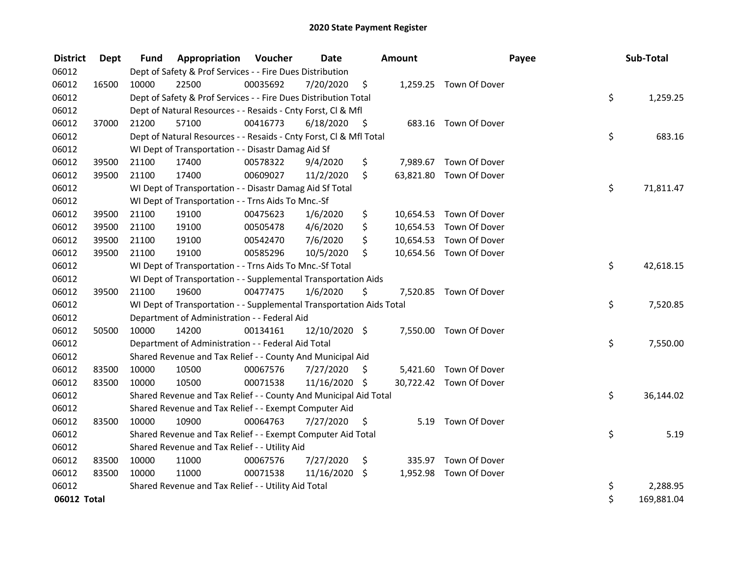| <b>District</b> | Dept  | <b>Fund</b> | <b>Appropriation Voucher</b>                                         |          | <b>Date</b>   |      | <b>Amount</b> |                         | Payee | Sub-Total  |
|-----------------|-------|-------------|----------------------------------------------------------------------|----------|---------------|------|---------------|-------------------------|-------|------------|
| 06012           |       |             | Dept of Safety & Prof Services - - Fire Dues Distribution            |          |               |      |               |                         |       |            |
| 06012           | 16500 | 10000       | 22500                                                                | 00035692 | 7/20/2020     | \$   |               | 1,259.25 Town Of Dover  |       |            |
| 06012           |       |             | Dept of Safety & Prof Services - - Fire Dues Distribution Total      |          |               |      |               |                         | \$    | 1,259.25   |
| 06012           |       |             | Dept of Natural Resources - - Resaids - Cnty Forst, Cl & Mfl         |          |               |      |               |                         |       |            |
| 06012           | 37000 | 21200       | 57100                                                                | 00416773 | 6/18/2020     | - \$ |               | 683.16 Town Of Dover    |       |            |
| 06012           |       |             | Dept of Natural Resources - - Resaids - Cnty Forst, Cl & Mfl Total   |          |               |      |               |                         | \$    | 683.16     |
| 06012           |       |             | WI Dept of Transportation - - Disastr Damag Aid Sf                   |          |               |      |               |                         |       |            |
| 06012           | 39500 | 21100       | 17400                                                                | 00578322 | 9/4/2020      | \$   |               | 7,989.67 Town Of Dover  |       |            |
| 06012           | 39500 | 21100       | 17400                                                                | 00609027 | 11/2/2020     | \$   |               | 63,821.80 Town Of Dover |       |            |
| 06012           |       |             | WI Dept of Transportation - - Disastr Damag Aid Sf Total             |          |               |      |               |                         | \$    | 71,811.47  |
| 06012           |       |             | WI Dept of Transportation - - Trns Aids To Mnc.-Sf                   |          |               |      |               |                         |       |            |
| 06012           | 39500 | 21100       | 19100                                                                | 00475623 | 1/6/2020      | \$   |               | 10,654.53 Town Of Dover |       |            |
| 06012           | 39500 | 21100       | 19100                                                                | 00505478 | 4/6/2020      | \$   |               | 10,654.53 Town Of Dover |       |            |
| 06012           | 39500 | 21100       | 19100                                                                | 00542470 | 7/6/2020      | \$   |               | 10,654.53 Town Of Dover |       |            |
| 06012           | 39500 | 21100       | 19100                                                                | 00585296 | 10/5/2020     | \$   |               | 10,654.56 Town Of Dover |       |            |
| 06012           |       |             | WI Dept of Transportation - - Trns Aids To Mnc.-Sf Total             |          |               |      |               |                         | \$    | 42,618.15  |
| 06012           |       |             | WI Dept of Transportation - - Supplemental Transportation Aids       |          |               |      |               |                         |       |            |
| 06012           | 39500 | 21100       | 19600                                                                | 00477475 | 1/6/2020      | \$   |               | 7,520.85 Town Of Dover  |       |            |
| 06012           |       |             | WI Dept of Transportation - - Supplemental Transportation Aids Total |          |               |      |               |                         | \$    | 7,520.85   |
| 06012           |       |             | Department of Administration - - Federal Aid                         |          |               |      |               |                         |       |            |
| 06012           | 50500 | 10000       | 14200                                                                | 00134161 | 12/10/2020 \$ |      |               | 7,550.00 Town Of Dover  |       |            |
| 06012           |       |             | Department of Administration - - Federal Aid Total                   |          |               |      |               |                         | \$    | 7,550.00   |
| 06012           |       |             | Shared Revenue and Tax Relief - - County And Municipal Aid           |          |               |      |               |                         |       |            |
| 06012           | 83500 | 10000       | 10500                                                                | 00067576 | 7/27/2020     | \$   |               | 5,421.60 Town Of Dover  |       |            |
| 06012           | 83500 | 10000       | 10500                                                                | 00071538 | 11/16/2020 \$ |      |               | 30,722.42 Town Of Dover |       |            |
| 06012           |       |             | Shared Revenue and Tax Relief - - County And Municipal Aid Total     |          |               |      |               |                         | \$    | 36,144.02  |
| 06012           |       |             | Shared Revenue and Tax Relief - - Exempt Computer Aid                |          |               |      |               |                         |       |            |
| 06012           | 83500 | 10000       | 10900                                                                | 00064763 | 7/27/2020     | \$   |               | 5.19 Town Of Dover      |       |            |
| 06012           |       |             | Shared Revenue and Tax Relief - - Exempt Computer Aid Total          |          |               |      |               |                         | \$    | 5.19       |
| 06012           |       |             | Shared Revenue and Tax Relief - - Utility Aid                        |          |               |      |               |                         |       |            |
| 06012           | 83500 | 10000       | 11000                                                                | 00067576 | 7/27/2020     | \$   |               | 335.97 Town Of Dover    |       |            |
| 06012           | 83500 | 10000       | 11000                                                                | 00071538 | 11/16/2020    | \$   |               | 1,952.98 Town Of Dover  |       |            |
| 06012           |       |             | Shared Revenue and Tax Relief - - Utility Aid Total                  |          |               |      |               |                         | \$    | 2,288.95   |
| 06012 Total     |       |             |                                                                      |          |               |      |               |                         | \$    | 169,881.04 |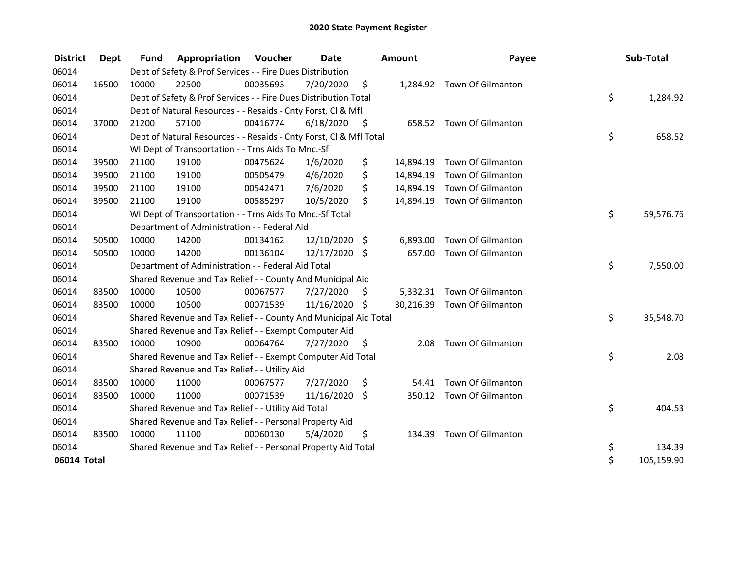| <b>District</b> | Dept  | <b>Fund</b> | Appropriation                                                      | Voucher  | <b>Date</b>   |      | <b>Amount</b> | Payee                       | Sub-Total        |
|-----------------|-------|-------------|--------------------------------------------------------------------|----------|---------------|------|---------------|-----------------------------|------------------|
| 06014           |       |             | Dept of Safety & Prof Services - - Fire Dues Distribution          |          |               |      |               |                             |                  |
| 06014           | 16500 | 10000       | 22500                                                              | 00035693 | 7/20/2020     | \$   |               | 1,284.92 Town Of Gilmanton  |                  |
| 06014           |       |             | Dept of Safety & Prof Services - - Fire Dues Distribution Total    |          |               |      |               |                             | \$<br>1,284.92   |
| 06014           |       |             | Dept of Natural Resources - - Resaids - Cnty Forst, CI & Mfl       |          |               |      |               |                             |                  |
| 06014           | 37000 | 21200       | 57100                                                              | 00416774 | 6/18/2020     | - \$ |               | 658.52 Town Of Gilmanton    |                  |
| 06014           |       |             | Dept of Natural Resources - - Resaids - Cnty Forst, CI & Mfl Total |          |               |      |               |                             | \$<br>658.52     |
| 06014           |       |             | WI Dept of Transportation - - Trns Aids To Mnc.-Sf                 |          |               |      |               |                             |                  |
| 06014           | 39500 | 21100       | 19100                                                              | 00475624 | 1/6/2020      | \$   |               | 14,894.19 Town Of Gilmanton |                  |
| 06014           | 39500 | 21100       | 19100                                                              | 00505479 | 4/6/2020      | \$   | 14,894.19     | Town Of Gilmanton           |                  |
| 06014           | 39500 | 21100       | 19100                                                              | 00542471 | 7/6/2020      | \$   | 14,894.19     | Town Of Gilmanton           |                  |
| 06014           | 39500 | 21100       | 19100                                                              | 00585297 | 10/5/2020     | \$   |               | 14,894.19 Town Of Gilmanton |                  |
| 06014           |       |             | WI Dept of Transportation - - Trns Aids To Mnc.-Sf Total           |          |               |      |               |                             | \$<br>59,576.76  |
| 06014           |       |             | Department of Administration - - Federal Aid                       |          |               |      |               |                             |                  |
| 06014           | 50500 | 10000       | 14200                                                              | 00134162 | 12/10/2020 \$ |      | 6,893.00      | Town Of Gilmanton           |                  |
| 06014           | 50500 | 10000       | 14200                                                              | 00136104 | 12/17/2020 \$ |      | 657.00        | Town Of Gilmanton           |                  |
| 06014           |       |             | Department of Administration - - Federal Aid Total                 |          |               |      |               |                             | \$<br>7,550.00   |
| 06014           |       |             | Shared Revenue and Tax Relief - - County And Municipal Aid         |          |               |      |               |                             |                  |
| 06014           | 83500 | 10000       | 10500                                                              | 00067577 | 7/27/2020     | \$.  |               | 5,332.31 Town Of Gilmanton  |                  |
| 06014           | 83500 | 10000       | 10500                                                              | 00071539 | 11/16/2020 \$ |      |               | 30,216.39 Town Of Gilmanton |                  |
| 06014           |       |             | Shared Revenue and Tax Relief - - County And Municipal Aid Total   |          |               |      |               |                             | \$<br>35,548.70  |
| 06014           |       |             | Shared Revenue and Tax Relief - - Exempt Computer Aid              |          |               |      |               |                             |                  |
| 06014           | 83500 | 10000       | 10900                                                              | 00064764 | 7/27/2020     | \$   | 2.08          | Town Of Gilmanton           |                  |
| 06014           |       |             | Shared Revenue and Tax Relief - - Exempt Computer Aid Total        |          |               |      |               |                             | \$<br>2.08       |
| 06014           |       |             | Shared Revenue and Tax Relief - - Utility Aid                      |          |               |      |               |                             |                  |
| 06014           | 83500 | 10000       | 11000                                                              | 00067577 | 7/27/2020     | \$.  | 54.41         | Town Of Gilmanton           |                  |
| 06014           | 83500 | 10000       | 11000                                                              | 00071539 | 11/16/2020 \$ |      | 350.12        | Town Of Gilmanton           |                  |
| 06014           |       |             | Shared Revenue and Tax Relief - - Utility Aid Total                |          |               |      |               |                             | \$<br>404.53     |
| 06014           |       |             | Shared Revenue and Tax Relief - - Personal Property Aid            |          |               |      |               |                             |                  |
| 06014           | 83500 | 10000       | 11100                                                              | 00060130 | 5/4/2020      | \$   |               | 134.39 Town Of Gilmanton    |                  |
| 06014           |       |             | Shared Revenue and Tax Relief - - Personal Property Aid Total      |          |               |      |               |                             | \$<br>134.39     |
| 06014 Total     |       |             |                                                                    |          |               |      |               |                             | \$<br>105,159.90 |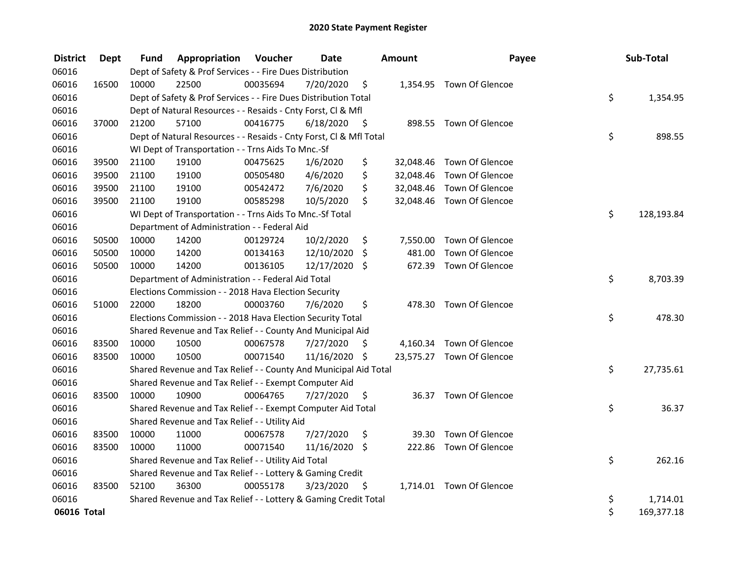| <b>District</b> | <b>Dept</b> | Fund  | Appropriation                                                      | Voucher  | <b>Date</b>   |      | Amount   | Payee                     | Sub-Total        |
|-----------------|-------------|-------|--------------------------------------------------------------------|----------|---------------|------|----------|---------------------------|------------------|
| 06016           |             |       | Dept of Safety & Prof Services - - Fire Dues Distribution          |          |               |      |          |                           |                  |
| 06016           | 16500       | 10000 | 22500                                                              | 00035694 | 7/20/2020     | \$   |          | 1,354.95 Town Of Glencoe  |                  |
| 06016           |             |       | Dept of Safety & Prof Services - - Fire Dues Distribution Total    |          |               |      |          |                           | \$<br>1,354.95   |
| 06016           |             |       | Dept of Natural Resources - - Resaids - Cnty Forst, Cl & Mfl       |          |               |      |          |                           |                  |
| 06016           | 37000       | 21200 | 57100                                                              | 00416775 | 6/18/2020     | - \$ |          | 898.55 Town Of Glencoe    |                  |
| 06016           |             |       | Dept of Natural Resources - - Resaids - Cnty Forst, Cl & Mfl Total |          |               |      |          |                           | \$<br>898.55     |
| 06016           |             |       | WI Dept of Transportation - - Trns Aids To Mnc.-Sf                 |          |               |      |          |                           |                  |
| 06016           | 39500       | 21100 | 19100                                                              | 00475625 | 1/6/2020      | \$   |          | 32,048.46 Town Of Glencoe |                  |
| 06016           | 39500       | 21100 | 19100                                                              | 00505480 | 4/6/2020      | \$   |          | 32,048.46 Town Of Glencoe |                  |
| 06016           | 39500       | 21100 | 19100                                                              | 00542472 | 7/6/2020      | \$   |          | 32,048.46 Town Of Glencoe |                  |
| 06016           | 39500       | 21100 | 19100                                                              | 00585298 | 10/5/2020     | \$   |          | 32,048.46 Town Of Glencoe |                  |
| 06016           |             |       | WI Dept of Transportation - - Trns Aids To Mnc.-Sf Total           |          |               |      |          |                           | \$<br>128,193.84 |
| 06016           |             |       | Department of Administration - - Federal Aid                       |          |               |      |          |                           |                  |
| 06016           | 50500       | 10000 | 14200                                                              | 00129724 | 10/2/2020     | \$   | 7,550.00 | Town Of Glencoe           |                  |
| 06016           | 50500       | 10000 | 14200                                                              | 00134163 | 12/10/2020    | \$   | 481.00   | Town Of Glencoe           |                  |
| 06016           | 50500       | 10000 | 14200                                                              | 00136105 | 12/17/2020    | Ŝ.   |          | 672.39 Town Of Glencoe    |                  |
| 06016           |             |       | Department of Administration - - Federal Aid Total                 |          |               |      |          |                           | \$<br>8,703.39   |
| 06016           |             |       | Elections Commission - - 2018 Hava Election Security               |          |               |      |          |                           |                  |
| 06016           | 51000       | 22000 | 18200                                                              | 00003760 | 7/6/2020      | \$   | 478.30   | Town Of Glencoe           |                  |
| 06016           |             |       | Elections Commission - - 2018 Hava Election Security Total         |          |               |      |          |                           | \$<br>478.30     |
| 06016           |             |       | Shared Revenue and Tax Relief - - County And Municipal Aid         |          |               |      |          |                           |                  |
| 06016           | 83500       | 10000 | 10500                                                              | 00067578 | 7/27/2020     | \$   |          | 4,160.34 Town Of Glencoe  |                  |
| 06016           | 83500       | 10000 | 10500                                                              | 00071540 | 11/16/2020 \$ |      |          | 23,575.27 Town Of Glencoe |                  |
| 06016           |             |       | Shared Revenue and Tax Relief - - County And Municipal Aid Total   |          |               |      |          |                           | \$<br>27,735.61  |
| 06016           |             |       | Shared Revenue and Tax Relief - - Exempt Computer Aid              |          |               |      |          |                           |                  |
| 06016           | 83500       | 10000 | 10900                                                              | 00064765 | 7/27/2020     | \$   |          | 36.37 Town Of Glencoe     |                  |
| 06016           |             |       | Shared Revenue and Tax Relief - - Exempt Computer Aid Total        |          |               |      |          |                           | \$<br>36.37      |
| 06016           |             |       | Shared Revenue and Tax Relief - - Utility Aid                      |          |               |      |          |                           |                  |
| 06016           | 83500       | 10000 | 11000                                                              | 00067578 | 7/27/2020     | \$   | 39.30    | Town Of Glencoe           |                  |
| 06016           | 83500       | 10000 | 11000                                                              | 00071540 | 11/16/2020 \$ |      |          | 222.86 Town Of Glencoe    |                  |
| 06016           |             |       | Shared Revenue and Tax Relief - - Utility Aid Total                |          |               |      |          |                           | \$<br>262.16     |
| 06016           |             |       | Shared Revenue and Tax Relief - - Lottery & Gaming Credit          |          |               |      |          |                           |                  |
| 06016           | 83500       | 52100 | 36300                                                              | 00055178 | 3/23/2020     | - \$ |          | 1,714.01 Town Of Glencoe  |                  |
| 06016           |             |       | Shared Revenue and Tax Relief - - Lottery & Gaming Credit Total    |          |               |      |          |                           | \$<br>1,714.01   |
| 06016 Total     |             |       |                                                                    |          |               |      |          |                           | \$<br>169,377.18 |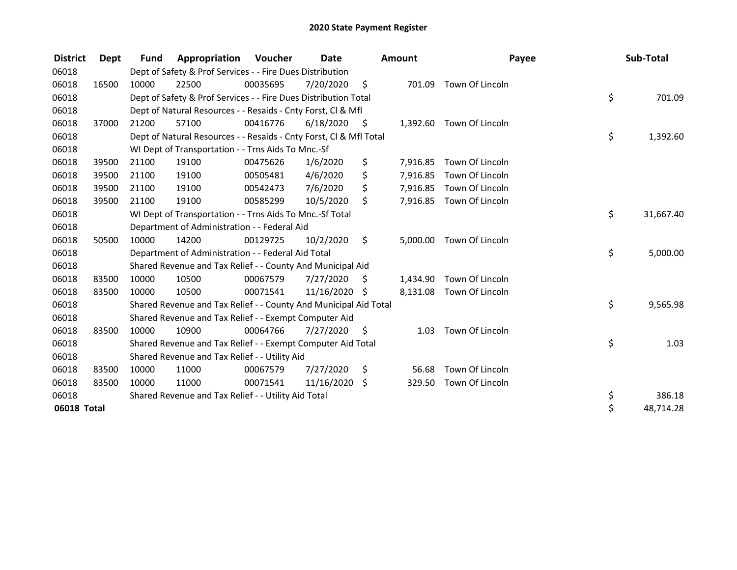| <b>District</b> | Dept  | <b>Fund</b> | Appropriation                                                      | Voucher  | Date          |      | <b>Amount</b> | Payee                    | Sub-Total       |
|-----------------|-------|-------------|--------------------------------------------------------------------|----------|---------------|------|---------------|--------------------------|-----------------|
| 06018           |       |             | Dept of Safety & Prof Services - - Fire Dues Distribution          |          |               |      |               |                          |                 |
| 06018           | 16500 | 10000       | 22500                                                              | 00035695 | 7/20/2020     | - \$ | 701.09        | Town Of Lincoln          |                 |
| 06018           |       |             | Dept of Safety & Prof Services - - Fire Dues Distribution Total    |          |               |      |               |                          | \$<br>701.09    |
| 06018           |       |             | Dept of Natural Resources - - Resaids - Cnty Forst, CI & Mfl       |          |               |      |               |                          |                 |
| 06018           | 37000 | 21200       | 57100                                                              | 00416776 | 6/18/2020     | - \$ |               | 1,392.60 Town Of Lincoln |                 |
| 06018           |       |             | Dept of Natural Resources - - Resaids - Cnty Forst, Cl & Mfl Total |          |               |      |               |                          | \$<br>1,392.60  |
| 06018           |       |             | WI Dept of Transportation - - Trns Aids To Mnc.-Sf                 |          |               |      |               |                          |                 |
| 06018           | 39500 | 21100       | 19100                                                              | 00475626 | 1/6/2020      | \$   | 7,916.85      | Town Of Lincoln          |                 |
| 06018           | 39500 | 21100       | 19100                                                              | 00505481 | 4/6/2020      | \$   | 7,916.85      | Town Of Lincoln          |                 |
| 06018           | 39500 | 21100       | 19100                                                              | 00542473 | 7/6/2020      | \$   | 7,916.85      | Town Of Lincoln          |                 |
| 06018           | 39500 | 21100       | 19100                                                              | 00585299 | 10/5/2020     | \$   |               | 7,916.85 Town Of Lincoln |                 |
| 06018           |       |             | WI Dept of Transportation - - Trns Aids To Mnc.-Sf Total           |          |               |      |               |                          | \$<br>31,667.40 |
| 06018           |       |             | Department of Administration - - Federal Aid                       |          |               |      |               |                          |                 |
| 06018           | 50500 | 10000       | 14200                                                              | 00129725 | 10/2/2020     | \$   | 5,000.00      | Town Of Lincoln          |                 |
| 06018           |       |             | Department of Administration - - Federal Aid Total                 |          |               |      |               |                          | \$<br>5,000.00  |
| 06018           |       |             | Shared Revenue and Tax Relief - - County And Municipal Aid         |          |               |      |               |                          |                 |
| 06018           | 83500 | 10000       | 10500                                                              | 00067579 | 7/27/2020     | \$   | 1,434.90      | Town Of Lincoln          |                 |
| 06018           | 83500 | 10000       | 10500                                                              | 00071541 | 11/16/2020 \$ |      |               | 8,131.08 Town Of Lincoln |                 |
| 06018           |       |             | Shared Revenue and Tax Relief - - County And Municipal Aid Total   |          |               |      |               |                          | \$<br>9,565.98  |
| 06018           |       |             | Shared Revenue and Tax Relief - - Exempt Computer Aid              |          |               |      |               |                          |                 |
| 06018           | 83500 | 10000       | 10900                                                              | 00064766 | 7/27/2020     | \$.  | 1.03          | Town Of Lincoln          |                 |
| 06018           |       |             | Shared Revenue and Tax Relief - - Exempt Computer Aid Total        |          |               |      |               |                          | \$<br>1.03      |
| 06018           |       |             | Shared Revenue and Tax Relief - - Utility Aid                      |          |               |      |               |                          |                 |
| 06018           | 83500 | 10000       | 11000                                                              | 00067579 | 7/27/2020     | \$   | 56.68         | Town Of Lincoln          |                 |
| 06018           | 83500 | 10000       | 11000                                                              | 00071541 | 11/16/2020    | \$   | 329.50        | Town Of Lincoln          |                 |
| 06018           |       |             | Shared Revenue and Tax Relief - - Utility Aid Total                |          |               |      |               |                          | \$<br>386.18    |
| 06018 Total     |       |             |                                                                    |          |               |      |               |                          | \$<br>48,714.28 |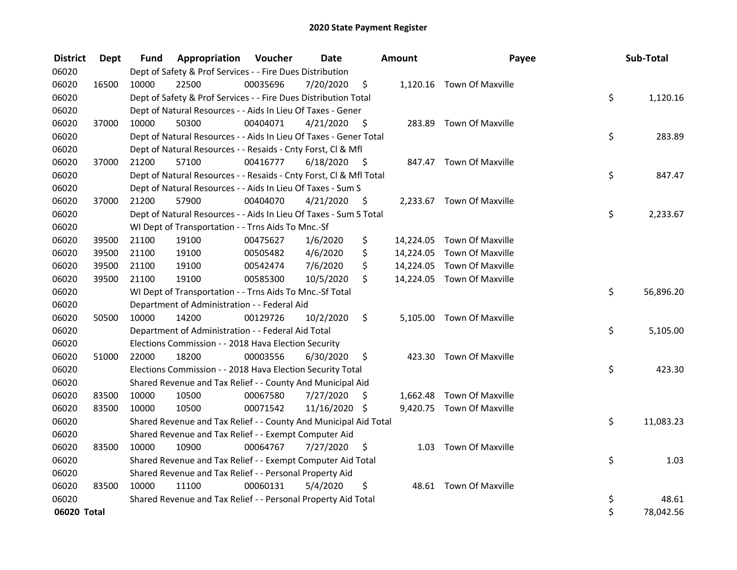| <b>District</b> | <b>Dept</b> | Fund  | Appropriation                                                      | Voucher  | <b>Date</b>   |      | Amount | Payee                      | Sub-Total       |
|-----------------|-------------|-------|--------------------------------------------------------------------|----------|---------------|------|--------|----------------------------|-----------------|
| 06020           |             |       | Dept of Safety & Prof Services - - Fire Dues Distribution          |          |               |      |        |                            |                 |
| 06020           | 16500       | 10000 | 22500                                                              | 00035696 | 7/20/2020     | \$   |        | 1,120.16 Town Of Maxville  |                 |
| 06020           |             |       | Dept of Safety & Prof Services - - Fire Dues Distribution Total    |          |               |      |        |                            | \$<br>1,120.16  |
| 06020           |             |       | Dept of Natural Resources - - Aids In Lieu Of Taxes - Gener        |          |               |      |        |                            |                 |
| 06020           | 37000       | 10000 | 50300                                                              | 00404071 | 4/21/2020     | \$   |        | 283.89 Town Of Maxville    |                 |
| 06020           |             |       | Dept of Natural Resources - - Aids In Lieu Of Taxes - Gener Total  |          |               |      |        |                            | \$<br>283.89    |
| 06020           |             |       | Dept of Natural Resources - - Resaids - Cnty Forst, Cl & Mfl       |          |               |      |        |                            |                 |
| 06020           | 37000       | 21200 | 57100                                                              | 00416777 | 6/18/2020     | - \$ |        | 847.47 Town Of Maxville    |                 |
| 06020           |             |       | Dept of Natural Resources - - Resaids - Cnty Forst, Cl & Mfl Total |          |               |      |        |                            | \$<br>847.47    |
| 06020           |             |       | Dept of Natural Resources - - Aids In Lieu Of Taxes - Sum S        |          |               |      |        |                            |                 |
| 06020           | 37000       | 21200 | 57900                                                              | 00404070 | 4/21/2020     | - \$ |        | 2,233.67 Town Of Maxville  |                 |
| 06020           |             |       | Dept of Natural Resources - - Aids In Lieu Of Taxes - Sum S Total  |          |               |      |        |                            | \$<br>2,233.67  |
| 06020           |             |       | WI Dept of Transportation - - Trns Aids To Mnc.-Sf                 |          |               |      |        |                            |                 |
| 06020           | 39500       | 21100 | 19100                                                              | 00475627 | 1/6/2020      | \$   |        | 14,224.05 Town Of Maxville |                 |
| 06020           | 39500       | 21100 | 19100                                                              | 00505482 | 4/6/2020      | \$   |        | 14,224.05 Town Of Maxville |                 |
| 06020           | 39500       | 21100 | 19100                                                              | 00542474 | 7/6/2020      | \$   |        | 14,224.05 Town Of Maxville |                 |
| 06020           | 39500       | 21100 | 19100                                                              | 00585300 | 10/5/2020     | \$   |        | 14,224.05 Town Of Maxville |                 |
| 06020           |             |       | WI Dept of Transportation - - Trns Aids To Mnc.-Sf Total           |          |               |      |        |                            | \$<br>56,896.20 |
| 06020           |             |       | Department of Administration - - Federal Aid                       |          |               |      |        |                            |                 |
| 06020           | 50500       | 10000 | 14200                                                              | 00129726 | 10/2/2020     | \$   |        | 5,105.00 Town Of Maxville  |                 |
| 06020           |             |       | Department of Administration - - Federal Aid Total                 |          |               |      |        |                            | \$<br>5,105.00  |
| 06020           |             |       | Elections Commission - - 2018 Hava Election Security               |          |               |      |        |                            |                 |
| 06020           | 51000       | 22000 | 18200                                                              | 00003556 | 6/30/2020     | \$   |        | 423.30 Town Of Maxville    |                 |
| 06020           |             |       | Elections Commission - - 2018 Hava Election Security Total         |          |               |      |        |                            | \$<br>423.30    |
| 06020           |             |       | Shared Revenue and Tax Relief - - County And Municipal Aid         |          |               |      |        |                            |                 |
| 06020           | 83500       | 10000 | 10500                                                              | 00067580 | 7/27/2020     | S    |        | 1,662.48 Town Of Maxville  |                 |
| 06020           | 83500       | 10000 | 10500                                                              | 00071542 | 11/16/2020 \$ |      |        | 9,420.75 Town Of Maxville  |                 |
| 06020           |             |       | Shared Revenue and Tax Relief - - County And Municipal Aid Total   |          |               |      |        |                            | \$<br>11,083.23 |
| 06020           |             |       | Shared Revenue and Tax Relief - - Exempt Computer Aid              |          |               |      |        |                            |                 |
| 06020           | 83500       | 10000 | 10900                                                              | 00064767 | 7/27/2020     | \$   |        | 1.03 Town Of Maxville      |                 |
| 06020           |             |       | Shared Revenue and Tax Relief - - Exempt Computer Aid Total        |          |               |      |        |                            | \$<br>1.03      |
| 06020           |             |       | Shared Revenue and Tax Relief - - Personal Property Aid            |          |               |      |        |                            |                 |
| 06020           | 83500       | 10000 | 11100                                                              | 00060131 | 5/4/2020      | \$   |        | 48.61 Town Of Maxville     |                 |
| 06020           |             |       | Shared Revenue and Tax Relief - - Personal Property Aid Total      |          |               |      |        |                            | \$<br>48.61     |
| 06020 Total     |             |       |                                                                    |          |               |      |        |                            | \$<br>78,042.56 |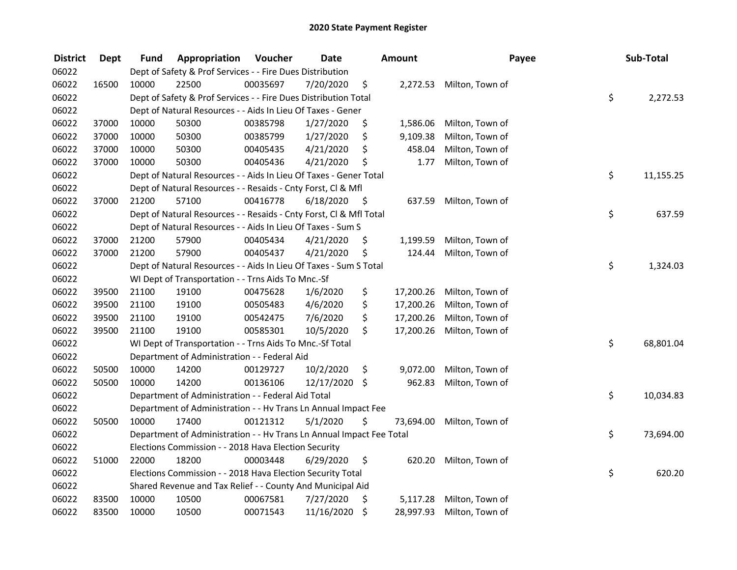| <b>District</b> | <b>Dept</b> | Fund  | Appropriation                                                        | Voucher  | <b>Date</b>   |      | <b>Amount</b> | Payee           | Sub-Total       |
|-----------------|-------------|-------|----------------------------------------------------------------------|----------|---------------|------|---------------|-----------------|-----------------|
| 06022           |             |       | Dept of Safety & Prof Services - - Fire Dues Distribution            |          |               |      |               |                 |                 |
| 06022           | 16500       | 10000 | 22500                                                                | 00035697 | 7/20/2020     | \$   | 2,272.53      | Milton, Town of |                 |
| 06022           |             |       | Dept of Safety & Prof Services - - Fire Dues Distribution Total      |          |               |      |               |                 | \$<br>2,272.53  |
| 06022           |             |       | Dept of Natural Resources - - Aids In Lieu Of Taxes - Gener          |          |               |      |               |                 |                 |
| 06022           | 37000       | 10000 | 50300                                                                | 00385798 | 1/27/2020     | \$   | 1,586.06      | Milton, Town of |                 |
| 06022           | 37000       | 10000 | 50300                                                                | 00385799 | 1/27/2020     | \$   | 9,109.38      | Milton, Town of |                 |
| 06022           | 37000       | 10000 | 50300                                                                | 00405435 | 4/21/2020     | \$   | 458.04        | Milton, Town of |                 |
| 06022           | 37000       | 10000 | 50300                                                                | 00405436 | 4/21/2020     | \$   | 1.77          | Milton, Town of |                 |
| 06022           |             |       | Dept of Natural Resources - - Aids In Lieu Of Taxes - Gener Total    |          |               |      |               |                 | \$<br>11,155.25 |
| 06022           |             |       | Dept of Natural Resources - - Resaids - Cnty Forst, Cl & Mfl         |          |               |      |               |                 |                 |
| 06022           | 37000       | 21200 | 57100                                                                | 00416778 | 6/18/2020     | - \$ | 637.59        | Milton, Town of |                 |
| 06022           |             |       | Dept of Natural Resources - - Resaids - Cnty Forst, Cl & Mfl Total   |          |               |      |               |                 | \$<br>637.59    |
| 06022           |             |       | Dept of Natural Resources - - Aids In Lieu Of Taxes - Sum S          |          |               |      |               |                 |                 |
| 06022           | 37000       | 21200 | 57900                                                                | 00405434 | 4/21/2020     | \$   | 1,199.59      | Milton, Town of |                 |
| 06022           | 37000       | 21200 | 57900                                                                | 00405437 | 4/21/2020     | \$   | 124.44        | Milton, Town of |                 |
| 06022           |             |       | Dept of Natural Resources - - Aids In Lieu Of Taxes - Sum S Total    |          |               |      |               |                 | \$<br>1,324.03  |
| 06022           |             |       | WI Dept of Transportation - - Trns Aids To Mnc.-Sf                   |          |               |      |               |                 |                 |
| 06022           | 39500       | 21100 | 19100                                                                | 00475628 | 1/6/2020      | \$   | 17,200.26     | Milton, Town of |                 |
| 06022           | 39500       | 21100 | 19100                                                                | 00505483 | 4/6/2020      | \$   | 17,200.26     | Milton, Town of |                 |
| 06022           | 39500       | 21100 | 19100                                                                | 00542475 | 7/6/2020      | \$   | 17,200.26     | Milton, Town of |                 |
| 06022           | 39500       | 21100 | 19100                                                                | 00585301 | 10/5/2020     | \$   | 17,200.26     | Milton, Town of |                 |
| 06022           |             |       | WI Dept of Transportation - - Trns Aids To Mnc.-Sf Total             |          |               |      |               |                 | \$<br>68,801.04 |
| 06022           |             |       | Department of Administration - - Federal Aid                         |          |               |      |               |                 |                 |
| 06022           | 50500       | 10000 | 14200                                                                | 00129727 | 10/2/2020     | \$   | 9,072.00      | Milton, Town of |                 |
| 06022           | 50500       | 10000 | 14200                                                                | 00136106 | 12/17/2020 \$ |      | 962.83        | Milton, Town of |                 |
| 06022           |             |       | Department of Administration - - Federal Aid Total                   |          |               |      |               |                 | \$<br>10,034.83 |
| 06022           |             |       | Department of Administration - - Hv Trans Ln Annual Impact Fee       |          |               |      |               |                 |                 |
| 06022           | 50500       | 10000 | 17400                                                                | 00121312 | 5/1/2020      | \$   | 73,694.00     | Milton, Town of |                 |
| 06022           |             |       | Department of Administration - - Hv Trans Ln Annual Impact Fee Total |          |               |      |               |                 | \$<br>73,694.00 |
| 06022           |             |       | Elections Commission - - 2018 Hava Election Security                 |          |               |      |               |                 |                 |
| 06022           | 51000       | 22000 | 18200                                                                | 00003448 | 6/29/2020     | \$   | 620.20        | Milton, Town of |                 |
| 06022           |             |       | Elections Commission - - 2018 Hava Election Security Total           |          |               |      |               |                 | \$<br>620.20    |
| 06022           |             |       | Shared Revenue and Tax Relief - - County And Municipal Aid           |          |               |      |               |                 |                 |
| 06022           | 83500       | 10000 | 10500                                                                | 00067581 | 7/27/2020     | \$   | 5,117.28      | Milton, Town of |                 |
| 06022           | 83500       | 10000 | 10500                                                                | 00071543 | 11/16/2020    | \$   | 28,997.93     | Milton, Town of |                 |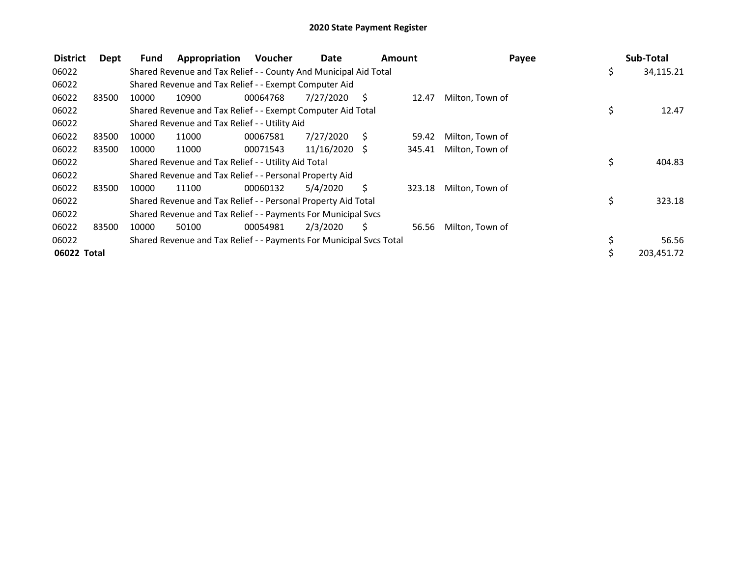| <b>District</b> | Dept  | Fund  | Appropriation                                                       | <b>Voucher</b> | Date            | Amount |        | Payee           | Sub-Total        |
|-----------------|-------|-------|---------------------------------------------------------------------|----------------|-----------------|--------|--------|-----------------|------------------|
| 06022           |       |       | Shared Revenue and Tax Relief - - County And Municipal Aid Total    |                |                 |        |        |                 | \$<br>34,115.21  |
| 06022           |       |       | Shared Revenue and Tax Relief - - Exempt Computer Aid               |                |                 |        |        |                 |                  |
| 06022           | 83500 | 10000 | 10900                                                               | 00064768       | 7/27/2020       | - S    | 12.47  | Milton, Town of |                  |
| 06022           |       |       | Shared Revenue and Tax Relief - - Exempt Computer Aid Total         |                |                 |        |        |                 | \$<br>12.47      |
| 06022           |       |       | Shared Revenue and Tax Relief - - Utility Aid                       |                |                 |        |        |                 |                  |
| 06022           | 83500 | 10000 | 11000                                                               | 00067581       | 7/27/2020       | - S    | 59.42  | Milton, Town of |                  |
| 06022           | 83500 | 10000 | 11000                                                               | 00071543       | $11/16/2020$ \$ |        | 345.41 | Milton, Town of |                  |
| 06022           |       |       | Shared Revenue and Tax Relief - - Utility Aid Total                 |                |                 |        |        |                 | \$<br>404.83     |
| 06022           |       |       | Shared Revenue and Tax Relief - - Personal Property Aid             |                |                 |        |        |                 |                  |
| 06022           | 83500 | 10000 | 11100                                                               | 00060132       | 5/4/2020        | Ś.     | 323.18 | Milton, Town of |                  |
| 06022           |       |       | Shared Revenue and Tax Relief - - Personal Property Aid Total       |                |                 |        |        |                 | \$<br>323.18     |
| 06022           |       |       | Shared Revenue and Tax Relief - - Payments For Municipal Svcs       |                |                 |        |        |                 |                  |
| 06022           | 83500 | 10000 | 50100                                                               | 00054981       | 2/3/2020        | Ś.     | 56.56  | Milton, Town of |                  |
| 06022           |       |       | Shared Revenue and Tax Relief - - Payments For Municipal Svcs Total |                |                 |        |        |                 | \$<br>56.56      |
| 06022 Total     |       |       |                                                                     |                |                 |        |        |                 | \$<br>203,451.72 |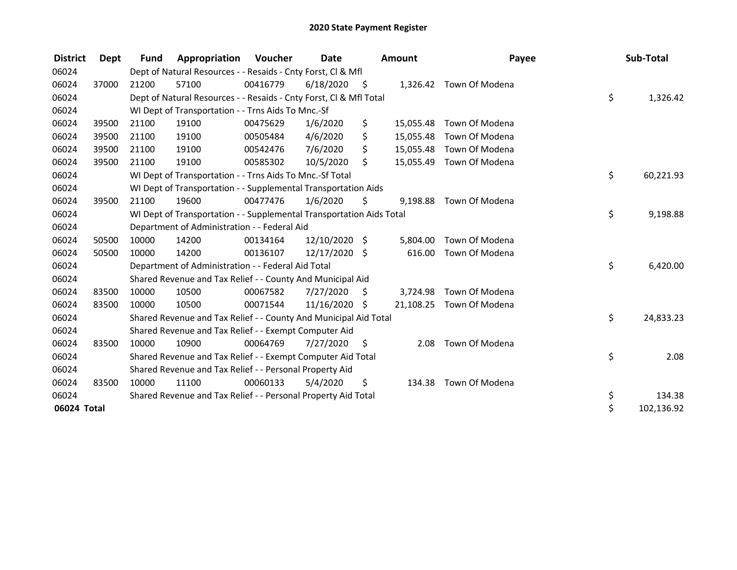| <b>District</b> | Dept  | <b>Fund</b> | Appropriation                                                        | Voucher  | <b>Date</b>   |      | Amount    | Payee                   | Sub-Total        |
|-----------------|-------|-------------|----------------------------------------------------------------------|----------|---------------|------|-----------|-------------------------|------------------|
| 06024           |       |             | Dept of Natural Resources - - Resaids - Cnty Forst, CI & Mfl         |          |               |      |           |                         |                  |
| 06024           | 37000 | 21200       | 57100                                                                | 00416779 | 6/18/2020     | - \$ |           | 1,326.42 Town Of Modena |                  |
| 06024           |       |             | Dept of Natural Resources - - Resaids - Cnty Forst, CI & Mfl Total   |          |               |      |           |                         | \$<br>1,326.42   |
| 06024           |       |             | WI Dept of Transportation - - Trns Aids To Mnc.-Sf                   |          |               |      |           |                         |                  |
| 06024           | 39500 | 21100       | 19100                                                                | 00475629 | 1/6/2020      | \$   | 15,055.48 | Town Of Modena          |                  |
| 06024           | 39500 | 21100       | 19100                                                                | 00505484 | 4/6/2020      | \$   | 15,055.48 | Town Of Modena          |                  |
| 06024           | 39500 | 21100       | 19100                                                                | 00542476 | 7/6/2020      | \$   | 15,055.48 | Town Of Modena          |                  |
| 06024           | 39500 | 21100       | 19100                                                                | 00585302 | 10/5/2020     | \$   | 15,055.49 | Town Of Modena          |                  |
| 06024           |       |             | WI Dept of Transportation - - Trns Aids To Mnc.-Sf Total             |          |               |      |           |                         | \$<br>60,221.93  |
| 06024           |       |             | WI Dept of Transportation - - Supplemental Transportation Aids       |          |               |      |           |                         |                  |
| 06024           | 39500 | 21100       | 19600                                                                | 00477476 | 1/6/2020      | \$   | 9,198.88  | Town Of Modena          |                  |
| 06024           |       |             | WI Dept of Transportation - - Supplemental Transportation Aids Total |          |               |      |           |                         | \$<br>9,198.88   |
| 06024           |       |             | Department of Administration - - Federal Aid                         |          |               |      |           |                         |                  |
| 06024           | 50500 | 10000       | 14200                                                                | 00134164 | 12/10/2020 \$ |      | 5,804.00  | Town Of Modena          |                  |
| 06024           | 50500 | 10000       | 14200                                                                | 00136107 | 12/17/2020 \$ |      | 616.00    | Town Of Modena          |                  |
| 06024           |       |             | Department of Administration - - Federal Aid Total                   |          |               |      |           |                         | \$<br>6,420.00   |
| 06024           |       |             | Shared Revenue and Tax Relief - - County And Municipal Aid           |          |               |      |           |                         |                  |
| 06024           | 83500 | 10000       | 10500                                                                | 00067582 | 7/27/2020     | S.   | 3,724.98  | Town Of Modena          |                  |
| 06024           | 83500 | 10000       | 10500                                                                | 00071544 | 11/16/2020    | \$   | 21,108.25 | Town Of Modena          |                  |
| 06024           |       |             | Shared Revenue and Tax Relief - - County And Municipal Aid Total     |          |               |      |           |                         | \$<br>24,833.23  |
| 06024           |       |             | Shared Revenue and Tax Relief - - Exempt Computer Aid                |          |               |      |           |                         |                  |
| 06024           | 83500 | 10000       | 10900                                                                | 00064769 | 7/27/2020     | \$   | 2.08      | Town Of Modena          |                  |
| 06024           |       |             | Shared Revenue and Tax Relief - - Exempt Computer Aid Total          |          |               |      |           |                         | \$<br>2.08       |
| 06024           |       |             | Shared Revenue and Tax Relief - - Personal Property Aid              |          |               |      |           |                         |                  |
| 06024           | 83500 | 10000       | 11100                                                                | 00060133 | 5/4/2020      | \$   | 134.38    | Town Of Modena          |                  |
| 06024           |       |             | Shared Revenue and Tax Relief - - Personal Property Aid Total        |          |               |      |           |                         | \$<br>134.38     |
| 06024 Total     |       |             |                                                                      |          |               |      |           |                         | \$<br>102,136.92 |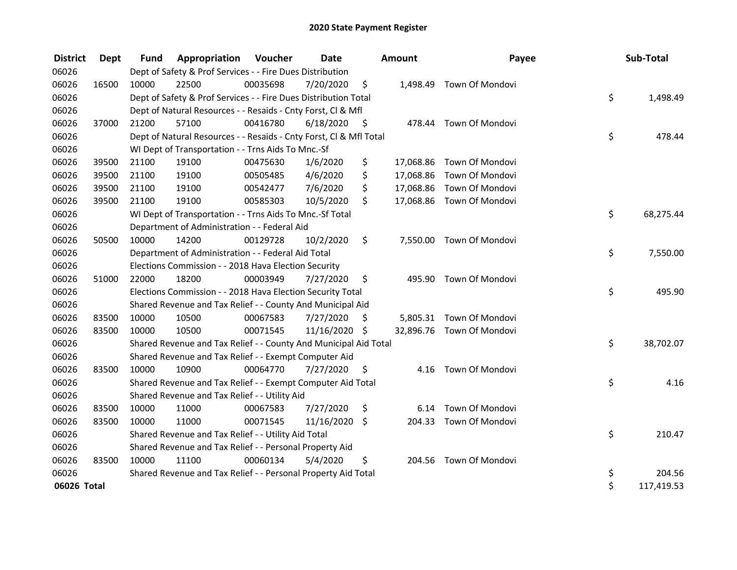| <b>District</b> | Dept  | <b>Fund</b> | Appropriation                                                      | Voucher  | Date          |      | <b>Amount</b> | Payee                     | Sub-Total        |
|-----------------|-------|-------------|--------------------------------------------------------------------|----------|---------------|------|---------------|---------------------------|------------------|
| 06026           |       |             | Dept of Safety & Prof Services - - Fire Dues Distribution          |          |               |      |               |                           |                  |
| 06026           | 16500 | 10000       | 22500                                                              | 00035698 | 7/20/2020     | \$   |               | 1,498.49 Town Of Mondovi  |                  |
| 06026           |       |             | Dept of Safety & Prof Services - - Fire Dues Distribution Total    |          |               |      |               |                           | \$<br>1,498.49   |
| 06026           |       |             | Dept of Natural Resources - - Resaids - Cnty Forst, CI & Mfl       |          |               |      |               |                           |                  |
| 06026           | 37000 | 21200       | 57100                                                              | 00416780 | 6/18/2020     | - \$ |               | 478.44 Town Of Mondovi    |                  |
| 06026           |       |             | Dept of Natural Resources - - Resaids - Cnty Forst, Cl & Mfl Total |          |               |      |               |                           | \$<br>478.44     |
| 06026           |       |             | WI Dept of Transportation - - Trns Aids To Mnc.-Sf                 |          |               |      |               |                           |                  |
| 06026           | 39500 | 21100       | 19100                                                              | 00475630 | 1/6/2020      | \$   | 17,068.86     | <b>Town Of Mondovi</b>    |                  |
| 06026           | 39500 | 21100       | 19100                                                              | 00505485 | 4/6/2020      | \$   | 17,068.86     | Town Of Mondovi           |                  |
| 06026           | 39500 | 21100       | 19100                                                              | 00542477 | 7/6/2020      | \$   | 17,068.86     | Town Of Mondovi           |                  |
| 06026           | 39500 | 21100       | 19100                                                              | 00585303 | 10/5/2020     | \$   |               | 17,068.86 Town Of Mondovi |                  |
| 06026           |       |             | WI Dept of Transportation - - Trns Aids To Mnc.-Sf Total           |          |               |      |               |                           | \$<br>68,275.44  |
| 06026           |       |             | Department of Administration - - Federal Aid                       |          |               |      |               |                           |                  |
| 06026           | 50500 | 10000       | 14200                                                              | 00129728 | 10/2/2020     | \$   |               | 7,550.00 Town Of Mondovi  |                  |
| 06026           |       |             | Department of Administration - - Federal Aid Total                 |          |               |      |               |                           | \$<br>7,550.00   |
| 06026           |       |             | Elections Commission - - 2018 Hava Election Security               |          |               |      |               |                           |                  |
| 06026           | 51000 | 22000       | 18200                                                              | 00003949 | 7/27/2020     | \$   | 495.90        | Town Of Mondovi           |                  |
| 06026           |       |             | Elections Commission - - 2018 Hava Election Security Total         |          |               |      |               |                           | \$<br>495.90     |
| 06026           |       |             | Shared Revenue and Tax Relief - - County And Municipal Aid         |          |               |      |               |                           |                  |
| 06026           | 83500 | 10000       | 10500                                                              | 00067583 | 7/27/2020     | S    |               | 5,805.31 Town Of Mondovi  |                  |
| 06026           | 83500 | 10000       | 10500                                                              | 00071545 | 11/16/2020 \$ |      |               | 32,896.76 Town Of Mondovi |                  |
| 06026           |       |             | Shared Revenue and Tax Relief - - County And Municipal Aid Total   |          |               |      |               |                           | \$<br>38,702.07  |
| 06026           |       |             | Shared Revenue and Tax Relief - - Exempt Computer Aid              |          |               |      |               |                           |                  |
| 06026           | 83500 | 10000       | 10900                                                              | 00064770 | 7/27/2020     | \$.  | 4.16          | Town Of Mondovi           |                  |
| 06026           |       |             | Shared Revenue and Tax Relief - - Exempt Computer Aid Total        |          |               |      |               |                           | \$<br>4.16       |
| 06026           |       |             | Shared Revenue and Tax Relief - - Utility Aid                      |          |               |      |               |                           |                  |
| 06026           | 83500 | 10000       | 11000                                                              | 00067583 | 7/27/2020     | \$   | 6.14          | Town Of Mondovi           |                  |
| 06026           | 83500 | 10000       | 11000                                                              | 00071545 | 11/16/2020 \$ |      |               | 204.33 Town Of Mondovi    |                  |
| 06026           |       |             | Shared Revenue and Tax Relief - - Utility Aid Total                |          |               |      |               |                           | \$<br>210.47     |
| 06026           |       |             | Shared Revenue and Tax Relief - - Personal Property Aid            |          |               |      |               |                           |                  |
| 06026           | 83500 | 10000       | 11100                                                              | 00060134 | 5/4/2020      | \$   | 204.56        | Town Of Mondovi           |                  |
| 06026           |       |             | Shared Revenue and Tax Relief - - Personal Property Aid Total      |          |               |      |               |                           | \$<br>204.56     |
| 06026 Total     |       |             |                                                                    |          |               |      |               |                           | \$<br>117,419.53 |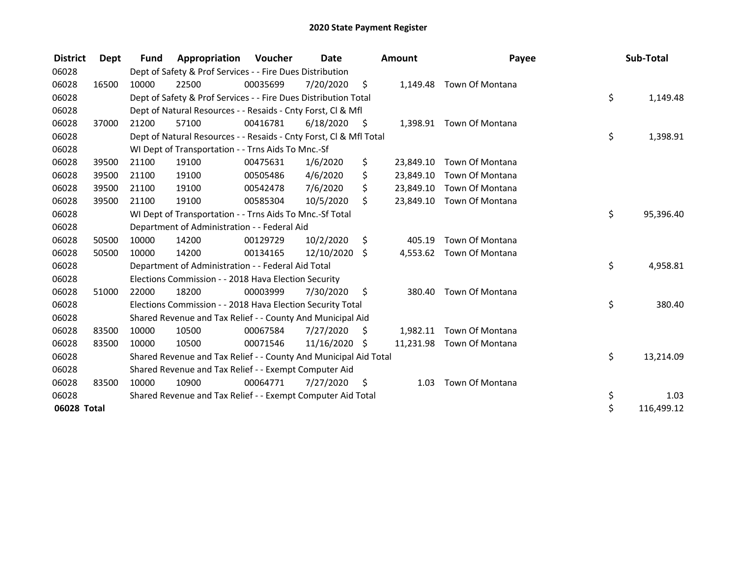| <b>District</b> | Dept  | <b>Fund</b> | Appropriation                                                      | Voucher  | Date       |      | <b>Amount</b> | Payee                     | Sub-Total        |
|-----------------|-------|-------------|--------------------------------------------------------------------|----------|------------|------|---------------|---------------------------|------------------|
| 06028           |       |             | Dept of Safety & Prof Services - - Fire Dues Distribution          |          |            |      |               |                           |                  |
| 06028           | 16500 | 10000       | 22500                                                              | 00035699 | 7/20/2020  | \$   |               | 1,149.48 Town Of Montana  |                  |
| 06028           |       |             | Dept of Safety & Prof Services - - Fire Dues Distribution Total    |          |            |      |               |                           | \$<br>1,149.48   |
| 06028           |       |             | Dept of Natural Resources - - Resaids - Cnty Forst, CI & Mfl       |          |            |      |               |                           |                  |
| 06028           | 37000 | 21200       | 57100                                                              | 00416781 | 6/18/2020  | - \$ |               | 1,398.91 Town Of Montana  |                  |
| 06028           |       |             | Dept of Natural Resources - - Resaids - Cnty Forst, Cl & Mfl Total |          |            |      |               |                           | \$<br>1,398.91   |
| 06028           |       |             | WI Dept of Transportation - - Trns Aids To Mnc.-Sf                 |          |            |      |               |                           |                  |
| 06028           | 39500 | 21100       | 19100                                                              | 00475631 | 1/6/2020   | \$   | 23,849.10     | Town Of Montana           |                  |
| 06028           | 39500 | 21100       | 19100                                                              | 00505486 | 4/6/2020   | \$   | 23,849.10     | Town Of Montana           |                  |
| 06028           | 39500 | 21100       | 19100                                                              | 00542478 | 7/6/2020   | \$   | 23,849.10     | Town Of Montana           |                  |
| 06028           | 39500 | 21100       | 19100                                                              | 00585304 | 10/5/2020  | \$   |               | 23,849.10 Town Of Montana |                  |
| 06028           |       |             | WI Dept of Transportation - - Trns Aids To Mnc.-Sf Total           |          |            |      |               |                           | \$<br>95,396.40  |
| 06028           |       |             | Department of Administration - - Federal Aid                       |          |            |      |               |                           |                  |
| 06028           | 50500 | 10000       | 14200                                                              | 00129729 | 10/2/2020  | \$   | 405.19        | Town Of Montana           |                  |
| 06028           | 50500 | 10000       | 14200                                                              | 00134165 | 12/10/2020 | \$   | 4,553.62      | Town Of Montana           |                  |
| 06028           |       |             | Department of Administration - - Federal Aid Total                 |          |            |      |               |                           | \$<br>4,958.81   |
| 06028           |       |             | Elections Commission - - 2018 Hava Election Security               |          |            |      |               |                           |                  |
| 06028           | 51000 | 22000       | 18200                                                              | 00003999 | 7/30/2020  | \$   | 380.40        | Town Of Montana           |                  |
| 06028           |       |             | Elections Commission - - 2018 Hava Election Security Total         |          |            |      |               |                           | \$<br>380.40     |
| 06028           |       |             | Shared Revenue and Tax Relief - - County And Municipal Aid         |          |            |      |               |                           |                  |
| 06028           | 83500 | 10000       | 10500                                                              | 00067584 | 7/27/2020  | \$.  | 1,982.11      | Town Of Montana           |                  |
| 06028           | 83500 | 10000       | 10500                                                              | 00071546 | 11/16/2020 | Ŝ.   | 11,231.98     | Town Of Montana           |                  |
| 06028           |       |             | Shared Revenue and Tax Relief - - County And Municipal Aid Total   |          |            |      |               |                           | \$<br>13,214.09  |
| 06028           |       |             | Shared Revenue and Tax Relief - - Exempt Computer Aid              |          |            |      |               |                           |                  |
| 06028           | 83500 | 10000       | 10900                                                              | 00064771 | 7/27/2020  | \$   | 1.03          | Town Of Montana           |                  |
| 06028           |       |             | Shared Revenue and Tax Relief - - Exempt Computer Aid Total        |          |            |      |               |                           | \$<br>1.03       |
| 06028 Total     |       |             |                                                                    |          |            |      |               |                           | \$<br>116,499.12 |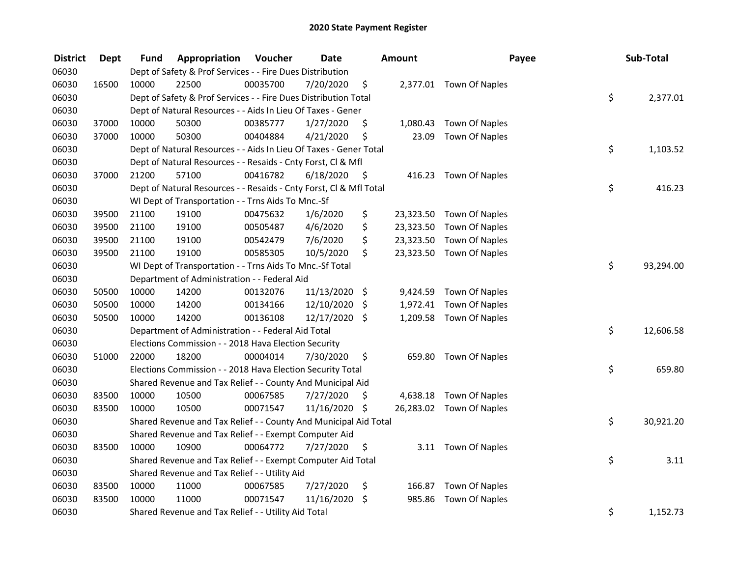| <b>District</b> | <b>Dept</b> | Fund  | Appropriation                                                      | Voucher  | <b>Date</b>   |      | Amount    | Payee                    | Sub-Total       |
|-----------------|-------------|-------|--------------------------------------------------------------------|----------|---------------|------|-----------|--------------------------|-----------------|
| 06030           |             |       | Dept of Safety & Prof Services - - Fire Dues Distribution          |          |               |      |           |                          |                 |
| 06030           | 16500       | 10000 | 22500                                                              | 00035700 | 7/20/2020     | \$   |           | 2,377.01 Town Of Naples  |                 |
| 06030           |             |       | Dept of Safety & Prof Services - - Fire Dues Distribution Total    |          |               |      |           |                          | \$<br>2,377.01  |
| 06030           |             |       | Dept of Natural Resources - - Aids In Lieu Of Taxes - Gener        |          |               |      |           |                          |                 |
| 06030           | 37000       | 10000 | 50300                                                              | 00385777 | 1/27/2020     | \$   | 1,080.43  | <b>Town Of Naples</b>    |                 |
| 06030           | 37000       | 10000 | 50300                                                              | 00404884 | 4/21/2020     | \$   | 23.09     | <b>Town Of Naples</b>    |                 |
| 06030           |             |       | Dept of Natural Resources - - Aids In Lieu Of Taxes - Gener Total  |          |               |      |           |                          | \$<br>1,103.52  |
| 06030           |             |       | Dept of Natural Resources - - Resaids - Cnty Forst, Cl & Mfl       |          |               |      |           |                          |                 |
| 06030           | 37000       | 21200 | 57100                                                              | 00416782 | 6/18/2020     | - \$ |           | 416.23 Town Of Naples    |                 |
| 06030           |             |       | Dept of Natural Resources - - Resaids - Cnty Forst, Cl & Mfl Total |          |               |      |           |                          | \$<br>416.23    |
| 06030           |             |       | WI Dept of Transportation - - Trns Aids To Mnc.-Sf                 |          |               |      |           |                          |                 |
| 06030           | 39500       | 21100 | 19100                                                              | 00475632 | 1/6/2020      | \$   | 23,323.50 | <b>Town Of Naples</b>    |                 |
| 06030           | 39500       | 21100 | 19100                                                              | 00505487 | 4/6/2020      | \$   | 23,323.50 | Town Of Naples           |                 |
| 06030           | 39500       | 21100 | 19100                                                              | 00542479 | 7/6/2020      | \$   | 23,323.50 | Town Of Naples           |                 |
| 06030           | 39500       | 21100 | 19100                                                              | 00585305 | 10/5/2020     | \$   | 23,323.50 | Town Of Naples           |                 |
| 06030           |             |       | WI Dept of Transportation - - Trns Aids To Mnc.-Sf Total           |          |               |      |           |                          | \$<br>93,294.00 |
| 06030           |             |       | Department of Administration - - Federal Aid                       |          |               |      |           |                          |                 |
| 06030           | 50500       | 10000 | 14200                                                              | 00132076 | 11/13/2020 \$ |      | 9,424.59  | Town Of Naples           |                 |
| 06030           | 50500       | 10000 | 14200                                                              | 00134166 | 12/10/2020    | \$   | 1,972.41  | <b>Town Of Naples</b>    |                 |
| 06030           | 50500       | 10000 | 14200                                                              | 00136108 | 12/17/2020 \$ |      |           | 1,209.58 Town Of Naples  |                 |
| 06030           |             |       | Department of Administration - - Federal Aid Total                 |          |               |      |           |                          | \$<br>12,606.58 |
| 06030           |             |       | Elections Commission - - 2018 Hava Election Security               |          |               |      |           |                          |                 |
| 06030           | 51000       | 22000 | 18200                                                              | 00004014 | 7/30/2020     | \$   |           | 659.80 Town Of Naples    |                 |
| 06030           |             |       | Elections Commission - - 2018 Hava Election Security Total         |          |               |      |           |                          | \$<br>659.80    |
| 06030           |             |       | Shared Revenue and Tax Relief - - County And Municipal Aid         |          |               |      |           |                          |                 |
| 06030           | 83500       | 10000 | 10500                                                              | 00067585 | 7/27/2020     | S.   | 4,638.18  | <b>Town Of Naples</b>    |                 |
| 06030           | 83500       | 10000 | 10500                                                              | 00071547 | 11/16/2020 \$ |      |           | 26,283.02 Town Of Naples |                 |
| 06030           |             |       | Shared Revenue and Tax Relief - - County And Municipal Aid Total   |          |               |      |           |                          | \$<br>30,921.20 |
| 06030           |             |       | Shared Revenue and Tax Relief - - Exempt Computer Aid              |          |               |      |           |                          |                 |
| 06030           | 83500       | 10000 | 10900                                                              | 00064772 | 7/27/2020     | \$   |           | 3.11 Town Of Naples      |                 |
| 06030           |             |       | Shared Revenue and Tax Relief - - Exempt Computer Aid Total        |          |               |      |           |                          | \$<br>3.11      |
| 06030           |             |       | Shared Revenue and Tax Relief - - Utility Aid                      |          |               |      |           |                          |                 |
| 06030           | 83500       | 10000 | 11000                                                              | 00067585 | 7/27/2020     | \$   | 166.87    | Town Of Naples           |                 |
| 06030           | 83500       | 10000 | 11000                                                              | 00071547 | 11/16/2020    | \$   | 985.86    | <b>Town Of Naples</b>    |                 |
| 06030           |             |       | Shared Revenue and Tax Relief - - Utility Aid Total                |          |               |      |           |                          | \$<br>1,152.73  |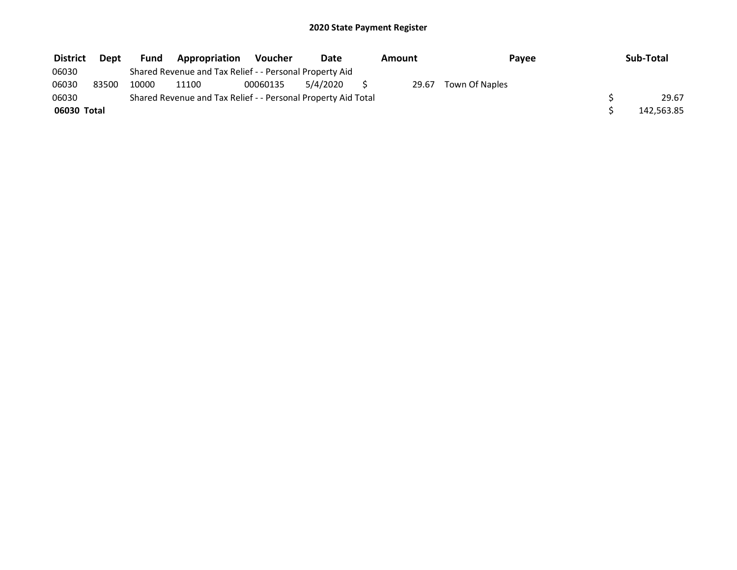| <b>District</b> | <b>Dept</b> | <b>Fund</b>                                                   | Appropriation                                           | <b>Voucher</b> | <b>Date</b> |  | Amount | Payee          |  | Sub-Total  |
|-----------------|-------------|---------------------------------------------------------------|---------------------------------------------------------|----------------|-------------|--|--------|----------------|--|------------|
| 06030           |             |                                                               | Shared Revenue and Tax Relief - - Personal Property Aid |                |             |  |        |                |  |            |
| 06030           | 83500       | 10000                                                         | 11100                                                   | 00060135       | 5/4/2020    |  | 29.67  | Town Of Naples |  |            |
| 06030           |             | Shared Revenue and Tax Relief - - Personal Property Aid Total |                                                         |                |             |  |        |                |  | 29.67      |
| 06030 Total     |             |                                                               |                                                         |                |             |  |        |                |  | 142,563.85 |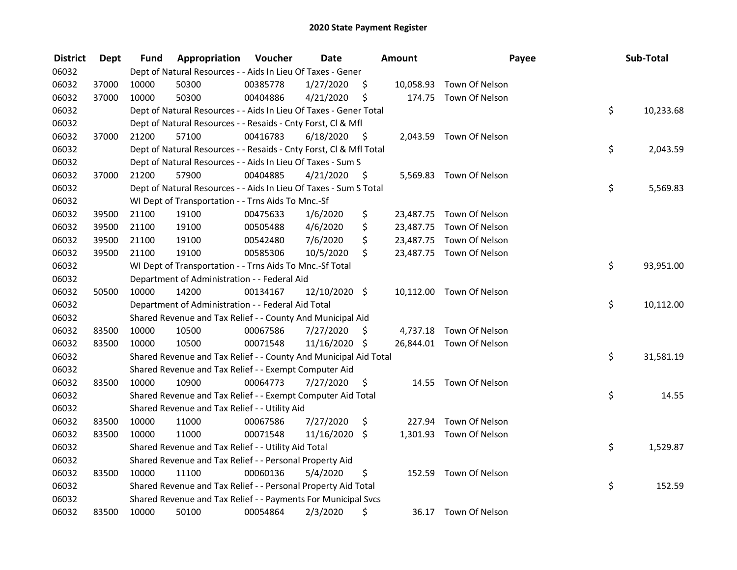| <b>District</b> | Dept  | Fund  | Appropriation                                                      | Voucher  | <b>Date</b>   |      | <b>Amount</b> | Payee                    | Sub-Total       |
|-----------------|-------|-------|--------------------------------------------------------------------|----------|---------------|------|---------------|--------------------------|-----------------|
| 06032           |       |       | Dept of Natural Resources - - Aids In Lieu Of Taxes - Gener        |          |               |      |               |                          |                 |
| 06032           | 37000 | 10000 | 50300                                                              | 00385778 | 1/27/2020     | \$   |               | 10,058.93 Town Of Nelson |                 |
| 06032           | 37000 | 10000 | 50300                                                              | 00404886 | 4/21/2020     | \$   |               | 174.75 Town Of Nelson    |                 |
| 06032           |       |       | Dept of Natural Resources - - Aids In Lieu Of Taxes - Gener Total  |          |               |      |               |                          | \$<br>10,233.68 |
| 06032           |       |       | Dept of Natural Resources - - Resaids - Cnty Forst, Cl & Mfl       |          |               |      |               |                          |                 |
| 06032           | 37000 | 21200 | 57100                                                              | 00416783 | 6/18/2020     | - \$ |               | 2,043.59 Town Of Nelson  |                 |
| 06032           |       |       | Dept of Natural Resources - - Resaids - Cnty Forst, Cl & Mfl Total |          |               |      |               |                          | \$<br>2,043.59  |
| 06032           |       |       | Dept of Natural Resources - - Aids In Lieu Of Taxes - Sum S        |          |               |      |               |                          |                 |
| 06032           | 37000 | 21200 | 57900                                                              | 00404885 | 4/21/2020     | - \$ |               | 5,569.83 Town Of Nelson  |                 |
| 06032           |       |       | Dept of Natural Resources - - Aids In Lieu Of Taxes - Sum S Total  |          |               |      |               |                          | \$<br>5,569.83  |
| 06032           |       |       | WI Dept of Transportation - - Trns Aids To Mnc.-Sf                 |          |               |      |               |                          |                 |
| 06032           | 39500 | 21100 | 19100                                                              | 00475633 | 1/6/2020      | \$   |               | 23,487.75 Town Of Nelson |                 |
| 06032           | 39500 | 21100 | 19100                                                              | 00505488 | 4/6/2020      | \$   |               | 23,487.75 Town Of Nelson |                 |
| 06032           | 39500 | 21100 | 19100                                                              | 00542480 | 7/6/2020      | \$   |               | 23,487.75 Town Of Nelson |                 |
| 06032           | 39500 | 21100 | 19100                                                              | 00585306 | 10/5/2020     | \$   |               | 23,487.75 Town Of Nelson |                 |
| 06032           |       |       | WI Dept of Transportation - - Trns Aids To Mnc.-Sf Total           |          |               |      |               |                          | \$<br>93,951.00 |
| 06032           |       |       | Department of Administration - - Federal Aid                       |          |               |      |               |                          |                 |
| 06032           | 50500 | 10000 | 14200                                                              | 00134167 | 12/10/2020 \$ |      |               | 10,112.00 Town Of Nelson |                 |
| 06032           |       |       | Department of Administration - - Federal Aid Total                 |          |               |      |               |                          | \$<br>10,112.00 |
| 06032           |       |       | Shared Revenue and Tax Relief - - County And Municipal Aid         |          |               |      |               |                          |                 |
| 06032           | 83500 | 10000 | 10500                                                              | 00067586 | 7/27/2020     | \$   |               | 4,737.18 Town Of Nelson  |                 |
| 06032           | 83500 | 10000 | 10500                                                              | 00071548 | 11/16/2020 \$ |      |               | 26,844.01 Town Of Nelson |                 |
| 06032           |       |       | Shared Revenue and Tax Relief - - County And Municipal Aid Total   |          |               |      |               |                          | \$<br>31,581.19 |
| 06032           |       |       | Shared Revenue and Tax Relief - - Exempt Computer Aid              |          |               |      |               |                          |                 |
| 06032           | 83500 | 10000 | 10900                                                              | 00064773 | 7/27/2020     | \$.  |               | 14.55 Town Of Nelson     |                 |
| 06032           |       |       | Shared Revenue and Tax Relief - - Exempt Computer Aid Total        |          |               |      |               |                          | \$<br>14.55     |
| 06032           |       |       | Shared Revenue and Tax Relief - - Utility Aid                      |          |               |      |               |                          |                 |
| 06032           | 83500 | 10000 | 11000                                                              | 00067586 | 7/27/2020     | \$   |               | 227.94 Town Of Nelson    |                 |
| 06032           | 83500 | 10000 | 11000                                                              | 00071548 | 11/16/2020    | \$   |               | 1,301.93 Town Of Nelson  |                 |
| 06032           |       |       | Shared Revenue and Tax Relief - - Utility Aid Total                |          |               |      |               |                          | \$<br>1,529.87  |
| 06032           |       |       | Shared Revenue and Tax Relief - - Personal Property Aid            |          |               |      |               |                          |                 |
| 06032           | 83500 | 10000 | 11100                                                              | 00060136 | 5/4/2020      | \$   |               | 152.59 Town Of Nelson    |                 |
| 06032           |       |       | Shared Revenue and Tax Relief - - Personal Property Aid Total      |          |               |      |               |                          | \$<br>152.59    |
| 06032           |       |       | Shared Revenue and Tax Relief - - Payments For Municipal Svcs      |          |               |      |               |                          |                 |
| 06032           | 83500 | 10000 | 50100                                                              | 00054864 | 2/3/2020      | \$   |               | 36.17 Town Of Nelson     |                 |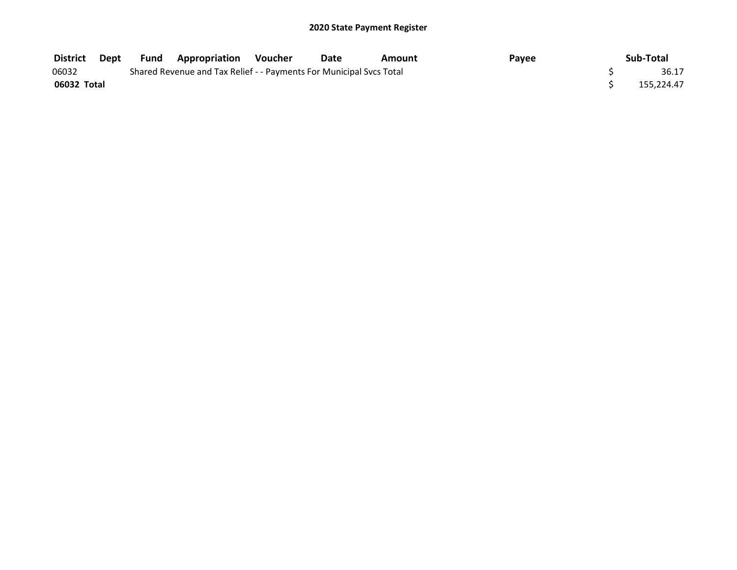| District    | Dept | <b>Fund Appropriation Voucher</b>                                   | Date | Amount | Payee | Sub-Total  |
|-------------|------|---------------------------------------------------------------------|------|--------|-------|------------|
| 06032       |      | Shared Revenue and Tax Relief - - Payments For Municipal Svcs Total |      |        |       | 36.17      |
| 06032 Total |      |                                                                     |      |        |       | 155.224.47 |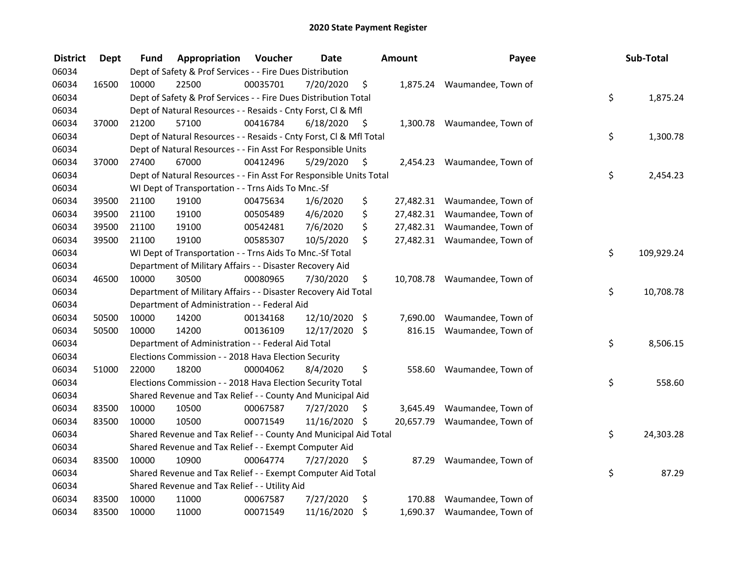| <b>District</b> | <b>Dept</b> | Fund  | Appropriation                                                      | Voucher  | <b>Date</b>   |      | <b>Amount</b> | Payee                        | Sub-Total        |
|-----------------|-------------|-------|--------------------------------------------------------------------|----------|---------------|------|---------------|------------------------------|------------------|
| 06034           |             |       | Dept of Safety & Prof Services - - Fire Dues Distribution          |          |               |      |               |                              |                  |
| 06034           | 16500       | 10000 | 22500                                                              | 00035701 | 7/20/2020     | \$   |               | 1,875.24 Waumandee, Town of  |                  |
| 06034           |             |       | Dept of Safety & Prof Services - - Fire Dues Distribution Total    |          |               |      |               |                              | \$<br>1,875.24   |
| 06034           |             |       | Dept of Natural Resources - - Resaids - Cnty Forst, Cl & Mfl       |          |               |      |               |                              |                  |
| 06034           | 37000       | 21200 | 57100                                                              | 00416784 | 6/18/2020     | - \$ |               | 1,300.78 Waumandee, Town of  |                  |
| 06034           |             |       | Dept of Natural Resources - - Resaids - Cnty Forst, Cl & Mfl Total |          |               |      |               |                              | \$<br>1,300.78   |
| 06034           |             |       | Dept of Natural Resources - - Fin Asst For Responsible Units       |          |               |      |               |                              |                  |
| 06034           | 37000       | 27400 | 67000                                                              | 00412496 | 5/29/2020     | - \$ |               | 2,454.23 Waumandee, Town of  |                  |
| 06034           |             |       | Dept of Natural Resources - - Fin Asst For Responsible Units Total |          |               |      |               |                              | \$<br>2,454.23   |
| 06034           |             |       | WI Dept of Transportation - - Trns Aids To Mnc.-Sf                 |          |               |      |               |                              |                  |
| 06034           | 39500       | 21100 | 19100                                                              | 00475634 | 1/6/2020      | \$   |               | 27,482.31 Waumandee, Town of |                  |
| 06034           | 39500       | 21100 | 19100                                                              | 00505489 | 4/6/2020      | \$   |               | 27,482.31 Waumandee, Town of |                  |
| 06034           | 39500       | 21100 | 19100                                                              | 00542481 | 7/6/2020      | \$   |               | 27,482.31 Waumandee, Town of |                  |
| 06034           | 39500       | 21100 | 19100                                                              | 00585307 | 10/5/2020     | \$   |               | 27,482.31 Waumandee, Town of |                  |
| 06034           |             |       | WI Dept of Transportation - - Trns Aids To Mnc.-Sf Total           |          |               |      |               |                              | \$<br>109,929.24 |
| 06034           |             |       | Department of Military Affairs - - Disaster Recovery Aid           |          |               |      |               |                              |                  |
| 06034           | 46500       | 10000 | 30500                                                              | 00080965 | 7/30/2020     | \$   | 10,708.78     | Waumandee, Town of           |                  |
| 06034           |             |       | Department of Military Affairs - - Disaster Recovery Aid Total     |          |               |      |               |                              | \$<br>10,708.78  |
| 06034           |             |       | Department of Administration - - Federal Aid                       |          |               |      |               |                              |                  |
| 06034           | 50500       | 10000 | 14200                                                              | 00134168 | 12/10/2020 \$ |      | 7,690.00      | Waumandee, Town of           |                  |
| 06034           | 50500       | 10000 | 14200                                                              | 00136109 | 12/17/2020 \$ |      | 816.15        | Waumandee, Town of           |                  |
| 06034           |             |       | Department of Administration - - Federal Aid Total                 |          |               |      |               |                              | \$<br>8,506.15   |
| 06034           |             |       | Elections Commission - - 2018 Hava Election Security               |          |               |      |               |                              |                  |
| 06034           | 51000       | 22000 | 18200                                                              | 00004062 | 8/4/2020      | \$   | 558.60        | Waumandee, Town of           |                  |
| 06034           |             |       | Elections Commission - - 2018 Hava Election Security Total         |          |               |      |               |                              | \$<br>558.60     |
| 06034           |             |       | Shared Revenue and Tax Relief - - County And Municipal Aid         |          |               |      |               |                              |                  |
| 06034           | 83500       | 10000 | 10500                                                              | 00067587 | 7/27/2020     | \$   | 3,645.49      | Waumandee, Town of           |                  |
| 06034           | 83500       | 10000 | 10500                                                              | 00071549 | 11/16/2020 \$ |      | 20,657.79     | Waumandee, Town of           |                  |
| 06034           |             |       | Shared Revenue and Tax Relief - - County And Municipal Aid Total   |          |               |      |               |                              | \$<br>24,303.28  |
| 06034           |             |       | Shared Revenue and Tax Relief - - Exempt Computer Aid              |          |               |      |               |                              |                  |
| 06034           | 83500       | 10000 | 10900                                                              | 00064774 | 7/27/2020     | \$   | 87.29         | Waumandee, Town of           |                  |
| 06034           |             |       | Shared Revenue and Tax Relief - - Exempt Computer Aid Total        |          |               |      |               |                              | \$<br>87.29      |
| 06034           |             |       | Shared Revenue and Tax Relief - - Utility Aid                      |          |               |      |               |                              |                  |
| 06034           | 83500       | 10000 | 11000                                                              | 00067587 | 7/27/2020     | \$   | 170.88        | Waumandee, Town of           |                  |
| 06034           | 83500       | 10000 | 11000                                                              | 00071549 | 11/16/2020    | \$   |               | 1,690.37 Waumandee, Town of  |                  |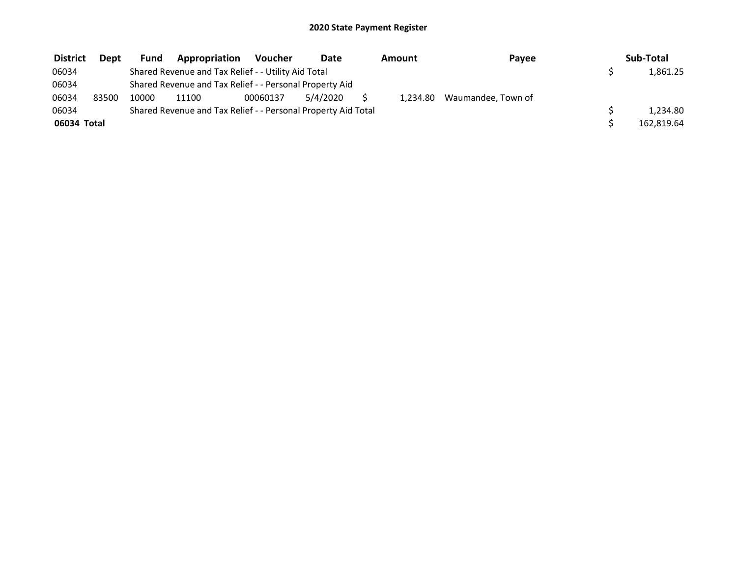| <b>District</b> | <b>Dept</b> | <b>Fund</b> | Appropriation                                                 | <b>Voucher</b> | Date     | Amount | Payee                       | Sub-Total  |
|-----------------|-------------|-------------|---------------------------------------------------------------|----------------|----------|--------|-----------------------------|------------|
| 06034           |             |             | Shared Revenue and Tax Relief - - Utility Aid Total           |                |          |        |                             | 1,861.25   |
| 06034           |             |             | Shared Revenue and Tax Relief - - Personal Property Aid       |                |          |        |                             |            |
| 06034           | 83500       | 10000       | 11100                                                         | 00060137       | 5/4/2020 |        | 1,234.80 Waumandee, Town of |            |
| 06034           |             |             | Shared Revenue and Tax Relief - - Personal Property Aid Total |                |          |        |                             | 1.234.80   |
| 06034 Total     |             |             |                                                               |                |          |        |                             | 162,819.64 |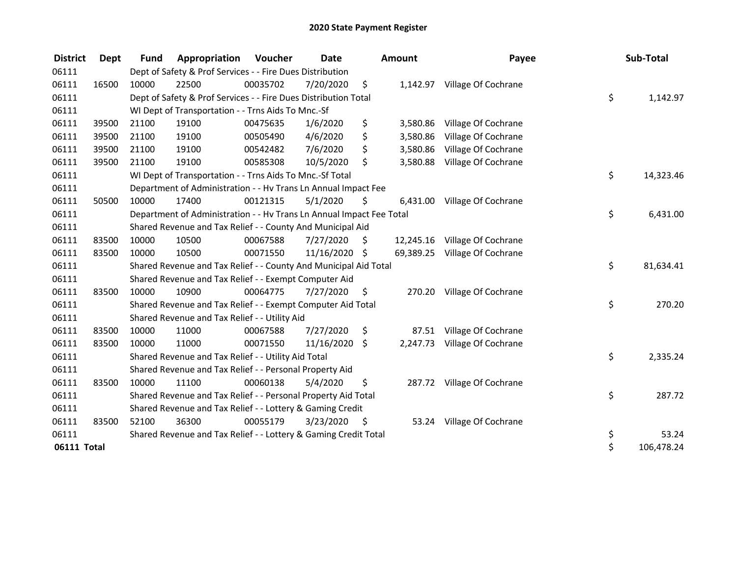| <b>District</b> | Dept  | <b>Fund</b> | Appropriation                                                        | Voucher  | <b>Date</b>   |      | Amount   | Payee                         | Sub-Total        |
|-----------------|-------|-------------|----------------------------------------------------------------------|----------|---------------|------|----------|-------------------------------|------------------|
| 06111           |       |             | Dept of Safety & Prof Services - - Fire Dues Distribution            |          |               |      |          |                               |                  |
| 06111           | 16500 | 10000       | 22500                                                                | 00035702 | 7/20/2020     | \$   |          | 1,142.97 Village Of Cochrane  |                  |
| 06111           |       |             | Dept of Safety & Prof Services - - Fire Dues Distribution Total      |          |               |      |          |                               | \$<br>1,142.97   |
| 06111           |       |             | WI Dept of Transportation - - Trns Aids To Mnc.-Sf                   |          |               |      |          |                               |                  |
| 06111           | 39500 | 21100       | 19100                                                                | 00475635 | 1/6/2020      | \$   | 3,580.86 | Village Of Cochrane           |                  |
| 06111           | 39500 | 21100       | 19100                                                                | 00505490 | 4/6/2020      | \$   | 3,580.86 | Village Of Cochrane           |                  |
| 06111           | 39500 | 21100       | 19100                                                                | 00542482 | 7/6/2020      | \$   | 3,580.86 | Village Of Cochrane           |                  |
| 06111           | 39500 | 21100       | 19100                                                                | 00585308 | 10/5/2020     | \$   | 3,580.88 | Village Of Cochrane           |                  |
| 06111           |       |             | WI Dept of Transportation - - Trns Aids To Mnc.-Sf Total             |          |               |      |          |                               | \$<br>14,323.46  |
| 06111           |       |             | Department of Administration - - Hv Trans Ln Annual Impact Fee       |          |               |      |          |                               |                  |
| 06111           | 50500 | 10000       | 17400                                                                | 00121315 | 5/1/2020      | \$   | 6,431.00 | Village Of Cochrane           |                  |
| 06111           |       |             | Department of Administration - - Hv Trans Ln Annual Impact Fee Total |          |               |      |          |                               | \$<br>6,431.00   |
| 06111           |       |             | Shared Revenue and Tax Relief - - County And Municipal Aid           |          |               |      |          |                               |                  |
| 06111           | 83500 | 10000       | 10500                                                                | 00067588 | 7/27/2020     | S.   |          | 12,245.16 Village Of Cochrane |                  |
| 06111           | 83500 | 10000       | 10500                                                                | 00071550 | 11/16/2020 \$ |      |          | 69,389.25 Village Of Cochrane |                  |
| 06111           |       |             | Shared Revenue and Tax Relief - - County And Municipal Aid Total     |          |               |      |          |                               | \$<br>81,634.41  |
| 06111           |       |             | Shared Revenue and Tax Relief - - Exempt Computer Aid                |          |               |      |          |                               |                  |
| 06111           | 83500 | 10000       | 10900                                                                | 00064775 | 7/27/2020     | \$   | 270.20   | Village Of Cochrane           |                  |
| 06111           |       |             | Shared Revenue and Tax Relief - - Exempt Computer Aid Total          |          |               |      |          |                               | \$<br>270.20     |
| 06111           |       |             | Shared Revenue and Tax Relief - - Utility Aid                        |          |               |      |          |                               |                  |
| 06111           | 83500 | 10000       | 11000                                                                | 00067588 | 7/27/2020     | \$   | 87.51    | Village Of Cochrane           |                  |
| 06111           | 83500 | 10000       | 11000                                                                | 00071550 | 11/16/2020    | \$   | 2,247.73 | Village Of Cochrane           |                  |
| 06111           |       |             | Shared Revenue and Tax Relief - - Utility Aid Total                  |          |               |      |          |                               | \$<br>2,335.24   |
| 06111           |       |             | Shared Revenue and Tax Relief - - Personal Property Aid              |          |               |      |          |                               |                  |
| 06111           | 83500 | 10000       | 11100                                                                | 00060138 | 5/4/2020      | \$   |          | 287.72 Village Of Cochrane    |                  |
| 06111           |       |             | Shared Revenue and Tax Relief - - Personal Property Aid Total        |          |               |      |          |                               | \$<br>287.72     |
| 06111           |       |             | Shared Revenue and Tax Relief - - Lottery & Gaming Credit            |          |               |      |          |                               |                  |
| 06111           | 83500 | 52100       | 36300                                                                | 00055179 | 3/23/2020     | - \$ | 53.24    | Village Of Cochrane           |                  |
| 06111           |       |             | Shared Revenue and Tax Relief - - Lottery & Gaming Credit Total      |          |               |      |          |                               | \$<br>53.24      |
| 06111 Total     |       |             |                                                                      |          |               |      |          |                               | \$<br>106,478.24 |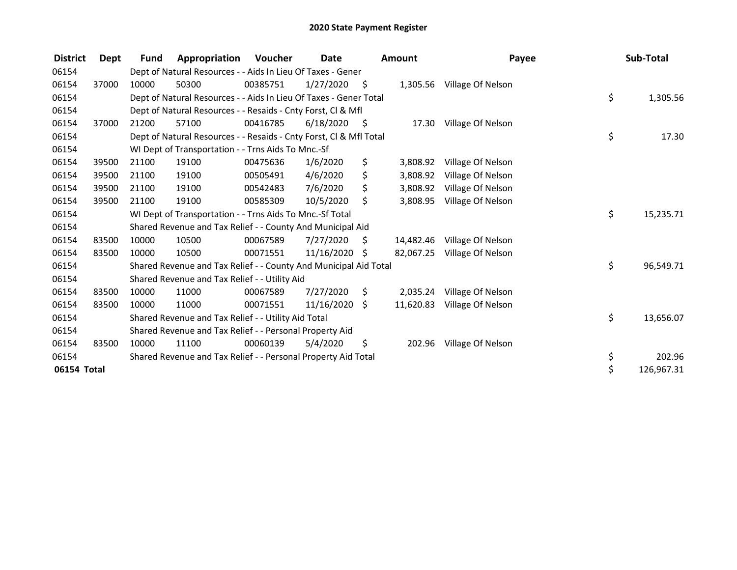| <b>District</b> | Dept  | <b>Fund</b> | Appropriation                                                      | Voucher  | Date       |      | <b>Amount</b> | Payee                      | Sub-Total        |
|-----------------|-------|-------------|--------------------------------------------------------------------|----------|------------|------|---------------|----------------------------|------------------|
| 06154           |       |             | Dept of Natural Resources - - Aids In Lieu Of Taxes - Gener        |          |            |      |               |                            |                  |
| 06154           | 37000 | 10000       | 50300                                                              | 00385751 | 1/27/2020  | - \$ |               | 1,305.56 Village Of Nelson |                  |
| 06154           |       |             | Dept of Natural Resources - - Aids In Lieu Of Taxes - Gener Total  |          |            |      |               |                            | \$<br>1,305.56   |
| 06154           |       |             | Dept of Natural Resources - - Resaids - Cnty Forst, CI & Mfl       |          |            |      |               |                            |                  |
| 06154           | 37000 | 21200       | 57100                                                              | 00416785 | 6/18/2020  | - \$ | 17.30         | Village Of Nelson          |                  |
| 06154           |       |             | Dept of Natural Resources - - Resaids - Cnty Forst, Cl & Mfl Total |          |            |      |               |                            | \$<br>17.30      |
| 06154           |       |             | WI Dept of Transportation - - Trns Aids To Mnc.-Sf                 |          |            |      |               |                            |                  |
| 06154           | 39500 | 21100       | 19100                                                              | 00475636 | 1/6/2020   | \$   | 3,808.92      | Village Of Nelson          |                  |
| 06154           | 39500 | 21100       | 19100                                                              | 00505491 | 4/6/2020   | \$   | 3,808.92      | Village Of Nelson          |                  |
| 06154           | 39500 | 21100       | 19100                                                              | 00542483 | 7/6/2020   | \$   | 3,808.92      | Village Of Nelson          |                  |
| 06154           | 39500 | 21100       | 19100                                                              | 00585309 | 10/5/2020  | \$   | 3,808.95      | Village Of Nelson          |                  |
| 06154           |       |             | WI Dept of Transportation - - Trns Aids To Mnc.-Sf Total           |          |            |      |               |                            | \$<br>15,235.71  |
| 06154           |       |             | Shared Revenue and Tax Relief - - County And Municipal Aid         |          |            |      |               |                            |                  |
| 06154           | 83500 | 10000       | 10500                                                              | 00067589 | 7/27/2020  | S    | 14.482.46     | Village Of Nelson          |                  |
| 06154           | 83500 | 10000       | 10500                                                              | 00071551 | 11/16/2020 | \$   | 82,067.25     | Village Of Nelson          |                  |
| 06154           |       |             | Shared Revenue and Tax Relief - - County And Municipal Aid Total   |          |            |      |               |                            | \$<br>96,549.71  |
| 06154           |       |             | Shared Revenue and Tax Relief - - Utility Aid                      |          |            |      |               |                            |                  |
| 06154           | 83500 | 10000       | 11000                                                              | 00067589 | 7/27/2020  | \$   | 2,035.24      | Village Of Nelson          |                  |
| 06154           | 83500 | 10000       | 11000                                                              | 00071551 | 11/16/2020 | \$   | 11,620.83     | Village Of Nelson          |                  |
| 06154           |       |             | Shared Revenue and Tax Relief - - Utility Aid Total                |          |            |      |               |                            | \$<br>13,656.07  |
| 06154           |       |             | Shared Revenue and Tax Relief - - Personal Property Aid            |          |            |      |               |                            |                  |
| 06154           | 83500 | 10000       | 11100                                                              | 00060139 | 5/4/2020   | \$   | 202.96        | Village Of Nelson          |                  |
| 06154           |       |             | Shared Revenue and Tax Relief - - Personal Property Aid Total      |          |            |      |               |                            | \$<br>202.96     |
| 06154 Total     |       |             |                                                                    |          |            |      |               |                            | \$<br>126,967.31 |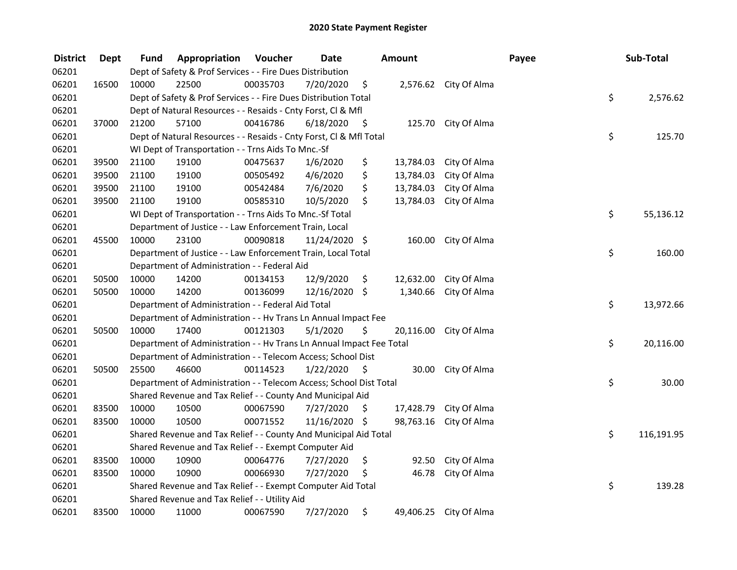| <b>District</b> | <b>Dept</b> | Fund  | Appropriation                                                        | Voucher  | <b>Date</b>   |                     | <b>Amount</b> |                        | Payee | Sub-Total        |
|-----------------|-------------|-------|----------------------------------------------------------------------|----------|---------------|---------------------|---------------|------------------------|-------|------------------|
| 06201           |             |       | Dept of Safety & Prof Services - - Fire Dues Distribution            |          |               |                     |               |                        |       |                  |
| 06201           | 16500       | 10000 | 22500                                                                | 00035703 | 7/20/2020     | \$                  |               | 2,576.62 City Of Alma  |       |                  |
| 06201           |             |       | Dept of Safety & Prof Services - - Fire Dues Distribution Total      |          |               |                     |               |                        |       | \$<br>2,576.62   |
| 06201           |             |       | Dept of Natural Resources - - Resaids - Cnty Forst, Cl & Mfl         |          |               |                     |               |                        |       |                  |
| 06201           | 37000       | 21200 | 57100                                                                | 00416786 | 6/18/2020     | - \$                |               | 125.70 City Of Alma    |       |                  |
| 06201           |             |       | Dept of Natural Resources - - Resaids - Cnty Forst, Cl & Mfl Total   |          |               |                     |               |                        |       | \$<br>125.70     |
| 06201           |             |       | WI Dept of Transportation - - Trns Aids To Mnc.-Sf                   |          |               |                     |               |                        |       |                  |
| 06201           | 39500       | 21100 | 19100                                                                | 00475637 | 1/6/2020      | \$                  | 13,784.03     | City Of Alma           |       |                  |
| 06201           | 39500       | 21100 | 19100                                                                | 00505492 | 4/6/2020      | \$                  | 13,784.03     | City Of Alma           |       |                  |
| 06201           | 39500       | 21100 | 19100                                                                | 00542484 | 7/6/2020      | \$                  | 13,784.03     | City Of Alma           |       |                  |
| 06201           | 39500       | 21100 | 19100                                                                | 00585310 | 10/5/2020     | \$                  | 13,784.03     | City Of Alma           |       |                  |
| 06201           |             |       | WI Dept of Transportation - - Trns Aids To Mnc .- Sf Total           |          |               |                     |               |                        |       | \$<br>55,136.12  |
| 06201           |             |       | Department of Justice - - Law Enforcement Train, Local               |          |               |                     |               |                        |       |                  |
| 06201           | 45500       | 10000 | 23100                                                                | 00090818 | 11/24/2020 \$ |                     | 160.00        | City Of Alma           |       |                  |
| 06201           |             |       | Department of Justice - - Law Enforcement Train, Local Total         |          |               |                     |               |                        |       | \$<br>160.00     |
| 06201           |             |       | Department of Administration - - Federal Aid                         |          |               |                     |               |                        |       |                  |
| 06201           | 50500       | 10000 | 14200                                                                | 00134153 | 12/9/2020     | \$                  | 12,632.00     | City Of Alma           |       |                  |
| 06201           | 50500       | 10000 | 14200                                                                | 00136099 | 12/16/2020 \$ |                     | 1,340.66      | City Of Alma           |       |                  |
| 06201           |             |       | Department of Administration - - Federal Aid Total                   |          |               |                     |               |                        |       | \$<br>13,972.66  |
| 06201           |             |       | Department of Administration - - Hv Trans Ln Annual Impact Fee       |          |               |                     |               |                        |       |                  |
| 06201           | 50500       | 10000 | 17400                                                                | 00121303 | 5/1/2020      | \$                  |               | 20,116.00 City Of Alma |       |                  |
| 06201           |             |       | Department of Administration - - Hv Trans Ln Annual Impact Fee Total |          |               |                     |               |                        |       | \$<br>20,116.00  |
| 06201           |             |       | Department of Administration - - Telecom Access; School Dist         |          |               |                     |               |                        |       |                  |
| 06201           | 50500       | 25500 | 46600                                                                | 00114523 | 1/22/2020     | $\ddot{\mathsf{s}}$ | 30.00         | City Of Alma           |       |                  |
| 06201           |             |       | Department of Administration - - Telecom Access; School Dist Total   |          |               |                     |               |                        |       | \$<br>30.00      |
| 06201           |             |       | Shared Revenue and Tax Relief - - County And Municipal Aid           |          |               |                     |               |                        |       |                  |
| 06201           | 83500       | 10000 | 10500                                                                | 00067590 | 7/27/2020     | Ŝ.                  | 17,428.79     | City Of Alma           |       |                  |
| 06201           | 83500       | 10000 | 10500                                                                | 00071552 | 11/16/2020 \$ |                     | 98,763.16     | City Of Alma           |       |                  |
| 06201           |             |       | Shared Revenue and Tax Relief - - County And Municipal Aid Total     |          |               |                     |               |                        |       | \$<br>116,191.95 |
| 06201           |             |       | Shared Revenue and Tax Relief - - Exempt Computer Aid                |          |               |                     |               |                        |       |                  |
| 06201           | 83500       | 10000 | 10900                                                                | 00064776 | 7/27/2020     | \$                  | 92.50         | City Of Alma           |       |                  |
| 06201           | 83500       | 10000 | 10900                                                                | 00066930 | 7/27/2020     | \$                  | 46.78         | City Of Alma           |       |                  |
| 06201           |             |       | Shared Revenue and Tax Relief - - Exempt Computer Aid Total          |          |               |                     |               |                        |       | \$<br>139.28     |
| 06201           |             |       | Shared Revenue and Tax Relief - - Utility Aid                        |          |               |                     |               |                        |       |                  |
| 06201           | 83500       | 10000 | 11000                                                                | 00067590 | 7/27/2020     | \$                  |               | 49,406.25 City Of Alma |       |                  |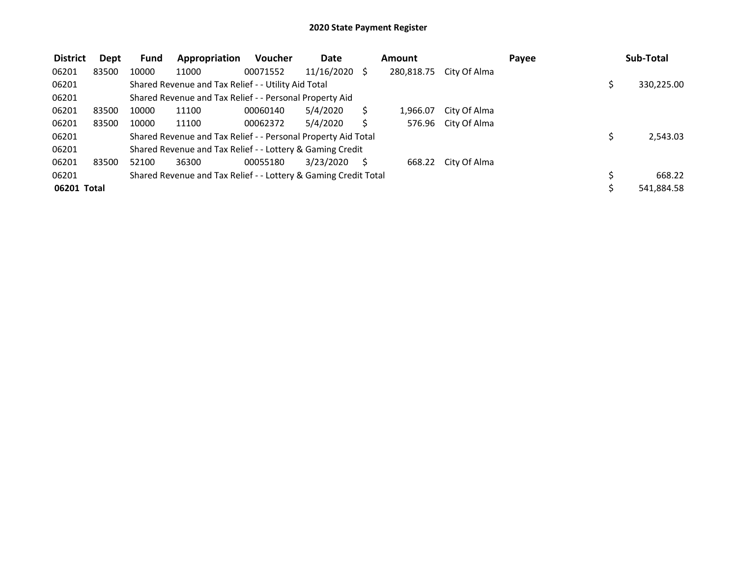| <b>District</b> | Dept  | <b>Fund</b> | Appropriation                                                   | <b>Voucher</b> | Date       |              | Amount     |              | Payee |  | Sub-Total  |  |  |
|-----------------|-------|-------------|-----------------------------------------------------------------|----------------|------------|--------------|------------|--------------|-------|--|------------|--|--|
| 06201           | 83500 | 10000       | 11000                                                           | 00071552       | 11/16/2020 | <sup>S</sup> | 280,818.75 | City Of Alma |       |  |            |  |  |
| 06201           |       |             | Shared Revenue and Tax Relief - - Utility Aid Total             |                |            |              |            |              |       |  | 330,225.00 |  |  |
| 06201           |       |             | Shared Revenue and Tax Relief - - Personal Property Aid         |                |            |              |            |              |       |  |            |  |  |
| 06201           | 83500 | 10000       | 11100                                                           | 00060140       | 5/4/2020   |              | 1,966.07   | City Of Alma |       |  |            |  |  |
| 06201           | 83500 | 10000       | 11100                                                           | 00062372       | 5/4/2020   |              | 576.96     | City Of Alma |       |  |            |  |  |
| 06201           |       |             | Shared Revenue and Tax Relief - - Personal Property Aid Total   |                |            |              |            |              |       |  | 2,543.03   |  |  |
| 06201           |       |             | Shared Revenue and Tax Relief - - Lottery & Gaming Credit       |                |            |              |            |              |       |  |            |  |  |
| 06201           | 83500 | 52100       | 36300                                                           | 00055180       | 3/23/2020  |              | 668.22     | City Of Alma |       |  |            |  |  |
| 06201           |       |             | Shared Revenue and Tax Relief - - Lottery & Gaming Credit Total |                |            |              |            |              |       |  | 668.22     |  |  |
| 06201 Total     |       |             |                                                                 |                |            |              |            |              |       |  | 541,884.58 |  |  |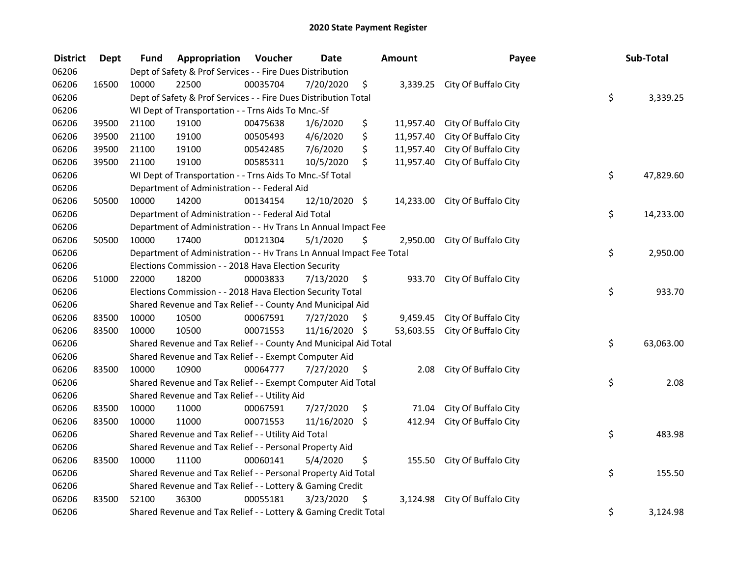| <b>District</b> | <b>Dept</b> | Fund  | Appropriation                                                        | Voucher  | <b>Date</b>   |     | Amount    | Payee                          | Sub-Total       |
|-----------------|-------------|-------|----------------------------------------------------------------------|----------|---------------|-----|-----------|--------------------------------|-----------------|
| 06206           |             |       | Dept of Safety & Prof Services - - Fire Dues Distribution            |          |               |     |           |                                |                 |
| 06206           | 16500       | 10000 | 22500                                                                | 00035704 | 7/20/2020     | \$  |           | 3,339.25 City Of Buffalo City  |                 |
| 06206           |             |       | Dept of Safety & Prof Services - - Fire Dues Distribution Total      |          |               |     |           |                                | \$<br>3,339.25  |
| 06206           |             |       | WI Dept of Transportation - - Trns Aids To Mnc.-Sf                   |          |               |     |           |                                |                 |
| 06206           | 39500       | 21100 | 19100                                                                | 00475638 | 1/6/2020      | \$  | 11,957.40 | City Of Buffalo City           |                 |
| 06206           | 39500       | 21100 | 19100                                                                | 00505493 | 4/6/2020      | \$  | 11,957.40 | City Of Buffalo City           |                 |
| 06206           | 39500       | 21100 | 19100                                                                | 00542485 | 7/6/2020      | \$  | 11,957.40 | City Of Buffalo City           |                 |
| 06206           | 39500       | 21100 | 19100                                                                | 00585311 | 10/5/2020     | \$  |           | 11,957.40 City Of Buffalo City |                 |
| 06206           |             |       | WI Dept of Transportation - - Trns Aids To Mnc.-Sf Total             |          |               |     |           |                                | \$<br>47,829.60 |
| 06206           |             |       | Department of Administration - - Federal Aid                         |          |               |     |           |                                |                 |
| 06206           | 50500       | 10000 | 14200                                                                | 00134154 | 12/10/2020 \$ |     |           | 14,233.00 City Of Buffalo City |                 |
| 06206           |             |       | Department of Administration - - Federal Aid Total                   |          |               |     |           |                                | \$<br>14,233.00 |
| 06206           |             |       | Department of Administration - - Hv Trans Ln Annual Impact Fee       |          |               |     |           |                                |                 |
| 06206           | 50500       | 10000 | 17400                                                                | 00121304 | 5/1/2020      | \$  |           | 2,950.00 City Of Buffalo City  |                 |
| 06206           |             |       | Department of Administration - - Hv Trans Ln Annual Impact Fee Total |          |               |     |           |                                | \$<br>2,950.00  |
| 06206           |             |       | Elections Commission - - 2018 Hava Election Security                 |          |               |     |           |                                |                 |
| 06206           | 51000       | 22000 | 18200                                                                | 00003833 | 7/13/2020     | \$  | 933.70    | City Of Buffalo City           |                 |
| 06206           |             |       | Elections Commission - - 2018 Hava Election Security Total           |          |               |     |           |                                | \$<br>933.70    |
| 06206           |             |       | Shared Revenue and Tax Relief - - County And Municipal Aid           |          |               |     |           |                                |                 |
| 06206           | 83500       | 10000 | 10500                                                                | 00067591 | 7/27/2020     | \$  | 9,459.45  | City Of Buffalo City           |                 |
| 06206           | 83500       | 10000 | 10500                                                                | 00071553 | 11/16/2020 \$ |     |           | 53,603.55 City Of Buffalo City |                 |
| 06206           |             |       | Shared Revenue and Tax Relief - - County And Municipal Aid Total     |          |               |     |           |                                | \$<br>63,063.00 |
| 06206           |             |       | Shared Revenue and Tax Relief - - Exempt Computer Aid                |          |               |     |           |                                |                 |
| 06206           | 83500       | 10000 | 10900                                                                | 00064777 | 7/27/2020     | -\$ | 2.08      | City Of Buffalo City           |                 |
| 06206           |             |       | Shared Revenue and Tax Relief - - Exempt Computer Aid Total          |          |               |     |           |                                | \$<br>2.08      |
| 06206           |             |       | Shared Revenue and Tax Relief - - Utility Aid                        |          |               |     |           |                                |                 |
| 06206           | 83500       | 10000 | 11000                                                                | 00067591 | 7/27/2020     | \$  | 71.04     | City Of Buffalo City           |                 |
| 06206           | 83500       | 10000 | 11000                                                                | 00071553 | 11/16/2020 \$ |     | 412.94    | City Of Buffalo City           |                 |
| 06206           |             |       | Shared Revenue and Tax Relief - - Utility Aid Total                  |          |               |     |           |                                | \$<br>483.98    |
| 06206           |             |       | Shared Revenue and Tax Relief - - Personal Property Aid              |          |               |     |           |                                |                 |
| 06206           | 83500       | 10000 | 11100                                                                | 00060141 | 5/4/2020      | \$  | 155.50    | City Of Buffalo City           |                 |
| 06206           |             |       | Shared Revenue and Tax Relief - - Personal Property Aid Total        |          |               |     |           |                                | \$<br>155.50    |
| 06206           |             |       | Shared Revenue and Tax Relief - - Lottery & Gaming Credit            |          |               |     |           |                                |                 |
| 06206           | 83500       | 52100 | 36300                                                                | 00055181 | 3/23/2020     | \$  |           | 3,124.98 City Of Buffalo City  |                 |
| 06206           |             |       | Shared Revenue and Tax Relief - - Lottery & Gaming Credit Total      |          |               |     |           |                                | \$<br>3,124.98  |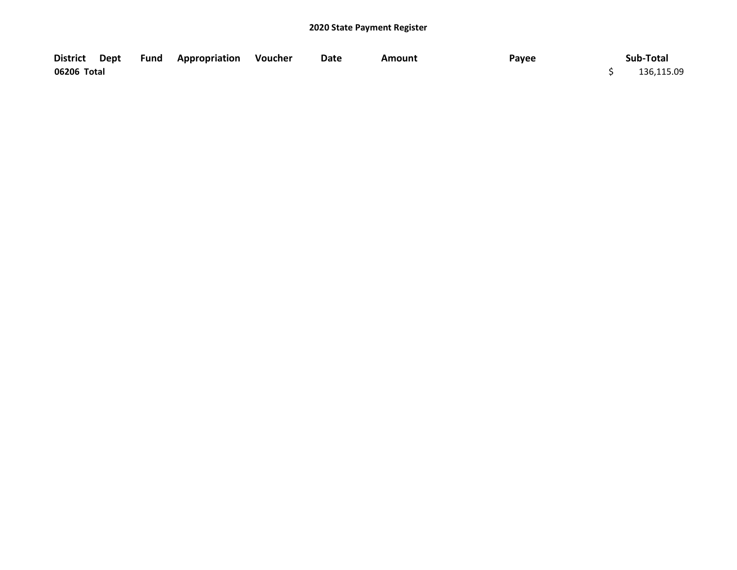|             |  | District Dept Fund Appropriation Voucher | Date | Amount | Payee | Sub-Total  |
|-------------|--|------------------------------------------|------|--------|-------|------------|
| 06206 Total |  |                                          |      |        |       | 136,115.09 |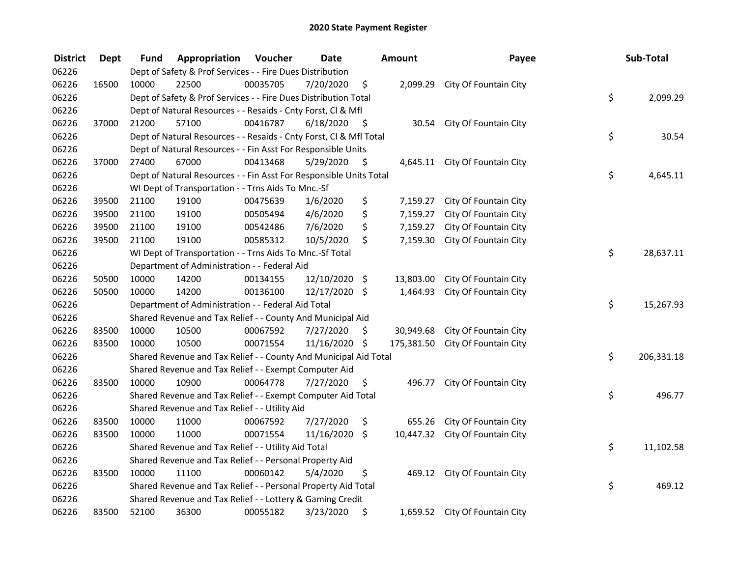| <b>District</b> | <b>Dept</b> | Fund  | Appropriation                                                      | Voucher  | <b>Date</b>   |      | Amount    | Payee                            | Sub-Total        |
|-----------------|-------------|-------|--------------------------------------------------------------------|----------|---------------|------|-----------|----------------------------------|------------------|
| 06226           |             |       | Dept of Safety & Prof Services - - Fire Dues Distribution          |          |               |      |           |                                  |                  |
| 06226           | 16500       | 10000 | 22500                                                              | 00035705 | 7/20/2020     | \$   |           | 2,099.29 City Of Fountain City   |                  |
| 06226           |             |       | Dept of Safety & Prof Services - - Fire Dues Distribution Total    |          |               |      |           |                                  | \$<br>2,099.29   |
| 06226           |             |       | Dept of Natural Resources - - Resaids - Cnty Forst, Cl & Mfl       |          |               |      |           |                                  |                  |
| 06226           | 37000       | 21200 | 57100                                                              | 00416787 | 6/18/2020     | - \$ | 30.54     | City Of Fountain City            |                  |
| 06226           |             |       | Dept of Natural Resources - - Resaids - Cnty Forst, Cl & Mfl Total |          |               |      |           |                                  | \$<br>30.54      |
| 06226           |             |       | Dept of Natural Resources - - Fin Asst For Responsible Units       |          |               |      |           |                                  |                  |
| 06226           | 37000       | 27400 | 67000                                                              | 00413468 | 5/29/2020     | - \$ |           | 4,645.11 City Of Fountain City   |                  |
| 06226           |             |       | Dept of Natural Resources - - Fin Asst For Responsible Units Total |          |               |      |           |                                  | \$<br>4,645.11   |
| 06226           |             |       | WI Dept of Transportation - - Trns Aids To Mnc.-Sf                 |          |               |      |           |                                  |                  |
| 06226           | 39500       | 21100 | 19100                                                              | 00475639 | 1/6/2020      | \$   | 7,159.27  | City Of Fountain City            |                  |
| 06226           | 39500       | 21100 | 19100                                                              | 00505494 | 4/6/2020      | \$   | 7,159.27  | City Of Fountain City            |                  |
| 06226           | 39500       | 21100 | 19100                                                              | 00542486 | 7/6/2020      | \$   | 7,159.27  | City Of Fountain City            |                  |
| 06226           | 39500       | 21100 | 19100                                                              | 00585312 | 10/5/2020     | \$   | 7,159.30  | City Of Fountain City            |                  |
| 06226           |             |       | WI Dept of Transportation - - Trns Aids To Mnc.-Sf Total           |          |               |      |           |                                  | \$<br>28,637.11  |
| 06226           |             |       | Department of Administration - - Federal Aid                       |          |               |      |           |                                  |                  |
| 06226           | 50500       | 10000 | 14200                                                              | 00134155 | 12/10/2020    | \$   | 13,803.00 | City Of Fountain City            |                  |
| 06226           | 50500       | 10000 | 14200                                                              | 00136100 | 12/17/2020 \$ |      | 1,464.93  | City Of Fountain City            |                  |
| 06226           |             |       | Department of Administration - - Federal Aid Total                 |          |               |      |           |                                  | \$<br>15,267.93  |
| 06226           |             |       | Shared Revenue and Tax Relief - - County And Municipal Aid         |          |               |      |           |                                  |                  |
| 06226           | 83500       | 10000 | 10500                                                              | 00067592 | 7/27/2020     | \$   | 30,949.68 | City Of Fountain City            |                  |
| 06226           | 83500       | 10000 | 10500                                                              | 00071554 | 11/16/2020 \$ |      |           | 175,381.50 City Of Fountain City |                  |
| 06226           |             |       | Shared Revenue and Tax Relief - - County And Municipal Aid Total   |          |               |      |           |                                  | \$<br>206,331.18 |
| 06226           |             |       | Shared Revenue and Tax Relief - - Exempt Computer Aid              |          |               |      |           |                                  |                  |
| 06226           | 83500       | 10000 | 10900                                                              | 00064778 | 7/27/2020     | \$.  | 496.77    | City Of Fountain City            |                  |
| 06226           |             |       | Shared Revenue and Tax Relief - - Exempt Computer Aid Total        |          |               |      |           |                                  | \$<br>496.77     |
| 06226           |             |       | Shared Revenue and Tax Relief - - Utility Aid                      |          |               |      |           |                                  |                  |
| 06226           | 83500       | 10000 | 11000                                                              | 00067592 | 7/27/2020     | \$   | 655.26    | City Of Fountain City            |                  |
| 06226           | 83500       | 10000 | 11000                                                              | 00071554 | 11/16/2020    | \$   |           | 10,447.32 City Of Fountain City  |                  |
| 06226           |             |       | Shared Revenue and Tax Relief - - Utility Aid Total                |          |               |      |           |                                  | \$<br>11,102.58  |
| 06226           |             |       | Shared Revenue and Tax Relief - - Personal Property Aid            |          |               |      |           |                                  |                  |
| 06226           | 83500       | 10000 | 11100                                                              | 00060142 | 5/4/2020      | \$   | 469.12    | City Of Fountain City            |                  |
| 06226           |             |       | Shared Revenue and Tax Relief - - Personal Property Aid Total      |          |               |      |           |                                  | \$<br>469.12     |
| 06226           |             |       | Shared Revenue and Tax Relief - - Lottery & Gaming Credit          |          |               |      |           |                                  |                  |
| 06226           | 83500       | 52100 | 36300                                                              | 00055182 | 3/23/2020     | \$   |           | 1,659.52 City Of Fountain City   |                  |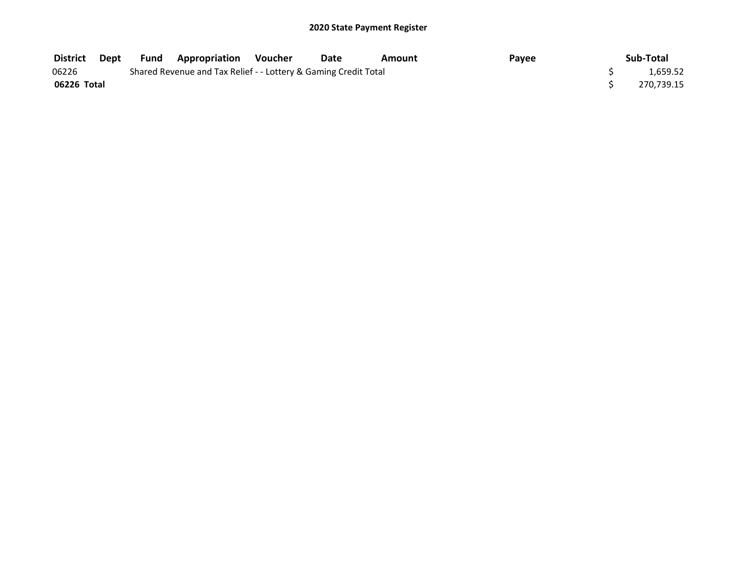| <b>District</b> | Dept                                                            |  | <b>Fund Appropriation Voucher</b> |  | Date | Amount | Pavee |  | Sub-Total  |
|-----------------|-----------------------------------------------------------------|--|-----------------------------------|--|------|--------|-------|--|------------|
| 06226           | Shared Revenue and Tax Relief - - Lottery & Gaming Credit Total |  |                                   |  |      |        |       |  |            |
| 06226 Total     |                                                                 |  |                                   |  |      |        |       |  | 270.739.15 |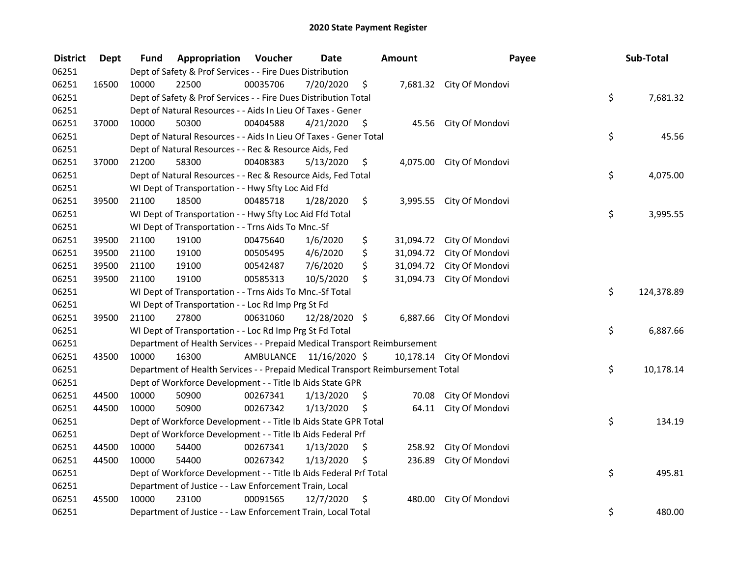| <b>District</b> | <b>Dept</b> | Fund  | Appropriation                                                                   | Voucher  | <b>Date</b>             |      | Amount    | Payee                     | Sub-Total        |
|-----------------|-------------|-------|---------------------------------------------------------------------------------|----------|-------------------------|------|-----------|---------------------------|------------------|
| 06251           |             |       | Dept of Safety & Prof Services - - Fire Dues Distribution                       |          |                         |      |           |                           |                  |
| 06251           | 16500       | 10000 | 22500                                                                           | 00035706 | 7/20/2020               | \$   |           | 7,681.32 City Of Mondovi  |                  |
| 06251           |             |       | Dept of Safety & Prof Services - - Fire Dues Distribution Total                 |          |                         |      |           |                           | \$<br>7,681.32   |
| 06251           |             |       | Dept of Natural Resources - - Aids In Lieu Of Taxes - Gener                     |          |                         |      |           |                           |                  |
| 06251           | 37000       | 10000 | 50300                                                                           | 00404588 | 4/21/2020               | - \$ |           | 45.56 City Of Mondovi     |                  |
| 06251           |             |       | Dept of Natural Resources - - Aids In Lieu Of Taxes - Gener Total               |          |                         |      |           |                           | \$<br>45.56      |
| 06251           |             |       | Dept of Natural Resources - - Rec & Resource Aids, Fed                          |          |                         |      |           |                           |                  |
| 06251           | 37000       | 21200 | 58300                                                                           | 00408383 | 5/13/2020               | \$   |           | 4,075.00 City Of Mondovi  |                  |
| 06251           |             |       | Dept of Natural Resources - - Rec & Resource Aids, Fed Total                    |          |                         |      |           |                           | \$<br>4,075.00   |
| 06251           |             |       | WI Dept of Transportation - - Hwy Sfty Loc Aid Ffd                              |          |                         |      |           |                           |                  |
| 06251           | 39500       | 21100 | 18500                                                                           | 00485718 | 1/28/2020               | \$   |           | 3,995.55 City Of Mondovi  |                  |
| 06251           |             |       | WI Dept of Transportation - - Hwy Sfty Loc Aid Ffd Total                        |          |                         |      |           |                           | \$<br>3,995.55   |
| 06251           |             |       | WI Dept of Transportation - - Trns Aids To Mnc.-Sf                              |          |                         |      |           |                           |                  |
| 06251           | 39500       | 21100 | 19100                                                                           | 00475640 | 1/6/2020                | \$   | 31,094.72 | City Of Mondovi           |                  |
| 06251           | 39500       | 21100 | 19100                                                                           | 00505495 | 4/6/2020                | \$   | 31,094.72 | City Of Mondovi           |                  |
| 06251           | 39500       | 21100 | 19100                                                                           | 00542487 | 7/6/2020                | \$   | 31,094.72 | City Of Mondovi           |                  |
| 06251           | 39500       | 21100 | 19100                                                                           | 00585313 | 10/5/2020               | \$   | 31,094.73 | City Of Mondovi           |                  |
| 06251           |             |       | WI Dept of Transportation - - Trns Aids To Mnc.-Sf Total                        |          |                         |      |           |                           | \$<br>124,378.89 |
| 06251           |             |       | WI Dept of Transportation - - Loc Rd Imp Prg St Fd                              |          |                         |      |           |                           |                  |
| 06251           | 39500       | 21100 | 27800                                                                           | 00631060 | 12/28/2020 \$           |      |           | 6,887.66 City Of Mondovi  |                  |
| 06251           |             |       | WI Dept of Transportation - - Loc Rd Imp Prg St Fd Total                        |          |                         |      |           |                           | \$<br>6,887.66   |
| 06251           |             |       | Department of Health Services - - Prepaid Medical Transport Reimbursement       |          |                         |      |           |                           |                  |
| 06251           | 43500       | 10000 | 16300                                                                           |          | AMBULANCE 11/16/2020 \$ |      |           | 10,178.14 City Of Mondovi |                  |
| 06251           |             |       | Department of Health Services - - Prepaid Medical Transport Reimbursement Total |          |                         |      |           |                           | \$<br>10,178.14  |
| 06251           |             |       | Dept of Workforce Development - - Title Ib Aids State GPR                       |          |                         |      |           |                           |                  |
| 06251           | 44500       | 10000 | 50900                                                                           | 00267341 | 1/13/2020               | \$   | 70.08     | City Of Mondovi           |                  |
| 06251           | 44500       | 10000 | 50900                                                                           | 00267342 | 1/13/2020               | \$   | 64.11     | City Of Mondovi           |                  |
| 06251           |             |       | Dept of Workforce Development - - Title Ib Aids State GPR Total                 |          |                         |      |           |                           | \$<br>134.19     |
| 06251           |             |       | Dept of Workforce Development - - Title Ib Aids Federal Prf                     |          |                         |      |           |                           |                  |
| 06251           | 44500       | 10000 | 54400                                                                           | 00267341 | 1/13/2020               | \$   | 258.92    | City Of Mondovi           |                  |
| 06251           | 44500       | 10000 | 54400                                                                           | 00267342 | 1/13/2020               | \$   | 236.89    | City Of Mondovi           |                  |
| 06251           |             |       | Dept of Workforce Development - - Title Ib Aids Federal Prf Total               |          |                         |      |           |                           | \$<br>495.81     |
| 06251           |             |       | Department of Justice - - Law Enforcement Train, Local                          |          |                         |      |           |                           |                  |
| 06251           | 45500       | 10000 | 23100                                                                           | 00091565 | 12/7/2020               | \$   | 480.00    | City Of Mondovi           |                  |
| 06251           |             |       | Department of Justice - - Law Enforcement Train, Local Total                    |          |                         |      |           |                           | \$<br>480.00     |